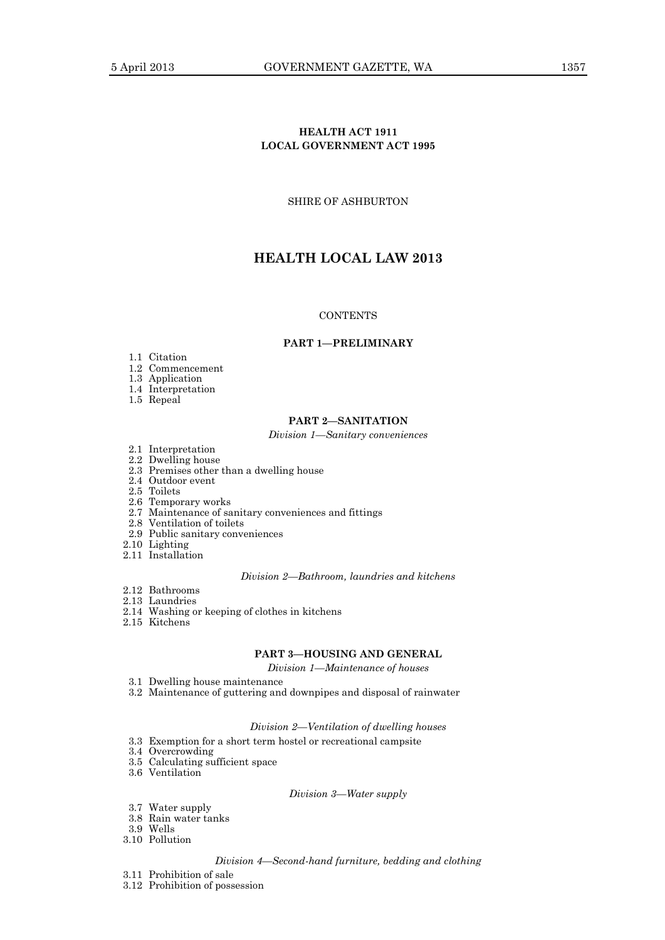# **HEALTH ACT 1911 LOCAL GOVERNMENT ACT 1995**

SHIRE OF ASHBURTON

# **HEALTH LOCAL LAW 2013**

# **CONTENTS**

### **PART 1—PRELIMINARY**

- 1.1 Citation
- 1.2 Commencement
- 1.3 Application
- 1.4 Interpretation
- 1.5 Repeal

# **PART 2—SANITATION**

# *Division 1—Sanitary conveniences*

- 2.1 Interpretation
- 2.2 Dwelling house
- 2.3 Premises other than a dwelling house
- 2.4 Outdoor event
- 2.5 Toilets
- 2.6 Temporary works
- 2.7 Maintenance of sanitary conveniences and fittings
- 2.8 Ventilation of toilets
- 2.9 Public sanitary conveniences
- 2.10 Lighting
- 2.11 Installation

# *Division 2—Bathroom, laundries and kitchens*

- 2.12 Bathrooms
- 2.13 Laundries
- 2.14 Washing or keeping of clothes in kitchens
- 2.15 Kitchens

# **PART 3—HOUSING AND GENERAL**

*Division 1—Maintenance of houses*

- 3.1 Dwelling house maintenance
- 3.2 Maintenance of guttering and downpipes and disposal of rainwater

# *Division 2—Ventilation of dwelling houses*

- 3.3 Exemption for a short term hostel or recreational campsite
- 3.4 Overcrowding
- 3.5 Calculating sufficient space 3.6 Ventilation
	-

# *Division 3—Water supply*

- 3.7 Water supply
- 3.8 Rain water tanks
- 3.9 Wells
- 3.10 Pollution

#### *Division 4—Second-hand furniture, bedding and clothing*

- 3.11 Prohibition of sale
- 3.12 Prohibition of possession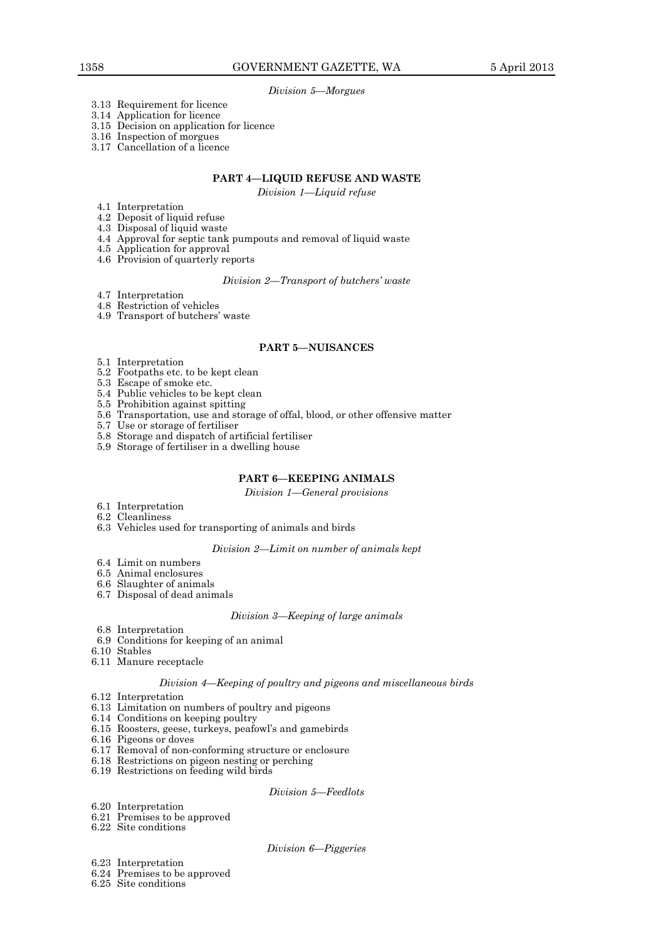*Division 5—Morgues*

- 3.13 Requirement for licence
- 3.14 Application for licence
- 3.15 Decision on application for licence
- 3.16 Inspection of morgues
- 3.17 Cancellation of a licence

# **PART 4—LIQUID REFUSE AND WASTE**

*Division 1—Liquid refuse*

- 4.1 Interpretation
- 4.2 Deposit of liquid refuse
- 4.3 Disposal of liquid waste
- 4.4 Approval for septic tank pumpouts and removal of liquid waste
- 4.5 Application for approval
- 4.6 Provision of quarterly reports

*Division 2—Transport of butchers' waste*

- 4.7 Interpretation
- 4.8 Restriction of vehicles
- 4.9 Transport of butchers' waste

# **PART 5—NUISANCES**

- 5.1 Interpretation
- 5.2 Footpaths etc. to be kept clean
- 5.3 Escape of smoke etc.
- 5.4 Public vehicles to be kept clean
- 5.5 Prohibition against spitting
- 5.6 Transportation, use and storage of offal, blood, or other offensive matter
- 5.7 Use or storage of fertiliser
- 5.8 Storage and dispatch of artificial fertiliser
- 5.9 Storage of fertiliser in a dwelling house

# **PART 6—KEEPING ANIMALS**

*Division 1—General provisions*

- 6.1 Interpretation
- 6.2 Cleanliness
- 6.3 Vehicles used for transporting of animals and birds

# *Division 2—Limit on number of animals kept*

- 6.4 Limit on numbers
- 6.5 Animal enclosures
- 6.6 Slaughter of animals
- 6.7 Disposal of dead animals

# *Division 3—Keeping of large animals*

- 6.8 Interpretation
- 6.9 Conditions for keeping of an animal
- 6.10 Stables
- 6.11 Manure receptacle

#### *Division 4—Keeping of poultry and pigeons and miscellaneous birds*

- 6.12 Interpretation
- 6.13 Limitation on numbers of poultry and pigeons
- 6.14 Conditions on keeping poultry
- 6.15 Roosters, geese, turkeys, peafowl's and gamebirds
- 6.16 Pigeons or doves
- 6.17 Removal of non-conforming structure or enclosure
- 6.18 Restrictions on pigeon nesting or perching
- 6.19 Restrictions on feeding wild birds

#### *Division 5—Feedlots*

- 6.20 Interpretation
- 6.21 Premises to be approved
- 6.22 Site conditions

# *Division 6—Piggeries*

- 6.23 Interpretation
- 6.24 Premises to be approved
- 6.25 Site conditions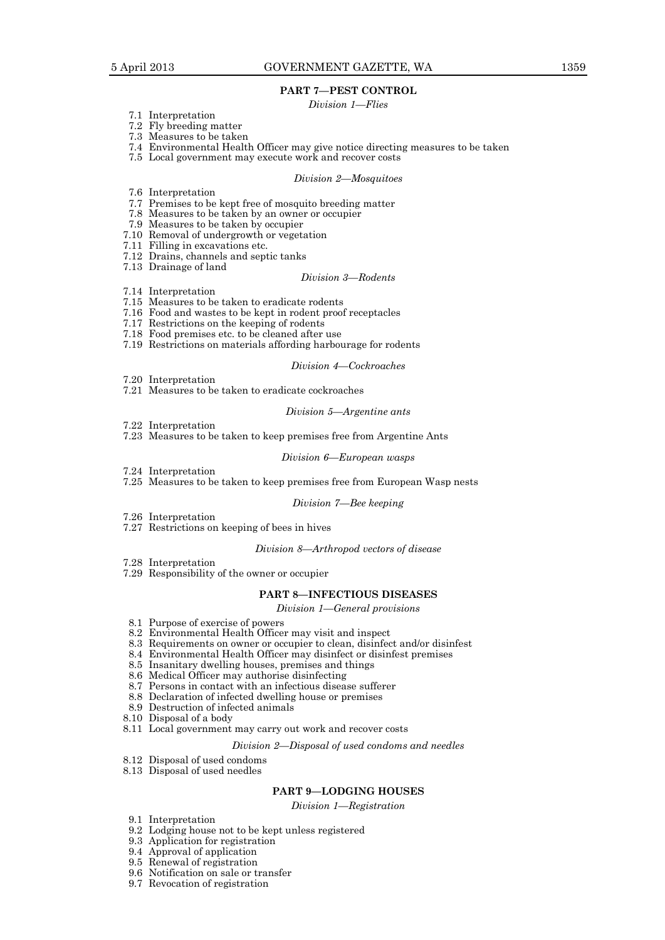# **PART 7—PEST CONTROL**

# *Division 1—Flies*

- 7.1 Interpretation
- 7.2 Fly breeding matter
- 7.3 Measures to be taken
- 7.4 Environmental Health Officer may give notice directing measures to be taken
- 7.5 Local government may execute work and recover costs

#### *Division 2—Mosquitoes*

- 7.6 Interpretation
- 7.7 Premises to be kept free of mosquito breeding matter
- 7.8 Measures to be taken by an owner or occupier
- 7.9 Measures to be taken by occupier
- 7.10 Removal of undergrowth or vegetation
- 7.11 Filling in excavations etc.
- 7.12 Drains, channels and septic tanks 7.13 Drainage of land

#### *Division 3—Rodents*

- 7.14 Interpretation
- 7.15 Measures to be taken to eradicate rodents
- 7.16 Food and wastes to be kept in rodent proof receptacles
- 7.17 Restrictions on the keeping of rodents
- 7.18 Food premises etc. to be cleaned after use
- 7.19 Restrictions on materials affording harbourage for rodents

#### *Division 4—Cockroaches*

- 7.20 Interpretation
- 7.21 Measures to be taken to eradicate cockroaches

#### *Division 5—Argentine ants*

- 7.22 Interpretation
- 7.23 Measures to be taken to keep premises free from Argentine Ants

# *Division 6—European wasps*

- 7.24 Interpretation
- 7.25 Measures to be taken to keep premises free from European Wasp nests

#### *Division 7—Bee keeping*

- 7.26 Interpretation
- 7.27 Restrictions on keeping of bees in hives

# *Division 8—Arthropod vectors of disease*

7.28 Interpretation

7.29 Responsibility of the owner or occupier

#### **PART 8—INFECTIOUS DISEASES**

*Division 1—General provisions*

- 8.1 Purpose of exercise of powers
- 8.2 Environmental Health Officer may visit and inspect
- 8.3 Requirements on owner or occupier to clean, disinfect and/or disinfest
- 8.4 Environmental Health Officer may disinfect or disinfest premises
- 8.5 Insanitary dwelling houses, premises and things
- 8.6 Medical Officer may authorise disinfecting
- 8.7 Persons in contact with an infectious disease sufferer
- 8.8 Declaration of infected dwelling house or premises
- 8.9 Destruction of infected animals
- 8.10 Disposal of a body
- 8.11 Local government may carry out work and recover costs

#### *Division 2—Disposal of used condoms and needles*

- 8.12 Disposal of used condoms
- 8.13 Disposal of used needles

# **PART 9—LODGING HOUSES**

*Division 1—Registration*

- 9.1 Interpretation
- 9.2 Lodging house not to be kept unless registered
- 9.3 Application for registration
- 9.4 Approval of application
- 9.5 Renewal of registration
- 9.6 Notification on sale or transfer
- 9.7 Revocation of registration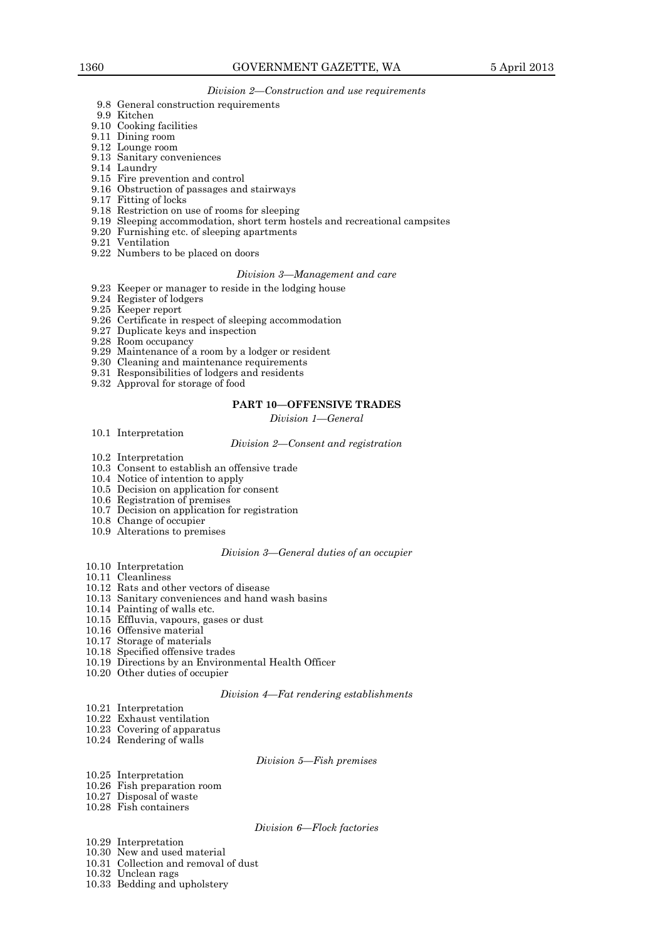# *Division 2—Construction and use requirements*

- 9.8 General construction requirements
- 9.9 Kitchen
- 9.10 Cooking facilities
- 9.11 Dining room
- 9.12 Lounge room
- 9.13 Sanitary conveniences
- 9.14 Laundry
- 9.15 Fire prevention and control
- 9.16 Obstruction of passages and stairways
- 9.17 Fitting of locks
- 9.18 Restriction on use of rooms for sleeping
- 9.19 Sleeping accommodation, short term hostels and recreational campsites
- 9.20 Furnishing etc. of sleeping apartments
- 9.21 Ventilation
- 9.22 Numbers to be placed on doors

#### *Division 3—Management and care*

- 9.23 Keeper or manager to reside in the lodging house
- 9.24 Register of lodgers
- 9.25 Keeper report
- 9.26 Certificate in respect of sleeping accommodation
- 9.27 Duplicate keys and inspection
- 9.28 Room occupancy
- 9.29 Maintenance of a room by a lodger or resident
- 9.30 Cleaning and maintenance requirements
- 9.31 Responsibilities of lodgers and residents
- 9.32 Approval for storage of food

# **PART 10—OFFENSIVE TRADES**

*Division 1—General*

10.1 Interpretation

#### *Division 2—Consent and registration*

- 10.2 Interpretation
- 10.3 Consent to establish an offensive trade
- 10.4 Notice of intention to apply
- 10.5 Decision on application for consent
- 10.6 Registration of premises
- 10.7 Decision on application for registration
- 10.8 Change of occupier
- 10.9 Alterations to premises

#### *Division 3—General duties of an occupier*

- 10.10 Interpretation
- 10.11 Cleanliness
- 10.12 Rats and other vectors of disease
- 10.13 Sanitary conveniences and hand wash basins
- 10.14 Painting of walls etc.
- 10.15 Effluvia, vapours, gases or dust
- 10.16 Offensive material
- 10.17 Storage of materials
- 10.18 Specified offensive trades
- 10.19 Directions by an Environmental Health Officer
- 10.20 Other duties of occupier

#### *Division 4—Fat rendering establishments*

- 10.21 Interpretation
- 10.22 Exhaust ventilation
- 10.23 Covering of apparatus
- 10.24 Rendering of walls

#### *Division 5—Fish premises*

- 10.25 Interpretation
- 10.26 Fish preparation room
- 10.27 Disposal of waste
- 10.28 Fish containers

#### *Division 6—Flock factories*

- 10.29 Interpretation
- 10.30 New and used material
- 10.31 Collection and removal of dust
- 10.32 Unclean rags
- 10.33 Bedding and upholstery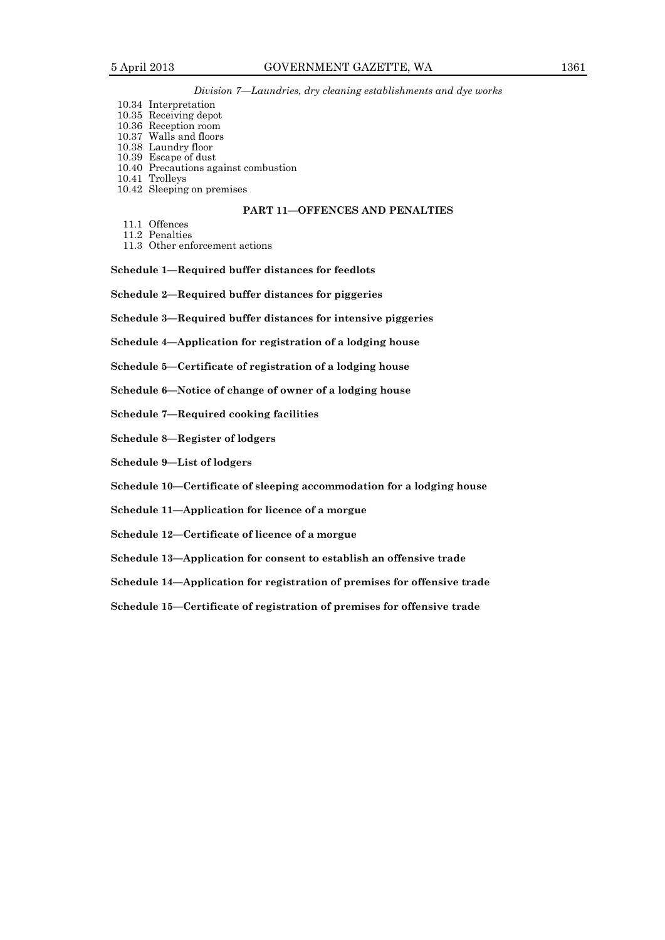# *Division 7—Laundries, dry cleaning establishments and dye works*

- 10.34 Interpretation
- 10.35 Receiving depot
- 10.36 Reception room 10.37 Walls and floors
- 10.38 Laundry floor
- 10.39 Escape of dust
- 10.40 Precautions against combustion
- 10.41 Trolleys
- 10.42 Sleeping on premises

# **PART 11—OFFENCES AND PENALTIES**

- 11.1 Offences
- 11.2 Penalties
- 11.3 Other enforcement actions

**Schedule 1—Required buffer distances for feedlots**

**Schedule 2—Required buffer distances for piggeries**

**Schedule 3—Required buffer distances for intensive piggeries**

**Schedule 4—Application for registration of a lodging house**

**Schedule 5—Certificate of registration of a lodging house** 

**Schedule 6—Notice of change of owner of a lodging house**

**Schedule 7—Required cooking facilities** 

**Schedule 8—Register of lodgers**

**Schedule 9—List of lodgers**

**Schedule 10—Certificate of sleeping accommodation for a lodging house** 

**Schedule 11—Application for licence of a morgue**

**Schedule 12—Certificate of licence of a morgue** 

**Schedule 13—Application for consent to establish an offensive trade**

**Schedule 14—Application for registration of premises for offensive trade** 

**Schedule 15—Certificate of registration of premises for offensive trade**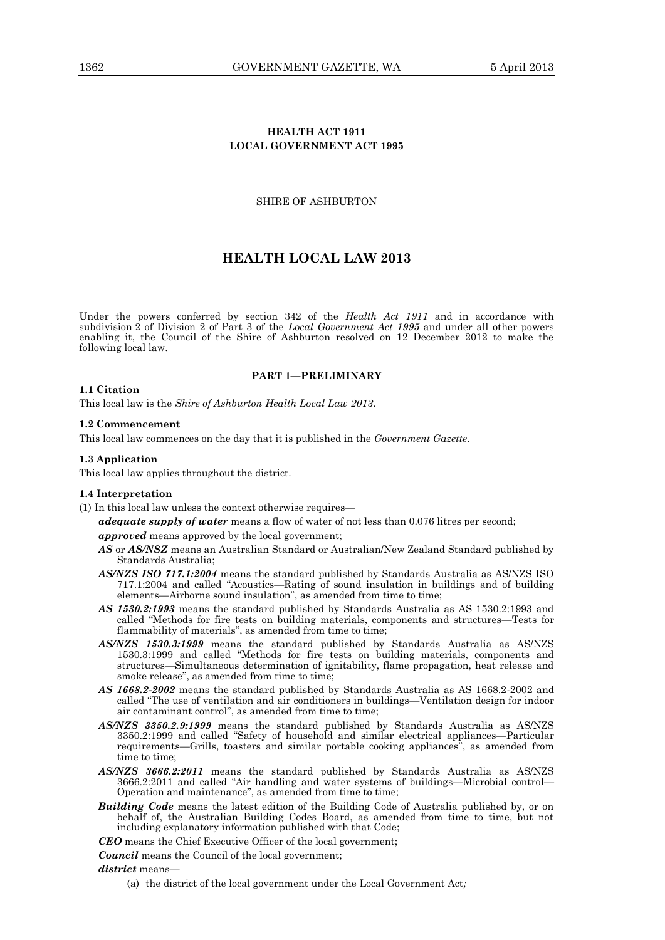# **HEALTH ACT 1911 LOCAL GOVERNMENT ACT 1995**

# SHIRE OF ASHBURTON

# **HEALTH LOCAL LAW 2013**

Under the powers conferred by section 342 of the *Health Act 1911* and in accordance with subdivision 2 of Division 2 of Part 3 of the *Local Government Act 1995* and under all other powers enabling it, the Council of the Shire of Ashburton resolved on 12 December 2012 to make the following local law.

# **PART 1—PRELIMINARY**

#### **1.1 Citation**

This local law is the *Shire of Ashburton Health Local Law 2013*.

## **1.2 Commencement**

This local law commences on the day that it is published in the *Government Gazette.*

### **1.3 Application**

This local law applies throughout the district.

# **1.4 Interpretation**

(1) In this local law unless the context otherwise requires—

*adequate supply of water* means a flow of water of not less than 0.076 litres per second;

*approved* means approved by the local government;

- *AS* or *AS/NSZ* means an Australian Standard or Australian/New Zealand Standard published by Standards Australia;
- *AS/NZS ISO 717.1:2004* means the standard published by Standards Australia as AS/NZS ISO 717.1:2004 and called "Acoustics—Rating of sound insulation in buildings and of building elements—Airborne sound insulation", as amended from time to time;
- *AS 1530.2:1993* means the standard published by Standards Australia as AS 1530.2:1993 and called "Methods for fire tests on building materials, components and structures—Tests for flammability of materials", as amended from time to time;
- *AS/NZS 1530.3:1999* means the standard published by Standards Australia as AS/NZS 1530.3:1999 and called "Methods for fire tests on building materials, components and structures—Simultaneous determination of ignitability, flame propagation, heat release and smoke release", as amended from time to time;
- *AS 1668.2-2002* means the standard published by Standards Australia as AS 1668.2-2002 and called "The use of ventilation and air conditioners in buildings—Ventilation design for indoor air contaminant control", as amended from time to time;
- *AS/NZS 3350.2.9:1999* means the standard published by Standards Australia as AS/NZS 3350.2:1999 and called "Safety of household and similar electrical appliances—Particular requirements—Grills, toasters and similar portable cooking appliances", as amended from time to time;
- *AS/NZS 3666.2:2011* means the standard published by Standards Australia as AS/NZS 3666.2:2011 and called "Air handling and water systems of buildings—Microbial control— Operation and maintenance", as amended from time to time;
- *Building Code* means the latest edition of the Building Code of Australia published by, or on behalf of, the Australian Building Codes Board, as amended from time to time, but not including explanatory information published with that Code;
- *CEO* means the Chief Executive Officer of the local government;
- *Council* means the Council of the local government;

#### *district* means—

(a) the district of the local government under the Local Government Act*;*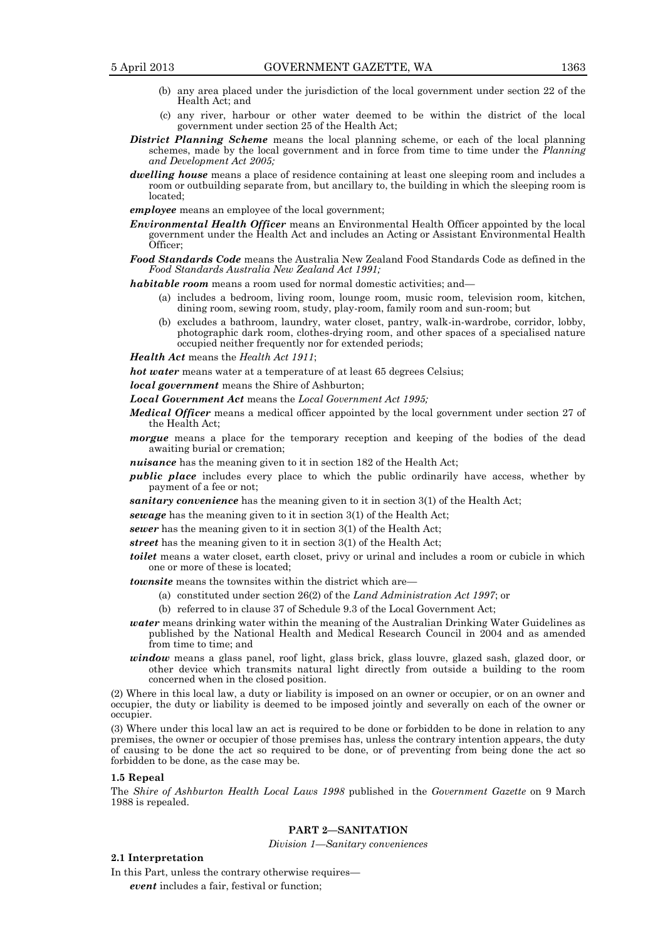- 
- (b) any area placed under the jurisdiction of the local government under section 22 of the Health Act; and
- (c) any river, harbour or other water deemed to be within the district of the local government under section 25 of the Health Act;
- *District Planning Scheme* means the local planning scheme, or each of the local planning schemes, made by the local government and in force from time to time under the *Planning and Development Act 2005;*
- *dwelling house* means a place of residence containing at least one sleeping room and includes a room or outbuilding separate from, but ancillary to, the building in which the sleeping room is located;
- *employee* means an employee of the local government;
- *Environmental Health Officer* means an Environmental Health Officer appointed by the local government under the Health Act and includes an Acting or Assistant Environmental Health Officer;
- *Food Standards Code* means the Australia New Zealand Food Standards Code as defined in the *Food Standards Australia New Zealand Act 1991;*

*habitable room* means a room used for normal domestic activities; and—

- (a) includes a bedroom, living room, lounge room, music room, television room, kitchen, dining room, sewing room, study, play-room, family room and sun-room; but
- (b) excludes a bathroom, laundry, water closet, pantry, walk-in-wardrobe, corridor, lobby, photographic dark room, clothes-drying room, and other spaces of a specialised nature occupied neither frequently nor for extended periods;

*Health Act* means the *Health Act 1911*;

*hot water* means water at a temperature of at least 65 degrees Celsius;

*local government* means the Shire of Ashburton;

*Local Government Act* means the *Local Government Act 1995;*

*Medical Officer* means a medical officer appointed by the local government under section 27 of the Health Act;

- *morgue* means a place for the temporary reception and keeping of the bodies of the dead awaiting burial or cremation;
- *nuisance* has the meaning given to it in section 182 of the Health Act;

*public place* includes every place to which the public ordinarily have access, whether by payment of a fee or not;

*sanitary convenience* has the meaning given to it in section 3(1) of the Health Act;

*sewage* has the meaning given to it in section 3(1) of the Health Act;

*sewer* has the meaning given to it in section 3(1) of the Health Act;

*street* has the meaning given to it in section 3(1) of the Health Act;

*toilet* means a water closet, earth closet, privy or urinal and includes a room or cubicle in which one or more of these is located;

*townsite* means the townsites within the district which are—

- (a) constituted under section 26(2) of the *Land Administration Act 1997*; or
- (b) referred to in clause 37 of Schedule 9.3 of the Local Government Act;
- *water* means drinking water within the meaning of the Australian Drinking Water Guidelines as published by the National Health and Medical Research Council in 2004 and as amended from time to time; and
- *window* means a glass panel, roof light, glass brick, glass louvre, glazed sash, glazed door, or other device which transmits natural light directly from outside a building to the room concerned when in the closed position.

(2) Where in this local law, a duty or liability is imposed on an owner or occupier, or on an owner and occupier, the duty or liability is deemed to be imposed jointly and severally on each of the owner or occupier.

(3) Where under this local law an act is required to be done or forbidden to be done in relation to any premises, the owner or occupier of those premises has, unless the contrary intention appears, the duty of causing to be done the act so required to be done, or of preventing from being done the act so forbidden to be done, as the case may be.

#### **1.5 Repeal**

The *Shire of Ashburton Health Local Laws 1998* published in the *Government Gazette* on 9 March 1988 is repealed.

# **PART 2—SANITATION**

*Division 1—Sanitary conveniences*

#### **2.1 Interpretation**

In this Part, unless the contrary otherwise requires—

*event* includes a fair, festival or function;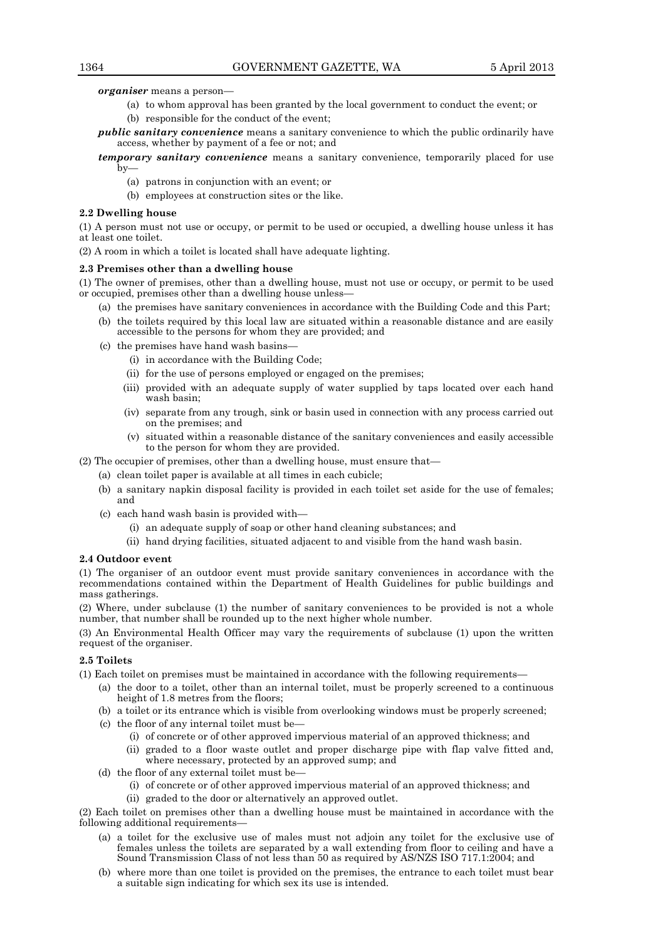*organiser* means a person—

- (a) to whom approval has been granted by the local government to conduct the event; or (b) responsible for the conduct of the event;
- *public sanitary convenience* means a sanitary convenience to which the public ordinarily have access, whether by payment of a fee or not; and

*temporary sanitary convenience* means a sanitary convenience, temporarily placed for use by—

- (a) patrons in conjunction with an event; or
- (b) employees at construction sites or the like.

#### **2.2 Dwelling house**

(1) A person must not use or occupy, or permit to be used or occupied, a dwelling house unless it has at least one toilet.

(2) A room in which a toilet is located shall have adequate lighting.

# **2.3 Premises other than a dwelling house**

(1) The owner of premises, other than a dwelling house, must not use or occupy, or permit to be used or occupied, premises other than a dwelling house unless—

- (a) the premises have sanitary conveniences in accordance with the Building Code and this Part;
- (b) the toilets required by this local law are situated within a reasonable distance and are easily accessible to the persons for whom they are provided; and
- (c) the premises have hand wash basins—
	- (i) in accordance with the Building Code;
	- (ii) for the use of persons employed or engaged on the premises;
	- (iii) provided with an adequate supply of water supplied by taps located over each hand wash basin;
	- (iv) separate from any trough, sink or basin used in connection with any process carried out on the premises; and
	- (v) situated within a reasonable distance of the sanitary conveniences and easily accessible to the person for whom they are provided.

(2) The occupier of premises, other than a dwelling house, must ensure that—

- (a) clean toilet paper is available at all times in each cubicle;
- (b) a sanitary napkin disposal facility is provided in each toilet set aside for the use of females; and
- (c) each hand wash basin is provided with—
	- (i) an adequate supply of soap or other hand cleaning substances; and
	- (ii) hand drying facilities, situated adjacent to and visible from the hand wash basin.

#### **2.4 Outdoor event**

(1) The organiser of an outdoor event must provide sanitary conveniences in accordance with the recommendations contained within the Department of Health Guidelines for public buildings and mass gatherings.

(2) Where, under subclause (1) the number of sanitary conveniences to be provided is not a whole number, that number shall be rounded up to the next higher whole number.

(3) An Environmental Health Officer may vary the requirements of subclause (1) upon the written request of the organiser.

# **2.5 Toilets**

(1) Each toilet on premises must be maintained in accordance with the following requirements—

- (a) the door to a toilet, other than an internal toilet, must be properly screened to a continuous height of 1.8 metres from the floors;
- (b) a toilet or its entrance which is visible from overlooking windows must be properly screened;
- (c) the floor of any internal toilet must be—
	- (i) of concrete or of other approved impervious material of an approved thickness; and
	- (ii) graded to a floor waste outlet and proper discharge pipe with flap valve fitted and, where necessary, protected by an approved sump; and
- (d) the floor of any external toilet must be—
	- (i) of concrete or of other approved impervious material of an approved thickness; and
	- (ii) graded to the door or alternatively an approved outlet.

(2) Each toilet on premises other than a dwelling house must be maintained in accordance with the following additional requirements—

- (a) a toilet for the exclusive use of males must not adjoin any toilet for the exclusive use of females unless the toilets are separated by a wall extending from floor to ceiling and have a Sound Transmission Class of not less than 50 as required by AS/NZS ISO 717.1:2004; and
- (b) where more than one toilet is provided on the premises, the entrance to each toilet must bear a suitable sign indicating for which sex its use is intended.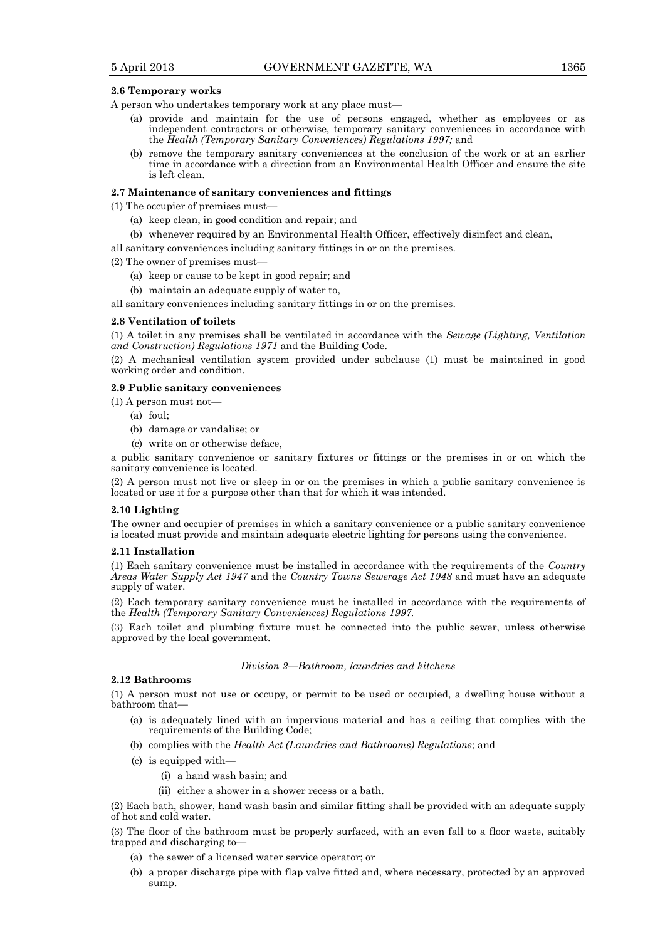#### **2.6 Temporary works**

A person who undertakes temporary work at any place must—

- (a) provide and maintain for the use of persons engaged, whether as employees or as independent contractors or otherwise, temporary sanitary conveniences in accordance with the *Health (Temporary Sanitary Conveniences) Regulations 1997;* and
- (b) remove the temporary sanitary conveniences at the conclusion of the work or at an earlier time in accordance with a direction from an Environmental Health Officer and ensure the site is left clean.

### **2.7 Maintenance of sanitary conveniences and fittings**

(1) The occupier of premises must—

- (a) keep clean, in good condition and repair; and
- (b) whenever required by an Environmental Health Officer, effectively disinfect and clean,

all sanitary conveniences including sanitary fittings in or on the premises.

(2) The owner of premises must—

- (a) keep or cause to be kept in good repair; and
- (b) maintain an adequate supply of water to,

all sanitary conveniences including sanitary fittings in or on the premises.

#### **2.8 Ventilation of toilets**

(1) A toilet in any premises shall be ventilated in accordance with the *Sewage (Lighting, Ventilation and Construction) Regulations 1971* and the Building Code.

(2) A mechanical ventilation system provided under subclause (1) must be maintained in good working order and condition.

# **2.9 Public sanitary conveniences**

(1) A person must not—

- (a) foul;
- (b) damage or vandalise; or
- (c) write on or otherwise deface,

a public sanitary convenience or sanitary fixtures or fittings or the premises in or on which the sanitary convenience is located.

(2) A person must not live or sleep in or on the premises in which a public sanitary convenience is located or use it for a purpose other than that for which it was intended.

#### **2.10 Lighting**

The owner and occupier of premises in which a sanitary convenience or a public sanitary convenience is located must provide and maintain adequate electric lighting for persons using the convenience.

#### **2.11 Installation**

(1) Each sanitary convenience must be installed in accordance with the requirements of the *Country Areas Water Supply Act 1947* and the *Country Towns Sewerage Act 1948* and must have an adequate supply of water.

(2) Each temporary sanitary convenience must be installed in accordance with the requirements of the *Health (Temporary Sanitary Conveniences) Regulations 1997.*

(3) Each toilet and plumbing fixture must be connected into the public sewer, unless otherwise approved by the local government.

#### *Division 2—Bathroom, laundries and kitchens*

# **2.12 Bathrooms**

(1) A person must not use or occupy, or permit to be used or occupied, a dwelling house without a bathroom that—

- (a) is adequately lined with an impervious material and has a ceiling that complies with the requirements of the Building Code;
- (b) complies with the *Health Act (Laundries and Bathrooms) Regulations*; and
- (c) is equipped with—
	- (i) a hand wash basin; and
	- (ii) either a shower in a shower recess or a bath.

(2) Each bath, shower, hand wash basin and similar fitting shall be provided with an adequate supply of hot and cold water.

(3) The floor of the bathroom must be properly surfaced, with an even fall to a floor waste, suitably trapped and discharging to—

- (a) the sewer of a licensed water service operator; or
- (b) a proper discharge pipe with flap valve fitted and, where necessary, protected by an approved sump.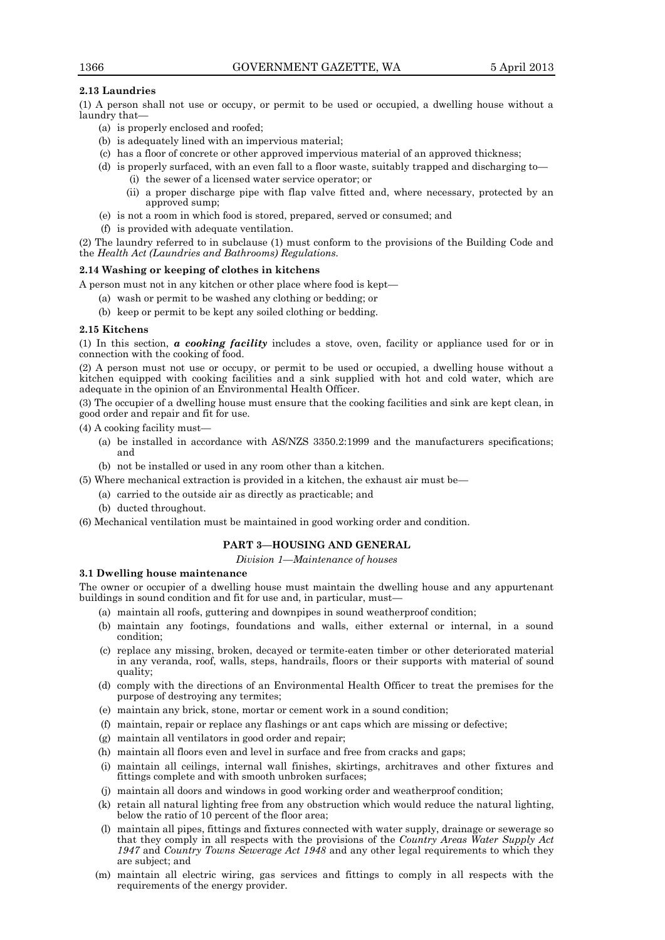# **2.13 Laundries**

(1) A person shall not use or occupy, or permit to be used or occupied, a dwelling house without a laundry that—

- (a) is properly enclosed and roofed;
- (b) is adequately lined with an impervious material;
- (c) has a floor of concrete or other approved impervious material of an approved thickness;
- (d) is properly surfaced, with an even fall to a floor waste, suitably trapped and discharging to— (i) the sewer of a licensed water service operator; or
	- (ii) a proper discharge pipe with flap valve fitted and, where necessary, protected by an approved sump;
- (e) is not a room in which food is stored, prepared, served or consumed; and
- (f) is provided with adequate ventilation.

(2) The laundry referred to in subclause (1) must conform to the provisions of the Building Code and the *Health Act (Laundries and Bathrooms) Regulations.*

# **2.14 Washing or keeping of clothes in kitchens**

A person must not in any kitchen or other place where food is kept—

- (a) wash or permit to be washed any clothing or bedding; or
- (b) keep or permit to be kept any soiled clothing or bedding.

# **2.15 Kitchens**

(1) In this section, *a cooking facility* includes a stove, oven, facility or appliance used for or in connection with the cooking of food.

(2) A person must not use or occupy, or permit to be used or occupied, a dwelling house without a kitchen equipped with cooking facilities and a sink supplied with hot and cold water, which are adequate in the opinion of an Environmental Health Officer.

(3) The occupier of a dwelling house must ensure that the cooking facilities and sink are kept clean, in good order and repair and fit for use.

(4) A cooking facility must—

- (a) be installed in accordance with AS/NZS 3350.2:1999 and the manufacturers specifications; and
- (b) not be installed or used in any room other than a kitchen.
- (5) Where mechanical extraction is provided in a kitchen, the exhaust air must be—
	- (a) carried to the outside air as directly as practicable; and
	- (b) ducted throughout.
- (6) Mechanical ventilation must be maintained in good working order and condition.

# **PART 3—HOUSING AND GENERAL**

*Division 1—Maintenance of houses*

# **3.1 Dwelling house maintenance**

The owner or occupier of a dwelling house must maintain the dwelling house and any appurtenant buildings in sound condition and fit for use and, in particular, must—

- (a) maintain all roofs, guttering and downpipes in sound weatherproof condition;
- (b) maintain any footings, foundations and walls, either external or internal, in a sound condition;
- (c) replace any missing, broken, decayed or termite-eaten timber or other deteriorated material in any veranda, roof, walls, steps, handrails, floors or their supports with material of sound quality;
- (d) comply with the directions of an Environmental Health Officer to treat the premises for the purpose of destroying any termites;
- (e) maintain any brick, stone, mortar or cement work in a sound condition;
- (f) maintain, repair or replace any flashings or ant caps which are missing or defective;
- (g) maintain all ventilators in good order and repair;
- (h) maintain all floors even and level in surface and free from cracks and gaps;
- (i) maintain all ceilings, internal wall finishes, skirtings, architraves and other fixtures and fittings complete and with smooth unbroken surfaces;
- (j) maintain all doors and windows in good working order and weatherproof condition;
- (k) retain all natural lighting free from any obstruction which would reduce the natural lighting, below the ratio of 10 percent of the floor area;
- (l) maintain all pipes, fittings and fixtures connected with water supply, drainage or sewerage so that they comply in all respects with the provisions of the *Country Areas Water Supply Act 1947* and *Country Towns Sewerage Act 1948* and any other legal requirements to which they are subject; and
- (m) maintain all electric wiring, gas services and fittings to comply in all respects with the requirements of the energy provider.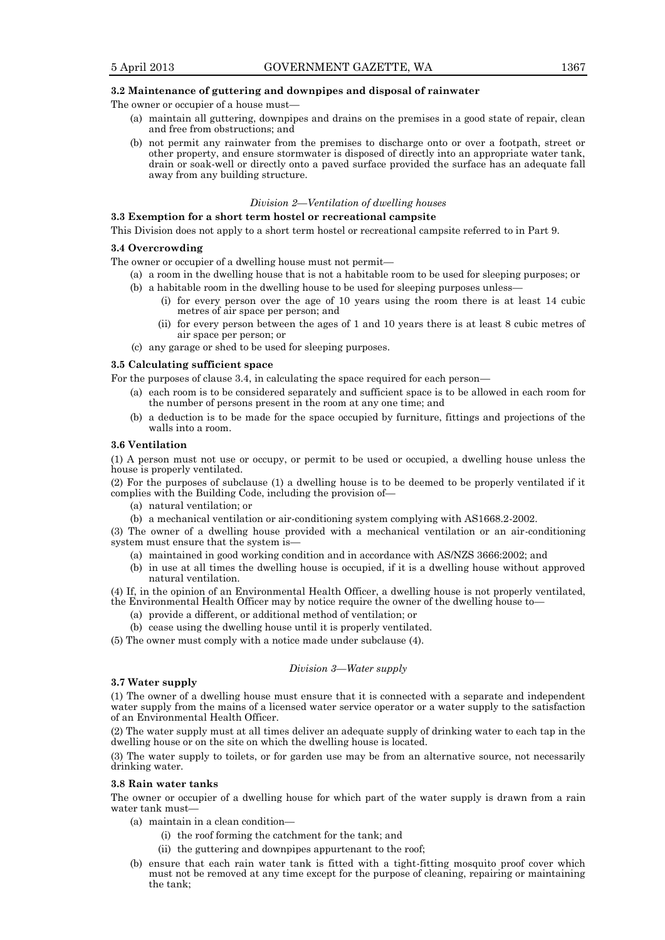# **3.2 Maintenance of guttering and downpipes and disposal of rainwater**

The owner or occupier of a house must-

- (a) maintain all guttering, downpipes and drains on the premises in a good state of repair, clean and free from obstructions; and
- (b) not permit any rainwater from the premises to discharge onto or over a footpath, street or other property, and ensure stormwater is disposed of directly into an appropriate water tank, drain or soak-well or directly onto a paved surface provided the surface has an adequate fall away from any building structure.

#### *Division 2—Ventilation of dwelling houses*

# **3.3 Exemption for a short term hostel or recreational campsite**

This Division does not apply to a short term hostel or recreational campsite referred to in Part 9.

#### **3.4 Overcrowding**

The owner or occupier of a dwelling house must not permit—

- (a) a room in the dwelling house that is not a habitable room to be used for sleeping purposes; or
- (b) a habitable room in the dwelling house to be used for sleeping purposes unless—
	- (i) for every person over the age of 10 years using the room there is at least 14 cubic metres of air space per person; and
	- (ii) for every person between the ages of 1 and 10 years there is at least 8 cubic metres of air space per person; or
- (c) any garage or shed to be used for sleeping purposes.

## **3.5 Calculating sufficient space**

For the purposes of clause 3.4, in calculating the space required for each person—

- (a) each room is to be considered separately and sufficient space is to be allowed in each room for the number of persons present in the room at any one time; and
- (b) a deduction is to be made for the space occupied by furniture, fittings and projections of the walls into a room.

# **3.6 Ventilation**

(1) A person must not use or occupy, or permit to be used or occupied, a dwelling house unless the house is properly ventilated.

(2) For the purposes of subclause (1) a dwelling house is to be deemed to be properly ventilated if it complies with the Building Code, including the provision of—

- (a) natural ventilation; or
- (b) a mechanical ventilation or air-conditioning system complying with AS1668.2-2002.

(3) The owner of a dwelling house provided with a mechanical ventilation or an air-conditioning system must ensure that the system is—

- (a) maintained in good working condition and in accordance with AS/NZS 3666:2002; and
- (b) in use at all times the dwelling house is occupied, if it is a dwelling house without approved natural ventilation.

(4) If, in the opinion of an Environmental Health Officer, a dwelling house is not properly ventilated, the Environmental Health Officer may by notice require the owner of the dwelling house to—

- (a) provide a different, or additional method of ventilation; or
- (b) cease using the dwelling house until it is properly ventilated.
- (5) The owner must comply with a notice made under subclause (4).

## *Division 3—Water supply*

# **3.7 Water supply**

(1) The owner of a dwelling house must ensure that it is connected with a separate and independent water supply from the mains of a licensed water service operator or a water supply to the satisfaction of an Environmental Health Officer.

(2) The water supply must at all times deliver an adequate supply of drinking water to each tap in the dwelling house or on the site on which the dwelling house is located.

(3) The water supply to toilets, or for garden use may be from an alternative source, not necessarily drinking water.

#### **3.8 Rain water tanks**

The owner or occupier of a dwelling house for which part of the water supply is drawn from a rain water tank must—

- (a) maintain in a clean condition—
	- (i) the roof forming the catchment for the tank; and
	- (ii) the guttering and downpipes appurtenant to the roof;
- (b) ensure that each rain water tank is fitted with a tight-fitting mosquito proof cover which must not be removed at any time except for the purpose of cleaning, repairing or maintaining the tank;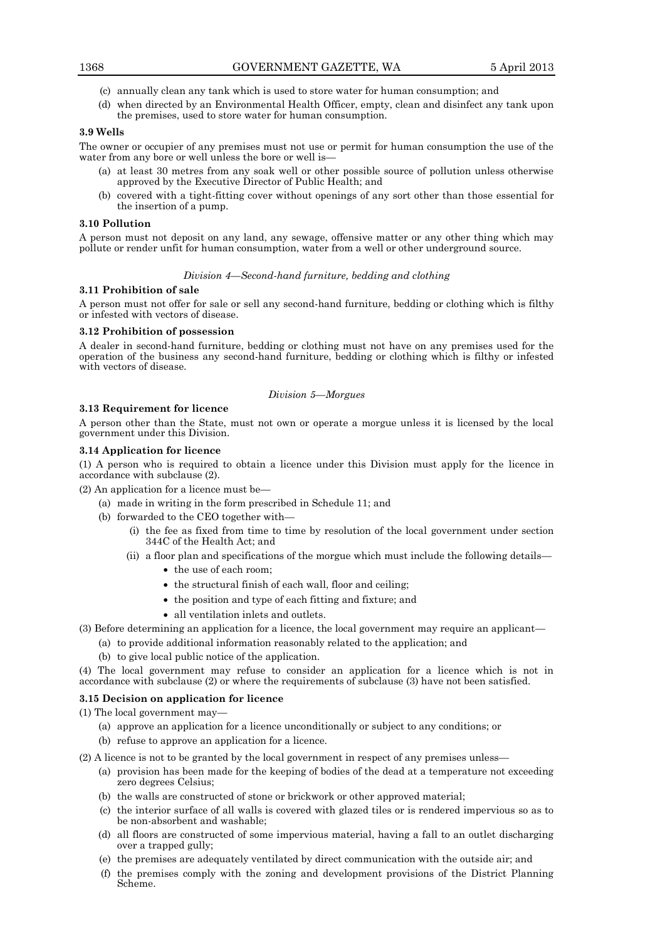- (c) annually clean any tank which is used to store water for human consumption; and
- (d) when directed by an Environmental Health Officer, empty, clean and disinfect any tank upon the premises, used to store water for human consumption.

# **3.9 Wells**

The owner or occupier of any premises must not use or permit for human consumption the use of the water from any bore or well unless the bore or well is—

- (a) at least 30 metres from any soak well or other possible source of pollution unless otherwise approved by the Executive Director of Public Health; and
- (b) covered with a tight-fitting cover without openings of any sort other than those essential for the insertion of a pump.

#### **3.10 Pollution**

A person must not deposit on any land, any sewage, offensive matter or any other thing which may pollute or render unfit for human consumption, water from a well or other underground source.

# *Division 4—Second-hand furniture, bedding and clothing*

#### **3.11 Prohibition of sale**

A person must not offer for sale or sell any second-hand furniture, bedding or clothing which is filthy or infested with vectors of disease.

# **3.12 Prohibition of possession**

A dealer in second-hand furniture, bedding or clothing must not have on any premises used for the operation of the business any second-hand furniture, bedding or clothing which is filthy or infested with vectors of disease.

# *Division 5—Morgues*

#### **3.13 Requirement for licence**

A person other than the State, must not own or operate a morgue unless it is licensed by the local government under this Division.

# **3.14 Application for licence**

(1) A person who is required to obtain a licence under this Division must apply for the licence in accordance with subclause (2).

(2) An application for a licence must be—

- (a) made in writing in the form prescribed in Schedule 11; and
- (b) forwarded to the CEO together with—
	- (i) the fee as fixed from time to time by resolution of the local government under section 344C of the Health Act; and
	- (ii) a floor plan and specifications of the morgue which must include the following details—
		- the use of each room;
		- the structural finish of each wall, floor and ceiling;
		- the position and type of each fitting and fixture; and
		- all ventilation inlets and outlets.
- (3) Before determining an application for a licence, the local government may require an applicant—
	- (a) to provide additional information reasonably related to the application; and
	- (b) to give local public notice of the application.

(4) The local government may refuse to consider an application for a licence which is not in accordance with subclause (2) or where the requirements of subclause (3) have not been satisfied.

# **3.15 Decision on application for licence**

(1) The local government may—

- (a) approve an application for a licence unconditionally or subject to any conditions; or
- (b) refuse to approve an application for a licence.

(2) A licence is not to be granted by the local government in respect of any premises unless—

- (a) provision has been made for the keeping of bodies of the dead at a temperature not exceeding zero degrees Celsius;
- (b) the walls are constructed of stone or brickwork or other approved material;
- (c) the interior surface of all walls is covered with glazed tiles or is rendered impervious so as to be non-absorbent and washable;
- (d) all floors are constructed of some impervious material, having a fall to an outlet discharging over a trapped gully;
- (e) the premises are adequately ventilated by direct communication with the outside air; and
- (f) the premises comply with the zoning and development provisions of the District Planning Scheme.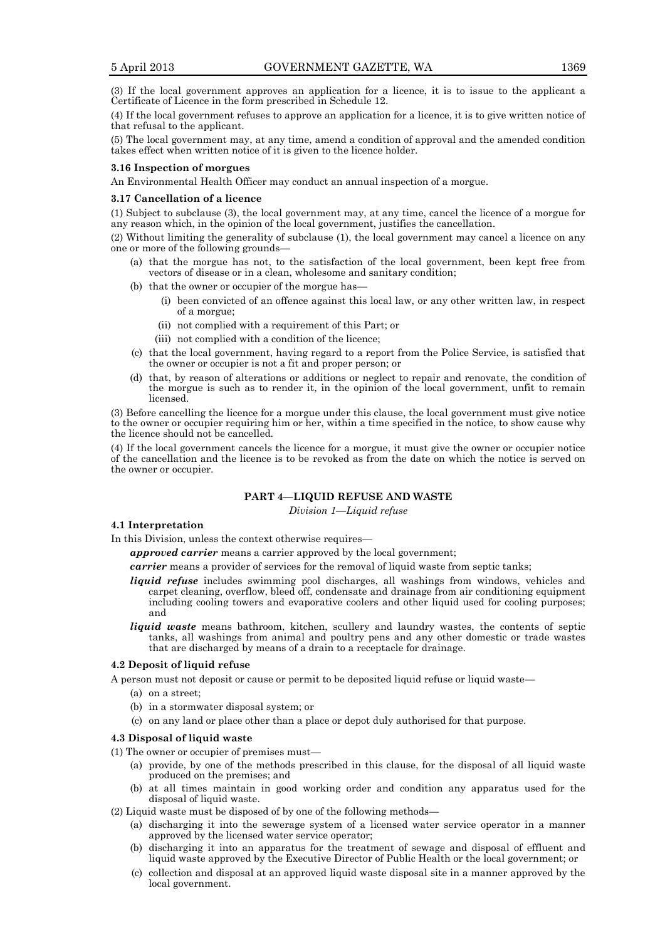(3) If the local government approves an application for a licence, it is to issue to the applicant a Certificate of Licence in the form prescribed in Schedule 12.

(4) If the local government refuses to approve an application for a licence, it is to give written notice of that refusal to the applicant.

(5) The local government may, at any time, amend a condition of approval and the amended condition takes effect when written notice of it is given to the licence holder.

# **3.16 Inspection of morgues**

An Environmental Health Officer may conduct an annual inspection of a morgue.

# **3.17 Cancellation of a licence**

(1) Subject to subclause (3), the local government may, at any time, cancel the licence of a morgue for any reason which, in the opinion of the local government, justifies the cancellation.

(2) Without limiting the generality of subclause (1), the local government may cancel a licence on any one or more of the following grounds—

- (a) that the morgue has not, to the satisfaction of the local government, been kept free from vectors of disease or in a clean, wholesome and sanitary condition;
- (b) that the owner or occupier of the morgue has-
	- (i) been convicted of an offence against this local law, or any other written law, in respect of a morgue;
	- (ii) not complied with a requirement of this Part; or
	- (iii) not complied with a condition of the licence;
- (c) that the local government, having regard to a report from the Police Service, is satisfied that the owner or occupier is not a fit and proper person; or
- (d) that, by reason of alterations or additions or neglect to repair and renovate, the condition of the morgue is such as to render it, in the opinion of the local government, unfit to remain licensed.

(3) Before cancelling the licence for a morgue under this clause, the local government must give notice to the owner or occupier requiring him or her, within a time specified in the notice, to show cause why the licence should not be cancelled.

(4) If the local government cancels the licence for a morgue, it must give the owner or occupier notice of the cancellation and the licence is to be revoked as from the date on which the notice is served on the owner or occupier.

# **PART 4—LIQUID REFUSE AND WASTE**

*Division 1—Liquid refuse*

#### **4.1 Interpretation**

In this Division, unless the context otherwise requires—

*approved carrier* means a carrier approved by the local government;

*carrier* means a provider of services for the removal of liquid waste from septic tanks;

- *liquid refuse* includes swimming pool discharges, all washings from windows, vehicles and carpet cleaning, overflow, bleed off, condensate and drainage from air conditioning equipment including cooling towers and evaporative coolers and other liquid used for cooling purposes; and
- *liquid waste* means bathroom, kitchen, scullery and laundry wastes, the contents of septic tanks, all washings from animal and poultry pens and any other domestic or trade wastes that are discharged by means of a drain to a receptacle for drainage.

# **4.2 Deposit of liquid refuse**

A person must not deposit or cause or permit to be deposited liquid refuse or liquid waste—

- (a) on a street;
- (b) in a stormwater disposal system; or
- (c) on any land or place other than a place or depot duly authorised for that purpose.

#### **4.3 Disposal of liquid waste**

(1) The owner or occupier of premises must—

- (a) provide, by one of the methods prescribed in this clause, for the disposal of all liquid waste produced on the premises; and
- (b) at all times maintain in good working order and condition any apparatus used for the disposal of liquid waste.
- (2) Liquid waste must be disposed of by one of the following methods—
	- (a) discharging it into the sewerage system of a licensed water service operator in a manner approved by the licensed water service operator;
	- (b) discharging it into an apparatus for the treatment of sewage and disposal of effluent and liquid waste approved by the Executive Director of Public Health or the local government; or
	- (c) collection and disposal at an approved liquid waste disposal site in a manner approved by the local government.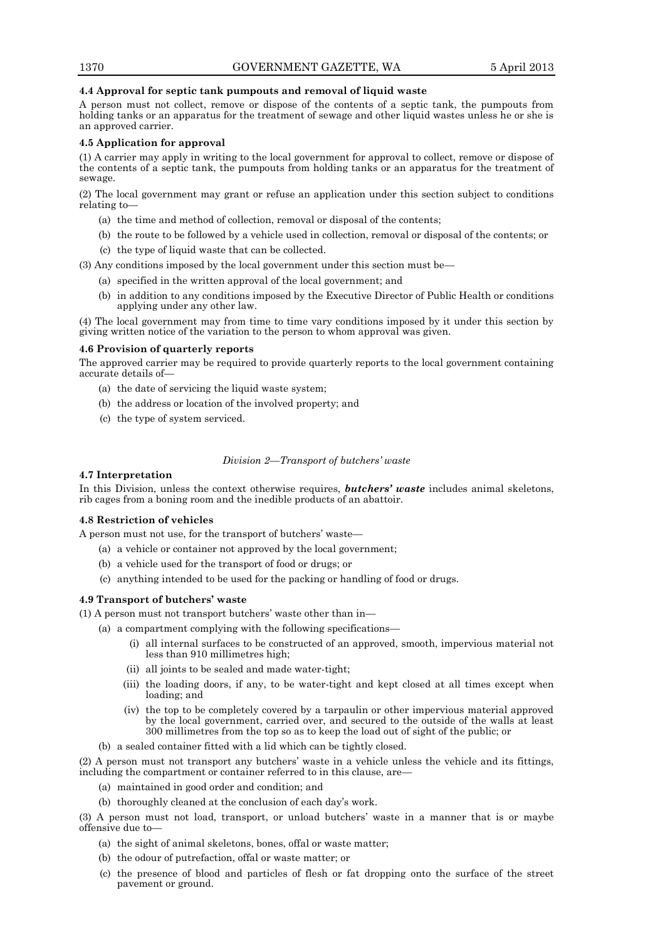# **4.4 Approval for septic tank pumpouts and removal of liquid waste**

A person must not collect, remove or dispose of the contents of a septic tank, the pumpouts from holding tanks or an apparatus for the treatment of sewage and other liquid wastes unless he or she is an approved carrier.

# **4.5 Application for approval**

(1) A carrier may apply in writing to the local government for approval to collect, remove or dispose of the contents of a septic tank, the pumpouts from holding tanks or an apparatus for the treatment of sewage.

(2) The local government may grant or refuse an application under this section subject to conditions relating to—

- (a) the time and method of collection, removal or disposal of the contents;
- (b) the route to be followed by a vehicle used in collection, removal or disposal of the contents; or
- (c) the type of liquid waste that can be collected.

(3) Any conditions imposed by the local government under this section must be—

- (a) specified in the written approval of the local government; and
- (b) in addition to any conditions imposed by the Executive Director of Public Health or conditions applying under any other law.

(4) The local government may from time to time vary conditions imposed by it under this section by giving written notice of the variation to the person to whom approval was given.

# **4.6 Provision of quarterly reports**

The approved carrier may be required to provide quarterly reports to the local government containing accurate details of—

- (a) the date of servicing the liquid waste system;
- (b) the address or location of the involved property; and
- (c) the type of system serviced.

# *Division 2—Transport of butchers' waste*

# **4.7 Interpretation**

In this Division, unless the context otherwise requires, *butchers' waste* includes animal skeletons, rib cages from a boning room and the inedible products of an abattoir.

# **4.8 Restriction of vehicles**

A person must not use, for the transport of butchers' waste—

- (a) a vehicle or container not approved by the local government;
- (b) a vehicle used for the transport of food or drugs; or
- (c) anything intended to be used for the packing or handling of food or drugs.

# **4.9 Transport of butchers' waste**

(1) A person must not transport butchers' waste other than in—

- (a) a compartment complying with the following specifications—
	- (i) all internal surfaces to be constructed of an approved, smooth, impervious material not less than 910 millimetres high;
	- (ii) all joints to be sealed and made water-tight;
	- (iii) the loading doors, if any, to be water-tight and kept closed at all times except when loading; and
	- (iv) the top to be completely covered by a tarpaulin or other impervious material approved by the local government, carried over, and secured to the outside of the walls at least 300 millimetres from the top so as to keep the load out of sight of the public; or
- (b) a sealed container fitted with a lid which can be tightly closed.

(2) A person must not transport any butchers' waste in a vehicle unless the vehicle and its fittings, including the compartment or container referred to in this clause, are—

- (a) maintained in good order and condition; and
- (b) thoroughly cleaned at the conclusion of each day's work.

(3) A person must not load, transport, or unload butchers' waste in a manner that is or maybe offensive due to—

- (a) the sight of animal skeletons, bones, offal or waste matter;
- (b) the odour of putrefaction, offal or waste matter; or
- (c) the presence of blood and particles of flesh or fat dropping onto the surface of the street pavement or ground.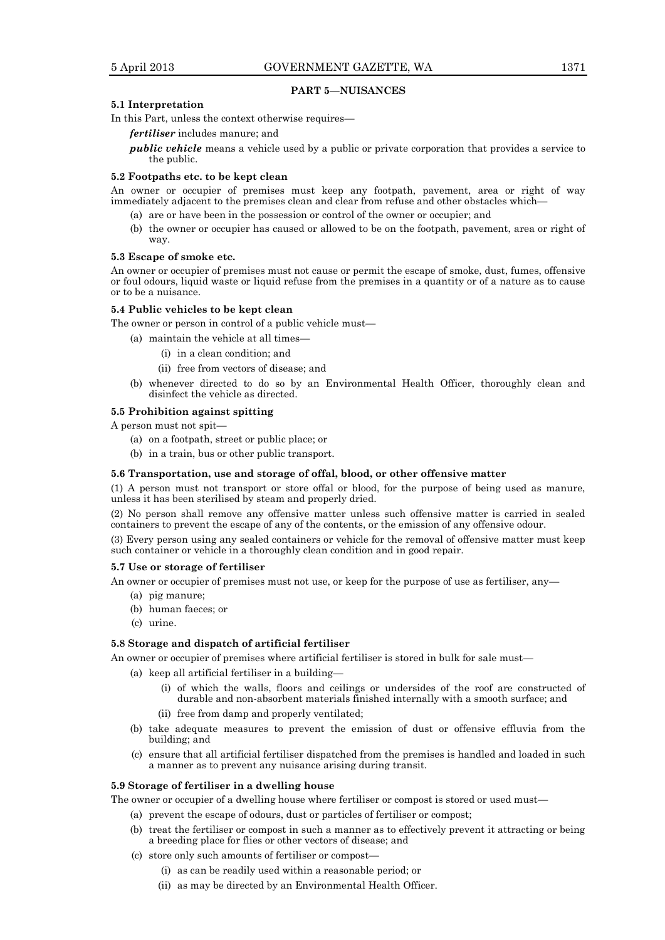# **PART 5—NUISANCES**

#### **5.1 Interpretation**

In this Part, unless the context otherwise requires—

*fertiliser* includes manure; and

*public vehicle* means a vehicle used by a public or private corporation that provides a service to the public.

# **5.2 Footpaths etc. to be kept clean**

An owner or occupier of premises must keep any footpath, pavement, area or right of way immediately adjacent to the premises clean and clear from refuse and other obstacles which—

- (a) are or have been in the possession or control of the owner or occupier; and
- (b) the owner or occupier has caused or allowed to be on the footpath, pavement, area or right of way.

# **5.3 Escape of smoke etc.**

An owner or occupier of premises must not cause or permit the escape of smoke, dust, fumes, offensive or foul odours, liquid waste or liquid refuse from the premises in a quantity or of a nature as to cause or to be a nuisance.

# **5.4 Public vehicles to be kept clean**

The owner or person in control of a public vehicle must—

- (a) maintain the vehicle at all times-
	- (i) in a clean condition; and
	- (ii) free from vectors of disease; and
- (b) whenever directed to do so by an Environmental Health Officer, thoroughly clean and disinfect the vehicle as directed.

# **5.5 Prohibition against spitting**

A person must not spit—

- (a) on a footpath, street or public place; or
- (b) in a train, bus or other public transport.

### **5.6 Transportation, use and storage of offal, blood, or other offensive matter**

(1) A person must not transport or store offal or blood, for the purpose of being used as manure, unless it has been sterilised by steam and properly dried.

(2) No person shall remove any offensive matter unless such offensive matter is carried in sealed containers to prevent the escape of any of the contents, or the emission of any offensive odour.

(3) Every person using any sealed containers or vehicle for the removal of offensive matter must keep such container or vehicle in a thoroughly clean condition and in good repair.

# **5.7 Use or storage of fertiliser**

An owner or occupier of premises must not use, or keep for the purpose of use as fertiliser, any—

- (a) pig manure;
- (b) human faeces; or
- (c) urine.

#### **5.8 Storage and dispatch of artificial fertiliser**

An owner or occupier of premises where artificial fertiliser is stored in bulk for sale must—

- (a) keep all artificial fertiliser in a building—
	- (i) of which the walls, floors and ceilings or undersides of the roof are constructed of durable and non-absorbent materials finished internally with a smooth surface; and
	- (ii) free from damp and properly ventilated;
- (b) take adequate measures to prevent the emission of dust or offensive effluvia from the building; and
- (c) ensure that all artificial fertiliser dispatched from the premises is handled and loaded in such a manner as to prevent any nuisance arising during transit.

# **5.9 Storage of fertiliser in a dwelling house**

The owner or occupier of a dwelling house where fertiliser or compost is stored or used must—

- (a) prevent the escape of odours, dust or particles of fertiliser or compost;
- (b) treat the fertiliser or compost in such a manner as to effectively prevent it attracting or being a breeding place for flies or other vectors of disease; and
- (c) store only such amounts of fertiliser or compost—
	- (i) as can be readily used within a reasonable period; or
	- (ii) as may be directed by an Environmental Health Officer.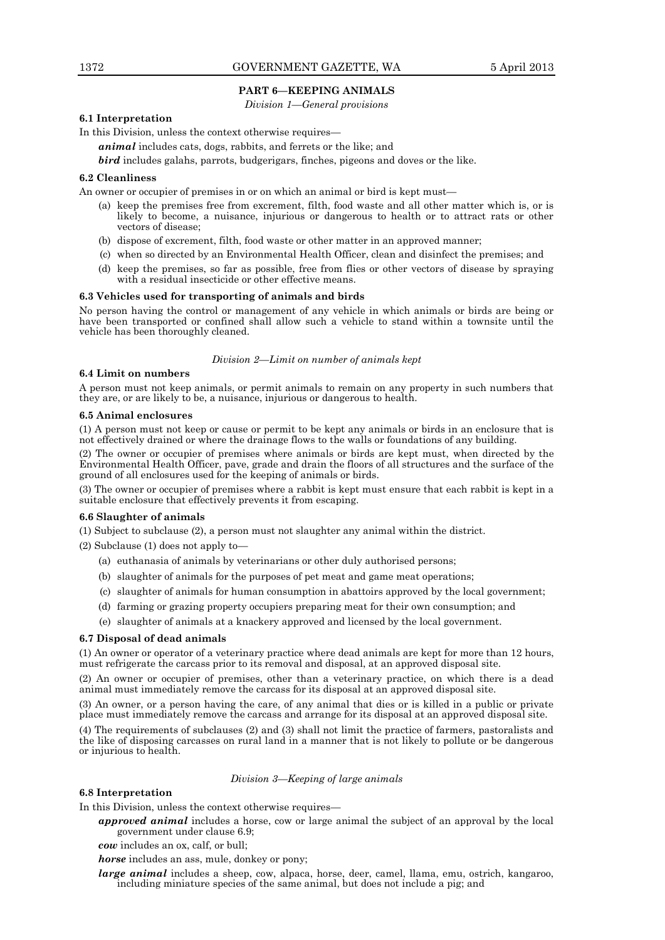# **PART 6—KEEPING ANIMALS**

*Division 1—General provisions*

# **6.1 Interpretation**

In this Division, unless the context otherwise requires—

*animal* includes cats, dogs, rabbits, and ferrets or the like; and

*bird* includes galahs, parrots, budgerigars, finches, pigeons and doves or the like.

# **6.2 Cleanliness**

An owner or occupier of premises in or on which an animal or bird is kept must—

- (a) keep the premises free from excrement, filth, food waste and all other matter which is, or is likely to become, a nuisance, injurious or dangerous to health or to attract rats or other vectors of disease;
- (b) dispose of excrement, filth, food waste or other matter in an approved manner;
- (c) when so directed by an Environmental Health Officer, clean and disinfect the premises; and
- (d) keep the premises, so far as possible, free from flies or other vectors of disease by spraying with a residual insecticide or other effective means.

#### **6.3 Vehicles used for transporting of animals and birds**

No person having the control or management of any vehicle in which animals or birds are being or have been transported or confined shall allow such a vehicle to stand within a townsite until the vehicle has been thoroughly cleaned.

# *Division 2—Limit on number of animals kept*

# **6.4 Limit on numbers**

A person must not keep animals, or permit animals to remain on any property in such numbers that they are, or are likely to be, a nuisance, injurious or dangerous to health.

#### **6.5 Animal enclosures**

(1) A person must not keep or cause or permit to be kept any animals or birds in an enclosure that is not effectively drained or where the drainage flows to the walls or foundations of any building.

(2) The owner or occupier of premises where animals or birds are kept must, when directed by the Environmental Health Officer, pave, grade and drain the floors of all structures and the surface of the ground of all enclosures used for the keeping of animals or birds.

(3) The owner or occupier of premises where a rabbit is kept must ensure that each rabbit is kept in a suitable enclosure that effectively prevents it from escaping.

# **6.6 Slaughter of animals**

(1) Subject to subclause (2), a person must not slaughter any animal within the district.

(2) Subclause (1) does not apply to—

- (a) euthanasia of animals by veterinarians or other duly authorised persons;
- (b) slaughter of animals for the purposes of pet meat and game meat operations;
- (c) slaughter of animals for human consumption in abattoirs approved by the local government;
- (d) farming or grazing property occupiers preparing meat for their own consumption; and
- (e) slaughter of animals at a knackery approved and licensed by the local government.

#### **6.7 Disposal of dead animals**

(1) An owner or operator of a veterinary practice where dead animals are kept for more than 12 hours, must refrigerate the carcass prior to its removal and disposal, at an approved disposal site.

(2) An owner or occupier of premises, other than a veterinary practice, on which there is a dead animal must immediately remove the carcass for its disposal at an approved disposal site.

(3) An owner, or a person having the care, of any animal that dies or is killed in a public or private place must immediately remove the carcass and arrange for its disposal at an approved disposal site.

(4) The requirements of subclauses (2) and (3) shall not limit the practice of farmers, pastoralists and the like of disposing carcasses on rural land in a manner that is not likely to pollute or be dangerous or injurious to health.

#### *Division 3—Keeping of large animals*

# **6.8 Interpretation**

In this Division, unless the context otherwise requires—

*approved animal* includes a horse, cow or large animal the subject of an approval by the local government under clause 6.9;

*cow* includes an ox, calf, or bull;

*horse* includes an ass, mule, donkey or pony;

*large animal* includes a sheep, cow, alpaca, horse, deer, camel, llama, emu, ostrich, kangaroo, including miniature species of the same animal, but does not include a pig; and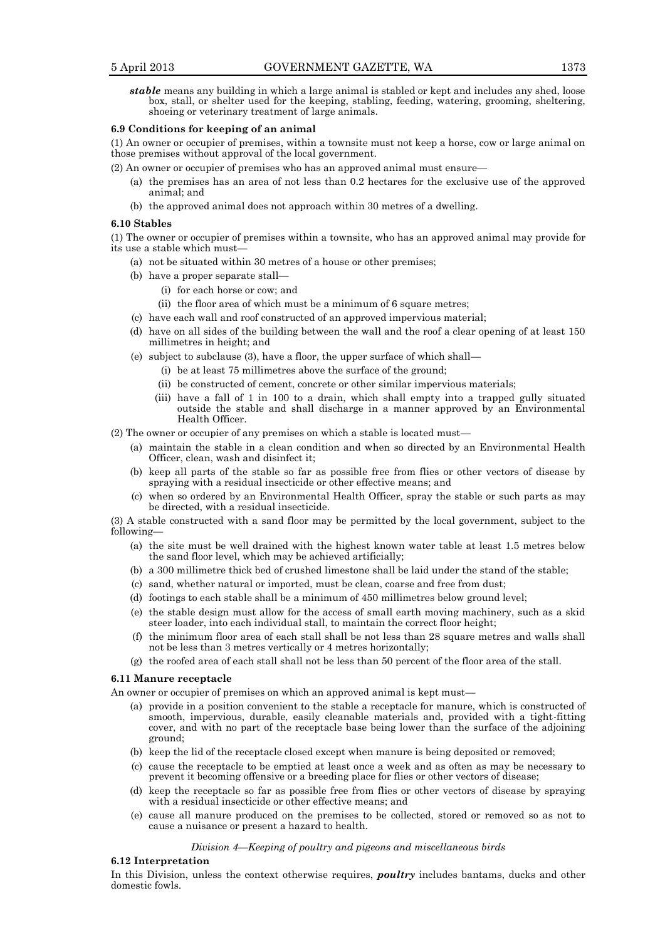*stable* means any building in which a large animal is stabled or kept and includes any shed, loose box, stall, or shelter used for the keeping, stabling, feeding, watering, grooming, sheltering, shoeing or veterinary treatment of large animals.

# **6.9 Conditions for keeping of an animal**

(1) An owner or occupier of premises, within a townsite must not keep a horse, cow or large animal on those premises without approval of the local government.

(2) An owner or occupier of premises who has an approved animal must ensure—

- (a) the premises has an area of not less than 0.2 hectares for the exclusive use of the approved animal; and
- (b) the approved animal does not approach within 30 metres of a dwelling.

#### **6.10 Stables**

(1) The owner or occupier of premises within a townsite, who has an approved animal may provide for its use a stable which must—

- (a) not be situated within 30 metres of a house or other premises;
- (b) have a proper separate stall—
	- (i) for each horse or cow; and
	- (ii) the floor area of which must be a minimum of 6 square metres;
- (c) have each wall and roof constructed of an approved impervious material;
- (d) have on all sides of the building between the wall and the roof a clear opening of at least 150 millimetres in height; and
- (e) subject to subclause (3), have a floor, the upper surface of which shall—
	- (i) be at least 75 millimetres above the surface of the ground;
	- (ii) be constructed of cement, concrete or other similar impervious materials;
	- (iii) have a fall of 1 in 100 to a drain, which shall empty into a trapped gully situated outside the stable and shall discharge in a manner approved by an Environmental Health Officer.

(2) The owner or occupier of any premises on which a stable is located must—

- (a) maintain the stable in a clean condition and when so directed by an Environmental Health Officer, clean, wash and disinfect it;
- (b) keep all parts of the stable so far as possible free from flies or other vectors of disease by spraying with a residual insecticide or other effective means; and
- (c) when so ordered by an Environmental Health Officer, spray the stable or such parts as may be directed, with a residual insecticide.

(3) A stable constructed with a sand floor may be permitted by the local government, subject to the following—

- (a) the site must be well drained with the highest known water table at least 1.5 metres below the sand floor level, which may be achieved artificially;
- (b) a 300 millimetre thick bed of crushed limestone shall be laid under the stand of the stable;
- (c) sand, whether natural or imported, must be clean, coarse and free from dust;
- (d) footings to each stable shall be a minimum of 450 millimetres below ground level;
- (e) the stable design must allow for the access of small earth moving machinery, such as a skid steer loader, into each individual stall, to maintain the correct floor height;
- (f) the minimum floor area of each stall shall be not less than 28 square metres and walls shall not be less than 3 metres vertically or 4 metres horizontally;
- (g) the roofed area of each stall shall not be less than 50 percent of the floor area of the stall.

#### **6.11 Manure receptacle**

An owner or occupier of premises on which an approved animal is kept must—

- (a) provide in a position convenient to the stable a receptacle for manure, which is constructed of smooth, impervious, durable, easily cleanable materials and, provided with a tight-fitting cover, and with no part of the receptacle base being lower than the surface of the adjoining ground;
- (b) keep the lid of the receptacle closed except when manure is being deposited or removed;
- (c) cause the receptacle to be emptied at least once a week and as often as may be necessary to prevent it becoming offensive or a breeding place for flies or other vectors of disease;
- (d) keep the receptacle so far as possible free from flies or other vectors of disease by spraying with a residual insecticide or other effective means; and
- (e) cause all manure produced on the premises to be collected, stored or removed so as not to cause a nuisance or present a hazard to health.

# *Division 4—Keeping of poultry and pigeons and miscellaneous birds*

# **6.12 Interpretation**

In this Division, unless the context otherwise requires, *poultry* includes bantams, ducks and other domestic fowls.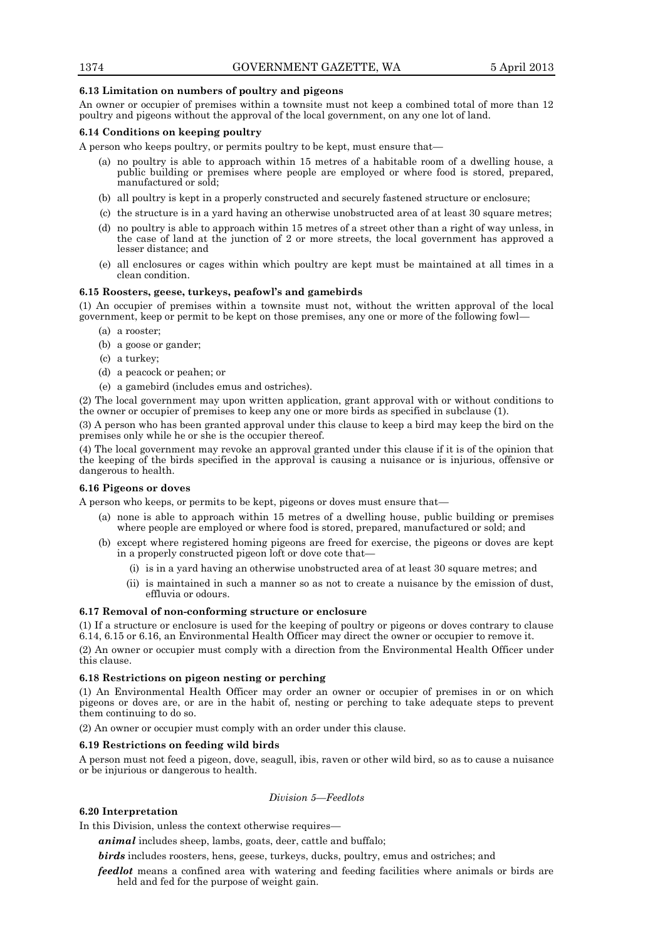# **6.13 Limitation on numbers of poultry and pigeons**

An owner or occupier of premises within a townsite must not keep a combined total of more than 12 poultry and pigeons without the approval of the local government, on any one lot of land.

# **6.14 Conditions on keeping poultry**

A person who keeps poultry, or permits poultry to be kept, must ensure that—

- (a) no poultry is able to approach within 15 metres of a habitable room of a dwelling house, a public building or premises where people are employed or where food is stored, prepared, manufactured or sold;
- (b) all poultry is kept in a properly constructed and securely fastened structure or enclosure;
- (c) the structure is in a yard having an otherwise unobstructed area of at least 30 square metres;
- (d) no poultry is able to approach within 15 metres of a street other than a right of way unless, in the case of land at the junction of 2 or more streets, the local government has approved a lesser distance; and
- (e) all enclosures or cages within which poultry are kept must be maintained at all times in a clean condition.

# **6.15 Roosters, geese, turkeys, peafowl's and gamebirds**

(1) An occupier of premises within a townsite must not, without the written approval of the local government, keep or permit to be kept on those premises, any one or more of the following fowl—

- (a) a rooster;
- (b) a goose or gander;
- (c) a turkey;
- (d) a peacock or peahen; or
- (e) a gamebird (includes emus and ostriches).

(2) The local government may upon written application, grant approval with or without conditions to the owner or occupier of premises to keep any one or more birds as specified in subclause (1).

(3) A person who has been granted approval under this clause to keep a bird may keep the bird on the premises only while he or she is the occupier thereof.

(4) The local government may revoke an approval granted under this clause if it is of the opinion that the keeping of the birds specified in the approval is causing a nuisance or is injurious, offensive or dangerous to health.

#### **6.16 Pigeons or doves**

A person who keeps, or permits to be kept, pigeons or doves must ensure that—

- (a) none is able to approach within 15 metres of a dwelling house, public building or premises where people are employed or where food is stored, prepared, manufactured or sold; and
- (b) except where registered homing pigeons are freed for exercise, the pigeons or doves are kept in a properly constructed pigeon loft or dove cote that—
	- (i) is in a yard having an otherwise unobstructed area of at least 30 square metres; and
	- (ii) is maintained in such a manner so as not to create a nuisance by the emission of dust, effluvia or odours.

# **6.17 Removal of non-conforming structure or enclosure**

(1) If a structure or enclosure is used for the keeping of poultry or pigeons or doves contrary to clause 6.14, 6.15 or 6.16, an Environmental Health Officer may direct the owner or occupier to remove it.

(2) An owner or occupier must comply with a direction from the Environmental Health Officer under this clause.

# **6.18 Restrictions on pigeon nesting or perching**

(1) An Environmental Health Officer may order an owner or occupier of premises in or on which pigeons or doves are, or are in the habit of, nesting or perching to take adequate steps to prevent them continuing to do so.

(2) An owner or occupier must comply with an order under this clause.

#### **6.19 Restrictions on feeding wild birds**

A person must not feed a pigeon, dove, seagull, ibis, raven or other wild bird, so as to cause a nuisance or be injurious or dangerous to health.

## *Division 5—Feedlots*

# **6.20 Interpretation**

In this Division, unless the context otherwise requires—

*animal* includes sheep, lambs, goats, deer, cattle and buffalo;

*birds* includes roosters, hens, geese, turkeys, ducks, poultry, emus and ostriches; and

*feedlot* means a confined area with watering and feeding facilities where animals or birds are held and fed for the purpose of weight gain.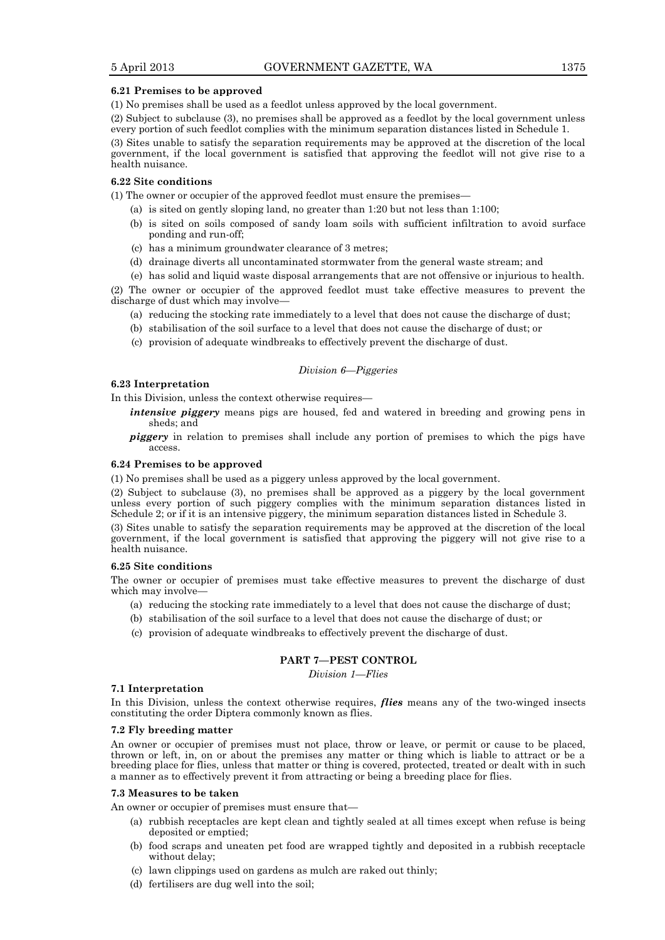# **6.21 Premises to be approved**

(1) No premises shall be used as a feedlot unless approved by the local government.

(2) Subject to subclause (3), no premises shall be approved as a feedlot by the local government unless every portion of such feedlot complies with the minimum separation distances listed in Schedule 1.

(3) Sites unable to satisfy the separation requirements may be approved at the discretion of the local government, if the local government is satisfied that approving the feedlot will not give rise to a health nuisance.

# **6.22 Site conditions**

(1) The owner or occupier of the approved feedlot must ensure the premises—

- (a) is sited on gently sloping land, no greater than 1:20 but not less than 1:100;
- (b) is sited on soils composed of sandy loam soils with sufficient infiltration to avoid surface ponding and run-off;
- (c) has a minimum groundwater clearance of 3 metres;
- (d) drainage diverts all uncontaminated stormwater from the general waste stream; and

(e) has solid and liquid waste disposal arrangements that are not offensive or injurious to health. (2) The owner or occupier of the approved feedlot must take effective measures to prevent the discharge of dust which may involve—

- (a) reducing the stocking rate immediately to a level that does not cause the discharge of dust;
- (b) stabilisation of the soil surface to a level that does not cause the discharge of dust; or
- (c) provision of adequate windbreaks to effectively prevent the discharge of dust.

#### *Division 6—Piggeries*

#### **6.23 Interpretation**

In this Division, unless the context otherwise requires—

*intensive piggery* means pigs are housed, fed and watered in breeding and growing pens in sheds; and

*piggery* in relation to premises shall include any portion of premises to which the pigs have access.

## **6.24 Premises to be approved**

(1) No premises shall be used as a piggery unless approved by the local government.

(2) Subject to subclause (3), no premises shall be approved as a piggery by the local government unless every portion of such piggery complies with the minimum separation distances listed in Schedule 2; or if it is an intensive piggery, the minimum separation distances listed in Schedule 3.

(3) Sites unable to satisfy the separation requirements may be approved at the discretion of the local government, if the local government is satisfied that approving the piggery will not give rise to a health nuisance.

# **6.25 Site conditions**

The owner or occupier of premises must take effective measures to prevent the discharge of dust which may involve—

- (a) reducing the stocking rate immediately to a level that does not cause the discharge of dust;
- (b) stabilisation of the soil surface to a level that does not cause the discharge of dust; or
- (c) provision of adequate windbreaks to effectively prevent the discharge of dust.

# **PART 7—PEST CONTROL**

*Division 1—Flies*

# **7.1 Interpretation**

In this Division, unless the context otherwise requires, *flies* means any of the two-winged insects constituting the order Diptera commonly known as flies.

# **7.2 Fly breeding matter**

An owner or occupier of premises must not place, throw or leave, or permit or cause to be placed, thrown or left, in, on or about the premises any matter or thing which is liable to attract or be a breeding place for flies, unless that matter or thing is covered, protected, treated or dealt with in such a manner as to effectively prevent it from attracting or being a breeding place for flies.

# **7.3 Measures to be taken**

An owner or occupier of premises must ensure that—

- (a) rubbish receptacles are kept clean and tightly sealed at all times except when refuse is being deposited or emptied;
- (b) food scraps and uneaten pet food are wrapped tightly and deposited in a rubbish receptacle without delay;
- (c) lawn clippings used on gardens as mulch are raked out thinly;
- (d) fertilisers are dug well into the soil;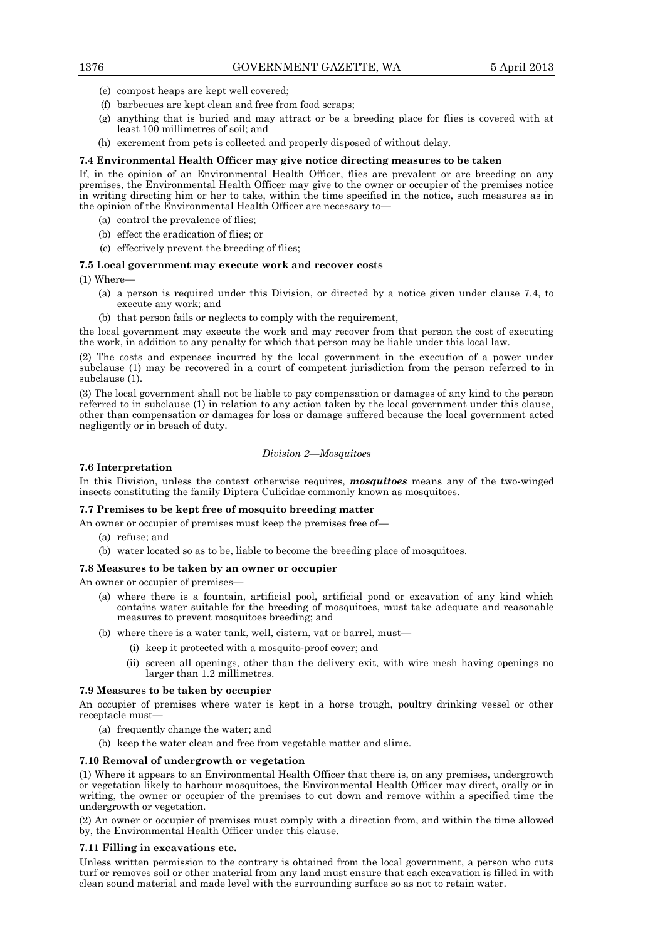- (e) compost heaps are kept well covered;
- (f) barbecues are kept clean and free from food scraps;
- (g) anything that is buried and may attract or be a breeding place for flies is covered with at least 100 millimetres of soil; and
- (h) excrement from pets is collected and properly disposed of without delay.

#### **7.4 Environmental Health Officer may give notice directing measures to be taken**

If, in the opinion of an Environmental Health Officer, flies are prevalent or are breeding on any premises, the Environmental Health Officer may give to the owner or occupier of the premises notice in writing directing him or her to take, within the time specified in the notice, such measures as in the opinion of the Environmental Health Officer are necessary to—

- (a) control the prevalence of flies;
- (b) effect the eradication of flies; or
- (c) effectively prevent the breeding of flies;

#### **7.5 Local government may execute work and recover costs**

(1) Where—

- (a) a person is required under this Division, or directed by a notice given under clause 7.4, to execute any work; and
- (b) that person fails or neglects to comply with the requirement,

the local government may execute the work and may recover from that person the cost of executing the work, in addition to any penalty for which that person may be liable under this local law.

(2) The costs and expenses incurred by the local government in the execution of a power under subclause (1) may be recovered in a court of competent jurisdiction from the person referred to in subclause (1).

(3) The local government shall not be liable to pay compensation or damages of any kind to the person referred to in subclause (1) in relation to any action taken by the local government under this clause, other than compensation or damages for loss or damage suffered because the local government acted negligently or in breach of duty.

#### *Division 2—Mosquitoes*

#### **7.6 Interpretation**

In this Division, unless the context otherwise requires, *mosquitoes* means any of the two-winged insects constituting the family Diptera Culicidae commonly known as mosquitoes.

#### **7.7 Premises to be kept free of mosquito breeding matter**

- An owner or occupier of premises must keep the premises free of—
	- (a) refuse; and
	- (b) water located so as to be, liable to become the breeding place of mosquitoes.

#### **7.8 Measures to be taken by an owner or occupier**

An owner or occupier of premises—

- (a) where there is a fountain, artificial pool, artificial pond or excavation of any kind which contains water suitable for the breeding of mosquitoes, must take adequate and reasonable measures to prevent mosquitoes breeding; and
- (b) where there is a water tank, well, cistern, vat or barrel, must—
	- (i) keep it protected with a mosquito-proof cover; and
	- (ii) screen all openings, other than the delivery exit, with wire mesh having openings no larger than 1.2 millimetres.

# **7.9 Measures to be taken by occupier**

An occupier of premises where water is kept in a horse trough, poultry drinking vessel or other receptacle must—

- (a) frequently change the water; and
- (b) keep the water clean and free from vegetable matter and slime.

# **7.10 Removal of undergrowth or vegetation**

(1) Where it appears to an Environmental Health Officer that there is, on any premises, undergrowth or vegetation likely to harbour mosquitoes, the Environmental Health Officer may direct, orally or in writing, the owner or occupier of the premises to cut down and remove within a specified time the undergrowth or vegetation.

(2) An owner or occupier of premises must comply with a direction from, and within the time allowed by, the Environmental Health Officer under this clause.

# **7.11 Filling in excavations etc.**

Unless written permission to the contrary is obtained from the local government, a person who cuts turf or removes soil or other material from any land must ensure that each excavation is filled in with clean sound material and made level with the surrounding surface so as not to retain water.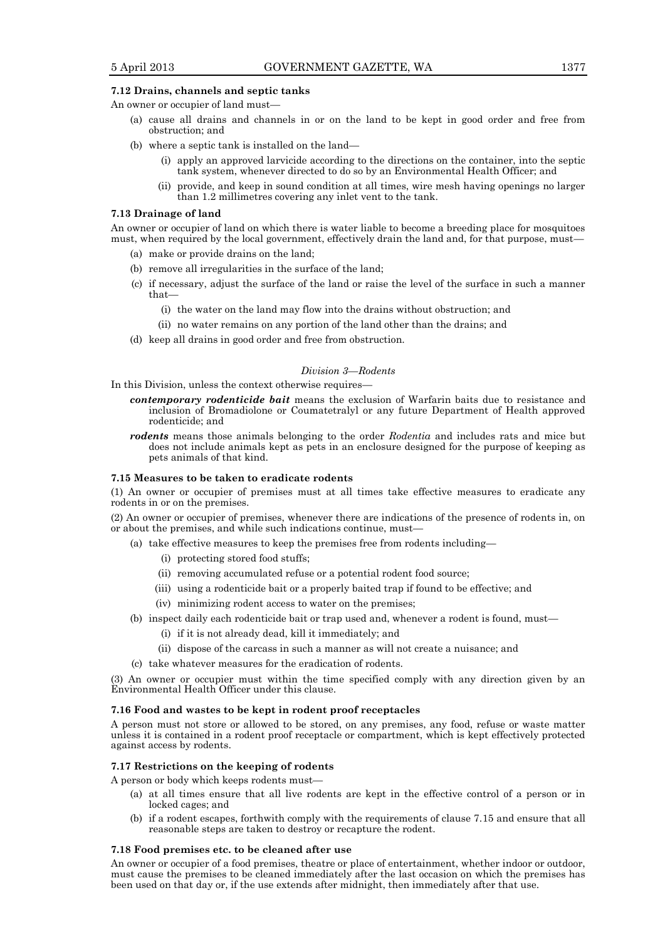# **7.12 Drains, channels and septic tanks**

An owner or occupier of land must—

- (a) cause all drains and channels in or on the land to be kept in good order and free from obstruction; and
- (b) where a septic tank is installed on the land—
	- (i) apply an approved larvicide according to the directions on the container, into the septic tank system, whenever directed to do so by an Environmental Health Officer; and
	- (ii) provide, and keep in sound condition at all times, wire mesh having openings no larger than 1.2 millimetres covering any inlet vent to the tank.

#### **7.13 Drainage of land**

An owner or occupier of land on which there is water liable to become a breeding place for mosquitoes must, when required by the local government, effectively drain the land and, for that purpose, must—

- (a) make or provide drains on the land;
- (b) remove all irregularities in the surface of the land;
- (c) if necessary, adjust the surface of the land or raise the level of the surface in such a manner that—
	- (i) the water on the land may flow into the drains without obstruction; and
	- (ii) no water remains on any portion of the land other than the drains; and
- (d) keep all drains in good order and free from obstruction.

# *Division 3—Rodents*

In this Division, unless the context otherwise requires—

- *contemporary rodenticide bait* means the exclusion of Warfarin baits due to resistance and inclusion of Bromadiolone or Coumatetralyl or any future Department of Health approved rodenticide; and
- *rodents* means those animals belonging to the order *Rodentia* and includes rats and mice but does not include animals kept as pets in an enclosure designed for the purpose of keeping as pets animals of that kind.

#### **7.15 Measures to be taken to eradicate rodents**

(1) An owner or occupier of premises must at all times take effective measures to eradicate any rodents in or on the premises.

(2) An owner or occupier of premises, whenever there are indications of the presence of rodents in, on or about the premises, and while such indications continue, must—

- (a) take effective measures to keep the premises free from rodents including—
	- (i) protecting stored food stuffs;
	- (ii) removing accumulated refuse or a potential rodent food source;
	- (iii) using a rodenticide bait or a properly baited trap if found to be effective; and
	- (iv) minimizing rodent access to water on the premises;
- (b) inspect daily each rodenticide bait or trap used and, whenever a rodent is found, must—
	- (i) if it is not already dead, kill it immediately; and
	- (ii) dispose of the carcass in such a manner as will not create a nuisance; and
- (c) take whatever measures for the eradication of rodents.

(3) An owner or occupier must within the time specified comply with any direction given by an Environmental Health Officer under this clause.

#### **7.16 Food and wastes to be kept in rodent proof receptacles**

A person must not store or allowed to be stored, on any premises, any food, refuse or waste matter unless it is contained in a rodent proof receptacle or compartment, which is kept effectively protected against access by rodents.

# **7.17 Restrictions on the keeping of rodents**

A person or body which keeps rodents must—

- (a) at all times ensure that all live rodents are kept in the effective control of a person or in locked cages; and
- (b) if a rodent escapes, forthwith comply with the requirements of clause 7.15 and ensure that all reasonable steps are taken to destroy or recapture the rodent.

# **7.18 Food premises etc. to be cleaned after use**

An owner or occupier of a food premises, theatre or place of entertainment, whether indoor or outdoor, must cause the premises to be cleaned immediately after the last occasion on which the premises has been used on that day or, if the use extends after midnight, then immediately after that use.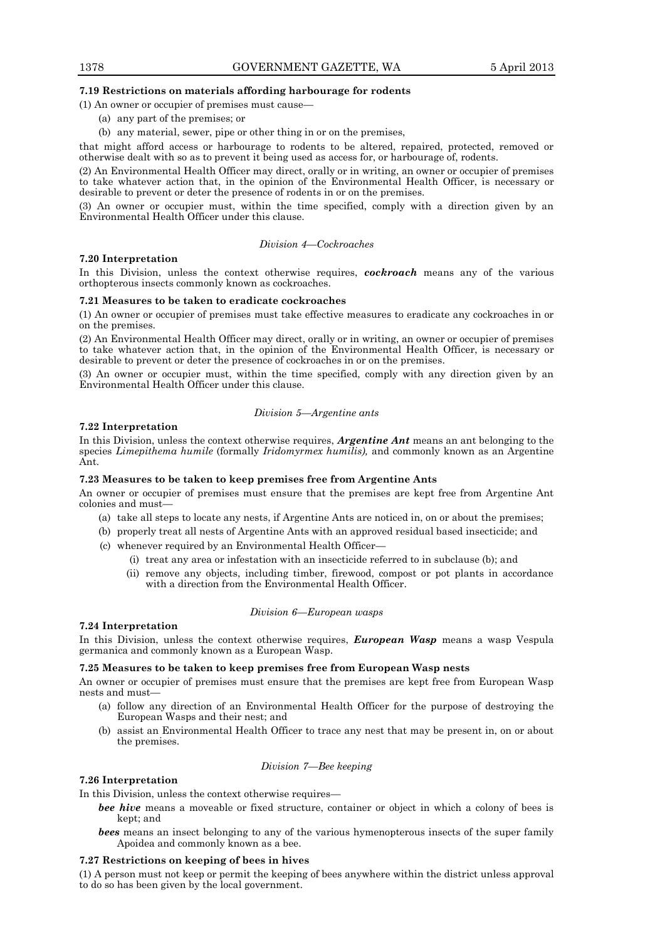# **7.19 Restrictions on materials affording harbourage for rodents**

(1) An owner or occupier of premises must cause—

- (a) any part of the premises; or
- (b) any material, sewer, pipe or other thing in or on the premises,

that might afford access or harbourage to rodents to be altered, repaired, protected, removed or otherwise dealt with so as to prevent it being used as access for, or harbourage of, rodents.

(2) An Environmental Health Officer may direct, orally or in writing, an owner or occupier of premises to take whatever action that, in the opinion of the Environmental Health Officer, is necessary or desirable to prevent or deter the presence of rodents in or on the premises.

(3) An owner or occupier must, within the time specified, comply with a direction given by an Environmental Health Officer under this clause.

# *Division 4—Cockroaches*

#### **7.20 Interpretation**

In this Division, unless the context otherwise requires, *cockroach* means any of the various orthopterous insects commonly known as cockroaches.

# **7.21 Measures to be taken to eradicate cockroaches**

(1) An owner or occupier of premises must take effective measures to eradicate any cockroaches in or on the premises.

(2) An Environmental Health Officer may direct, orally or in writing, an owner or occupier of premises to take whatever action that, in the opinion of the Environmental Health Officer, is necessary or desirable to prevent or deter the presence of cockroaches in or on the premises.

(3) An owner or occupier must, within the time specified, comply with any direction given by an Environmental Health Officer under this clause.

#### *Division 5—Argentine ants*

#### **7.22 Interpretation**

In this Division, unless the context otherwise requires, *Argentine Ant* means an ant belonging to the species *Limepithema humile* (formally *Iridomyrmex humilis),* and commonly known as an Argentine Ant.

# **7.23 Measures to be taken to keep premises free from Argentine Ants**

An owner or occupier of premises must ensure that the premises are kept free from Argentine Ant colonies and must—

- (a) take all steps to locate any nests, if Argentine Ants are noticed in, on or about the premises;
- (b) properly treat all nests of Argentine Ants with an approved residual based insecticide; and
- (c) whenever required by an Environmental Health Officer—
	- (i) treat any area or infestation with an insecticide referred to in subclause (b); and
	- (ii) remove any objects, including timber, firewood, compost or pot plants in accordance with a direction from the Environmental Health Officer.

# *Division 6—European wasps*

## **7.24 Interpretation**

In this Division, unless the context otherwise requires, *European Wasp* means a wasp Vespula germanica and commonly known as a European Wasp.

# **7.25 Measures to be taken to keep premises free from European Wasp nests**

An owner or occupier of premises must ensure that the premises are kept free from European Wasp nests and must—

- (a) follow any direction of an Environmental Health Officer for the purpose of destroying the European Wasps and their nest; and
- (b) assist an Environmental Health Officer to trace any nest that may be present in, on or about the premises.

#### *Division 7—Bee keeping*

# **7.26 Interpretation**

In this Division, unless the context otherwise requires—

- *bee hive* means a moveable or fixed structure, container or object in which a colony of bees is kept; and
- *bees* means an insect belonging to any of the various hymenopterous insects of the super family Apoidea and commonly known as a bee.

# **7.27 Restrictions on keeping of bees in hives**

(1) A person must not keep or permit the keeping of bees anywhere within the district unless approval to do so has been given by the local government.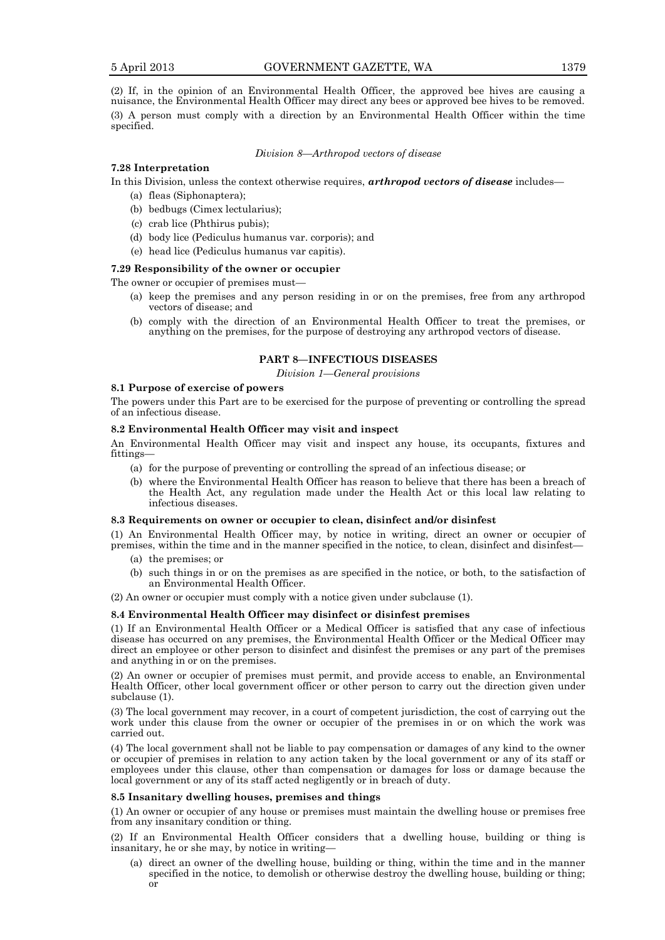(2) If, in the opinion of an Environmental Health Officer, the approved bee hives are causing a nuisance, the Environmental Health Officer may direct any bees or approved bee hives to be removed. (3) A person must comply with a direction by an Environmental Health Officer within the time specified.

# *Division 8—Arthropod vectors of disease*

# **7.28 Interpretation**

In this Division, unless the context otherwise requires, *arthropod vectors of disease* includes—

- (a) fleas (Siphonaptera);
- (b) bedbugs (Cimex lectularius);
- (c) crab lice (Phthirus pubis);
- (d) body lice (Pediculus humanus var. corporis); and
- (e) head lice (Pediculus humanus var capitis).

## **7.29 Responsibility of the owner or occupier**

The owner or occupier of premises must—

- (a) keep the premises and any person residing in or on the premises, free from any arthropod vectors of disease; and
- (b) comply with the direction of an Environmental Health Officer to treat the premises, or anything on the premises, for the purpose of destroying any arthropod vectors of disease.

# **PART 8—INFECTIOUS DISEASES**

*Division 1—General provisions*

# **8.1 Purpose of exercise of powers**

The powers under this Part are to be exercised for the purpose of preventing or controlling the spread of an infectious disease.

# **8.2 Environmental Health Officer may visit and inspect**

An Environmental Health Officer may visit and inspect any house, its occupants, fixtures and fittings—

- (a) for the purpose of preventing or controlling the spread of an infectious disease; or
- (b) where the Environmental Health Officer has reason to believe that there has been a breach of the Health Act, any regulation made under the Health Act or this local law relating to infectious diseases.

#### **8.3 Requirements on owner or occupier to clean, disinfect and/or disinfest**

(1) An Environmental Health Officer may, by notice in writing, direct an owner or occupier of premises, within the time and in the manner specified in the notice, to clean, disinfect and disinfest—

- (a) the premises; or
- (b) such things in or on the premises as are specified in the notice, or both, to the satisfaction of an Environmental Health Officer.

(2) An owner or occupier must comply with a notice given under subclause (1).

# **8.4 Environmental Health Officer may disinfect or disinfest premises**

(1) If an Environmental Health Officer or a Medical Officer is satisfied that any case of infectious disease has occurred on any premises, the Environmental Health Officer or the Medical Officer may direct an employee or other person to disinfect and disinfest the premises or any part of the premises and anything in or on the premises.

(2) An owner or occupier of premises must permit, and provide access to enable, an Environmental Health Officer, other local government officer or other person to carry out the direction given under subclause (1).

(3) The local government may recover, in a court of competent jurisdiction, the cost of carrying out the work under this clause from the owner or occupier of the premises in or on which the work was carried out.

(4) The local government shall not be liable to pay compensation or damages of any kind to the owner or occupier of premises in relation to any action taken by the local government or any of its staff or employees under this clause, other than compensation or damages for loss or damage because the local government or any of its staff acted negligently or in breach of duty.

#### **8.5 Insanitary dwelling houses, premises and things**

(1) An owner or occupier of any house or premises must maintain the dwelling house or premises free from any insanitary condition or thing.

(2) If an Environmental Health Officer considers that a dwelling house, building or thing is insanitary, he or she may, by notice in writing—

(a) direct an owner of the dwelling house, building or thing, within the time and in the manner specified in the notice, to demolish or otherwise destroy the dwelling house, building or thing; or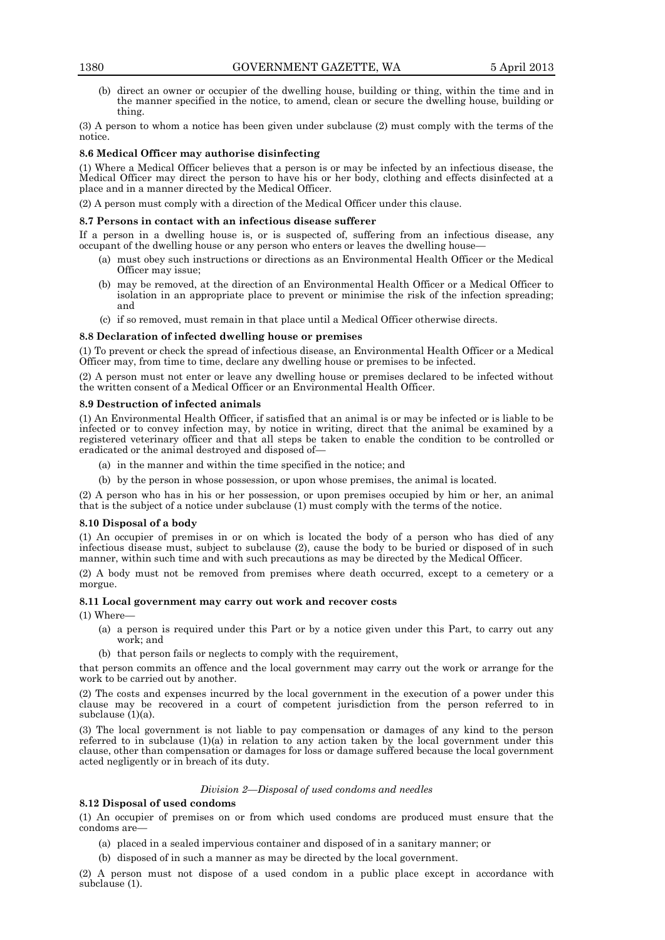(b) direct an owner or occupier of the dwelling house, building or thing, within the time and in the manner specified in the notice, to amend, clean or secure the dwelling house, building or thing.

(3) A person to whom a notice has been given under subclause (2) must comply with the terms of the notice.

# **8.6 Medical Officer may authorise disinfecting**

(1) Where a Medical Officer believes that a person is or may be infected by an infectious disease, the Medical Officer may direct the person to have his or her body, clothing and effects disinfected at a place and in a manner directed by the Medical Officer.

(2) A person must comply with a direction of the Medical Officer under this clause.

# **8.7 Persons in contact with an infectious disease sufferer**

If a person in a dwelling house is, or is suspected of, suffering from an infectious disease, any occupant of the dwelling house or any person who enters or leaves the dwelling house—

- (a) must obey such instructions or directions as an Environmental Health Officer or the Medical Officer may issue;
- (b) may be removed, at the direction of an Environmental Health Officer or a Medical Officer to isolation in an appropriate place to prevent or minimise the risk of the infection spreading; and
- (c) if so removed, must remain in that place until a Medical Officer otherwise directs.

# **8.8 Declaration of infected dwelling house or premises**

(1) To prevent or check the spread of infectious disease, an Environmental Health Officer or a Medical Officer may, from time to time, declare any dwelling house or premises to be infected.

(2) A person must not enter or leave any dwelling house or premises declared to be infected without the written consent of a Medical Officer or an Environmental Health Officer.

# **8.9 Destruction of infected animals**

(1) An Environmental Health Officer, if satisfied that an animal is or may be infected or is liable to be infected or to convey infection may, by notice in writing, direct that the animal be examined by a registered veterinary officer and that all steps be taken to enable the condition to be controlled or eradicated or the animal destroyed and disposed of—

- (a) in the manner and within the time specified in the notice; and
- (b) by the person in whose possession, or upon whose premises, the animal is located.

(2) A person who has in his or her possession, or upon premises occupied by him or her, an animal that is the subject of a notice under subclause (1) must comply with the terms of the notice.

# **8.10 Disposal of a body**

(1) An occupier of premises in or on which is located the body of a person who has died of any infectious disease must, subject to subclause (2), cause the body to be buried or disposed of in such manner, within such time and with such precautions as may be directed by the Medical Officer.

(2) A body must not be removed from premises where death occurred, except to a cemetery or a morgue.

# **8.11 Local government may carry out work and recover costs**

(1) Where—

- (a) a person is required under this Part or by a notice given under this Part, to carry out any work; and
- (b) that person fails or neglects to comply with the requirement,

that person commits an offence and the local government may carry out the work or arrange for the work to be carried out by another.

(2) The costs and expenses incurred by the local government in the execution of a power under this clause may be recovered in a court of competent jurisdiction from the person referred to in subclause (1)(a).

(3) The local government is not liable to pay compensation or damages of any kind to the person referred to in subclause (1)(a) in relation to any action taken by the local government under this clause, other than compensation or damages for loss or damage suffered because the local government acted negligently or in breach of its duty.

# *Division 2—Disposal of used condoms and needles*

# **8.12 Disposal of used condoms**

(1) An occupier of premises on or from which used condoms are produced must ensure that the condoms are-

- (a) placed in a sealed impervious container and disposed of in a sanitary manner; or
- (b) disposed of in such a manner as may be directed by the local government.

(2) A person must not dispose of a used condom in a public place except in accordance with subclause (1).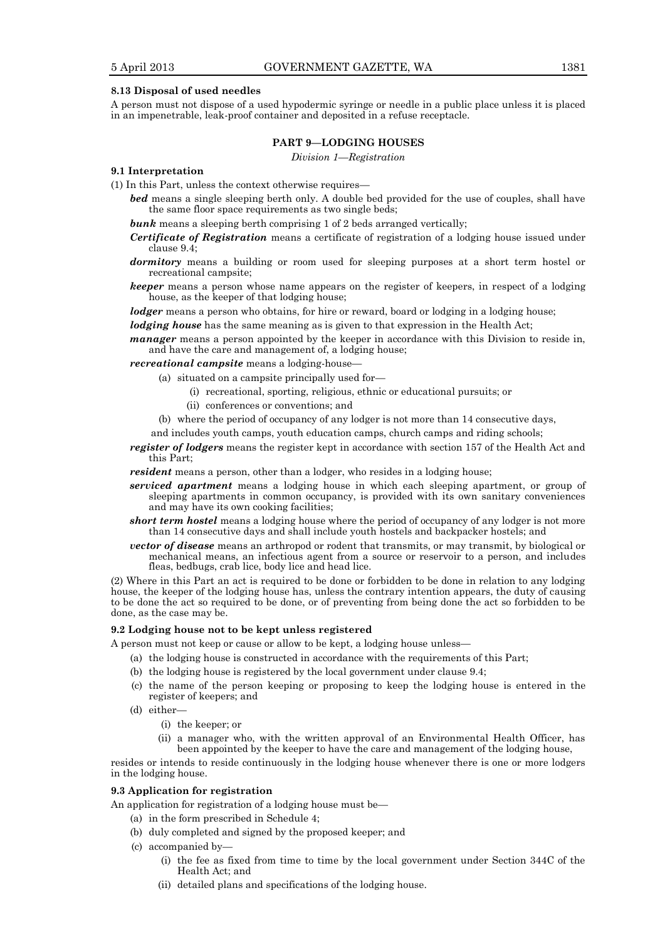# **8.13 Disposal of used needles**

A person must not dispose of a used hypodermic syringe or needle in a public place unless it is placed in an impenetrable, leak-proof container and deposited in a refuse receptacle.

# **PART 9—LODGING HOUSES**

*Division 1—Registration*

#### **9.1 Interpretation**

(1) In this Part, unless the context otherwise requires—

- *bed* means a single sleeping berth only. A double bed provided for the use of couples, shall have the same floor space requirements as two single beds;
- **bunk** means a sleeping berth comprising 1 of 2 beds arranged vertically;
- *Certificate of Registration* means a certificate of registration of a lodging house issued under clause 9.4;
- *dormitory* means a building or room used for sleeping purposes at a short term hostel or recreational campsite;
- *keeper* means a person whose name appears on the register of keepers, in respect of a lodging house, as the keeper of that lodging house;

*lodger* means a person who obtains, for hire or reward, board or lodging in a lodging house;

*lodging house* has the same meaning as is given to that expression in the Health Act;

*manager* means a person appointed by the keeper in accordance with this Division to reside in, and have the care and management of, a lodging house;

*recreational campsite* means a lodging-house—

- (a) situated on a campsite principally used for—
	- (i) recreational, sporting, religious, ethnic or educational pursuits; or
		- (ii) conferences or conventions; and
- (b) where the period of occupancy of any lodger is not more than 14 consecutive days,
- and includes youth camps, youth education camps, church camps and riding schools;
- *register of lodgers* means the register kept in accordance with section 157 of the Health Act and this Part;

*resident* means a person, other than a lodger, who resides in a lodging house;

- *serviced apartment* means a lodging house in which each sleeping apartment, or group of sleeping apartments in common occupancy, is provided with its own sanitary conveniences and may have its own cooking facilities;
- *short term hostel* means a lodging house where the period of occupancy of any lodger is not more than 14 consecutive days and shall include youth hostels and backpacker hostels; and
- *vector of disease* means an arthropod or rodent that transmits, or may transmit, by biological or mechanical means, an infectious agent from a source or reservoir to a person, and includes fleas, bedbugs, crab lice, body lice and head lice.

(2) Where in this Part an act is required to be done or forbidden to be done in relation to any lodging house, the keeper of the lodging house has, unless the contrary intention appears, the duty of causing to be done the act so required to be done, or of preventing from being done the act so forbidden to be done, as the case may be.

# **9.2 Lodging house not to be kept unless registered**

A person must not keep or cause or allow to be kept, a lodging house unless—

- (a) the lodging house is constructed in accordance with the requirements of this Part;
- (b) the lodging house is registered by the local government under clause 9.4;
- (c) the name of the person keeping or proposing to keep the lodging house is entered in the register of keepers; and
- (d) either—
	- (i) the keeper; or
	- (ii) a manager who, with the written approval of an Environmental Health Officer, has been appointed by the keeper to have the care and management of the lodging house,

resides or intends to reside continuously in the lodging house whenever there is one or more lodgers in the lodging house.

# **9.3 Application for registration**

An application for registration of a lodging house must be—

- (a) in the form prescribed in Schedule 4;
- (b) duly completed and signed by the proposed keeper; and
- (c) accompanied by—
	- (i) the fee as fixed from time to time by the local government under Section 344C of the Health Act; and
	- (ii) detailed plans and specifications of the lodging house.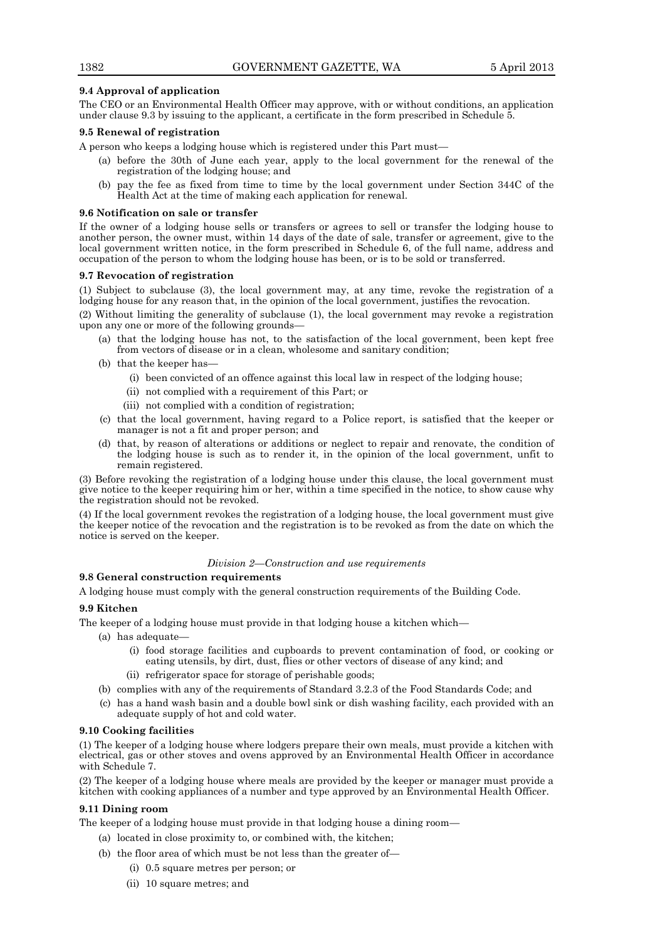# **9.4 Approval of application**

The CEO or an Environmental Health Officer may approve, with or without conditions, an application under clause 9.3 by issuing to the applicant, a certificate in the form prescribed in Schedule 5.

# **9.5 Renewal of registration**

A person who keeps a lodging house which is registered under this Part must—

- (a) before the 30th of June each year, apply to the local government for the renewal of the registration of the lodging house; and
- pay the fee as fixed from time to time by the local government under Section 344C of the Health Act at the time of making each application for renewal.

# **9.6 Notification on sale or transfer**

If the owner of a lodging house sells or transfers or agrees to sell or transfer the lodging house to another person, the owner must, within 14 days of the date of sale, transfer or agreement, give to the local government written notice, in the form prescribed in Schedule 6, of the full name, address and occupation of the person to whom the lodging house has been, or is to be sold or transferred.

# **9.7 Revocation of registration**

(1) Subject to subclause (3), the local government may, at any time, revoke the registration of a lodging house for any reason that, in the opinion of the local government, justifies the revocation.

(2) Without limiting the generality of subclause (1), the local government may revoke a registration upon any one or more of the following grounds—

- (a) that the lodging house has not, to the satisfaction of the local government, been kept free from vectors of disease or in a clean, wholesome and sanitary condition;
- (b) that the keeper has-
	- (i) been convicted of an offence against this local law in respect of the lodging house;
	- (ii) not complied with a requirement of this Part; or
	- (iii) not complied with a condition of registration;
- (c) that the local government, having regard to a Police report, is satisfied that the keeper or manager is not a fit and proper person; and
- (d) that, by reason of alterations or additions or neglect to repair and renovate, the condition of the lodging house is such as to render it, in the opinion of the local government, unfit to remain registered.

(3) Before revoking the registration of a lodging house under this clause, the local government must give notice to the keeper requiring him or her, within a time specified in the notice, to show cause why the registration should not be revoked.

(4) If the local government revokes the registration of a lodging house, the local government must give the keeper notice of the revocation and the registration is to be revoked as from the date on which the notice is served on the keeper.

# *Division 2—Construction and use requirements*

# **9.8 General construction requirements**

A lodging house must comply with the general construction requirements of the Building Code.

# **9.9 Kitchen**

The keeper of a lodging house must provide in that lodging house a kitchen which—

- (a) has adequate—
	- (i) food storage facilities and cupboards to prevent contamination of food, or cooking or eating utensils, by dirt, dust, flies or other vectors of disease of any kind; and
	- (ii) refrigerator space for storage of perishable goods;
- (b) complies with any of the requirements of Standard 3.2.3 of the Food Standards Code; and
- (c) has a hand wash basin and a double bowl sink or dish washing facility, each provided with an adequate supply of hot and cold water.

# **9.10 Cooking facilities**

(1) The keeper of a lodging house where lodgers prepare their own meals, must provide a kitchen with electrical, gas or other stoves and ovens approved by an Environmental Health Officer in accordance with Schedule 7.

(2) The keeper of a lodging house where meals are provided by the keeper or manager must provide a kitchen with cooking appliances of a number and type approved by an Environmental Health Officer.

# **9.11 Dining room**

The keeper of a lodging house must provide in that lodging house a dining room—

- (a) located in close proximity to, or combined with, the kitchen;
- (b) the floor area of which must be not less than the greater of—
	- (i) 0.5 square metres per person; or
	- (ii) 10 square metres; and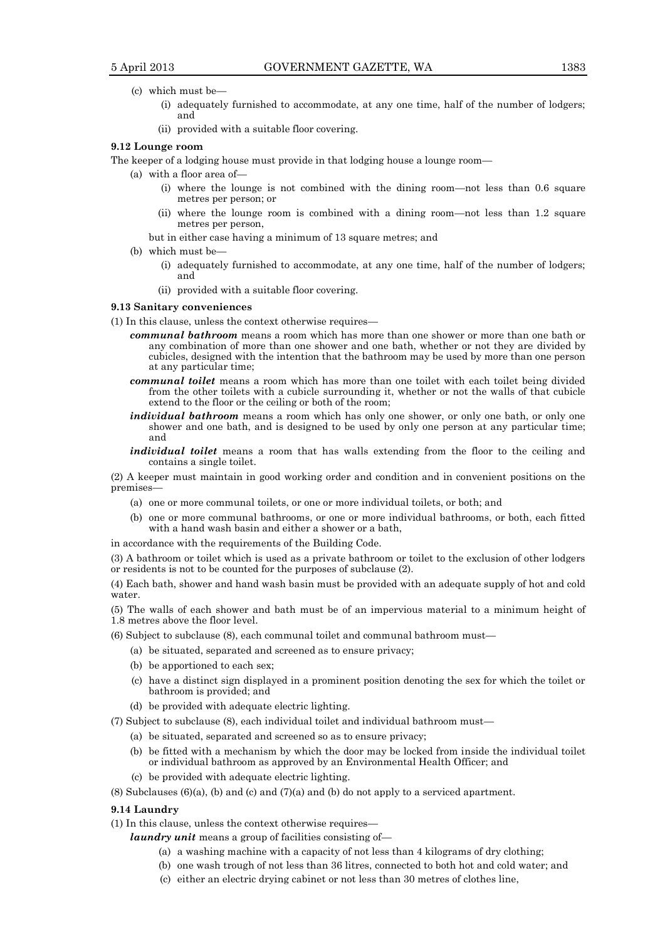- (c) which must be—
	- (i) adequately furnished to accommodate, at any one time, half of the number of lodgers; and
	- (ii) provided with a suitable floor covering.

#### **9.12 Lounge room**

The keeper of a lodging house must provide in that lodging house a lounge room—

- (a) with a floor area of—
	- (i) where the lounge is not combined with the dining room—not less than 0.6 square metres per person; or
	- (ii) where the lounge room is combined with a dining room—not less than 1.2 square metres per person,
	- but in either case having a minimum of 13 square metres; and
- (b) which must be-
	- (i) adequately furnished to accommodate, at any one time, half of the number of lodgers; and
	- (ii) provided with a suitable floor covering.

#### **9.13 Sanitary conveniences**

- (1) In this clause, unless the context otherwise requires
	- *communal bathroom* means a room which has more than one shower or more than one bath or any combination of more than one shower and one bath, whether or not they are divided by cubicles, designed with the intention that the bathroom may be used by more than one person at any particular time;
	- *communal toilet* means a room which has more than one toilet with each toilet being divided from the other toilets with a cubicle surrounding it, whether or not the walls of that cubicle extend to the floor or the ceiling or both of the room;
	- *individual bathroom* means a room which has only one shower, or only one bath, or only one shower and one bath, and is designed to be used by only one person at any particular time; and
	- *individual toilet* means a room that has walls extending from the floor to the ceiling and contains a single toilet.

(2) A keeper must maintain in good working order and condition and in convenient positions on the premises—

- (a) one or more communal toilets, or one or more individual toilets, or both; and
- (b) one or more communal bathrooms, or one or more individual bathrooms, or both, each fitted with a hand wash basin and either a shower or a bath,

in accordance with the requirements of the Building Code.

(3) A bathroom or toilet which is used as a private bathroom or toilet to the exclusion of other lodgers or residents is not to be counted for the purposes of subclause (2).

(4) Each bath, shower and hand wash basin must be provided with an adequate supply of hot and cold water.

(5) The walls of each shower and bath must be of an impervious material to a minimum height of 1.8 metres above the floor level.

- (6) Subject to subclause (8), each communal toilet and communal bathroom must—
	- (a) be situated, separated and screened as to ensure privacy;
	- (b) be apportioned to each sex;
	- (c) have a distinct sign displayed in a prominent position denoting the sex for which the toilet or bathroom is provided; and
	- (d) be provided with adequate electric lighting.
- (7) Subject to subclause (8), each individual toilet and individual bathroom must—
	- (a) be situated, separated and screened so as to ensure privacy;
		- (b) be fitted with a mechanism by which the door may be locked from inside the individual toilet or individual bathroom as approved by an Environmental Health Officer; and
		- (c) be provided with adequate electric lighting.
- $(8)$  Subclauses  $(6)(a)$ ,  $(b)$  and  $(c)$  and  $(7)(a)$  and  $(b)$  do not apply to a serviced apartment.

# **9.14 Laundry**

- (1) In this clause, unless the context otherwise requires
	- *laundry unit* means a group of facilities consisting of—
		- (a) a washing machine with a capacity of not less than 4 kilograms of dry clothing;
		- (b) one wash trough of not less than 36 litres, connected to both hot and cold water; and
		- (c) either an electric drying cabinet or not less than 30 metres of clothes line,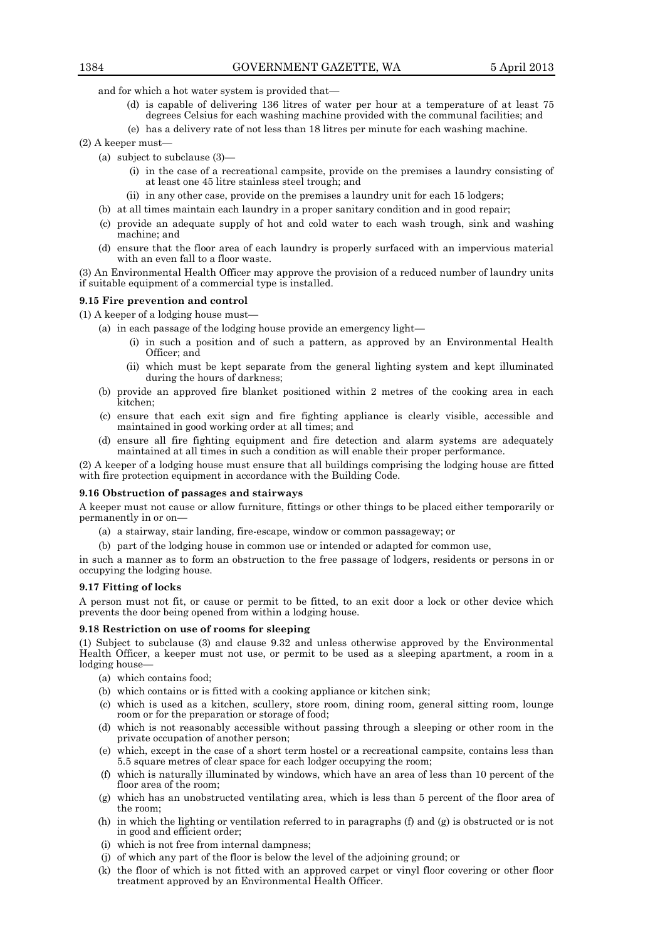and for which a hot water system is provided that—

- (d) is capable of delivering 136 litres of water per hour at a temperature of at least 75 degrees Celsius for each washing machine provided with the communal facilities; and
- (e) has a delivery rate of not less than 18 litres per minute for each washing machine.
- (2) A keeper must—
	- (a) subject to subclause (3)—
		- (i) in the case of a recreational campsite, provide on the premises a laundry consisting of at least one 45 litre stainless steel trough; and
		- (ii) in any other case, provide on the premises a laundry unit for each 15 lodgers;
	- (b) at all times maintain each laundry in a proper sanitary condition and in good repair;
	- (c) provide an adequate supply of hot and cold water to each wash trough, sink and washing machine; and
	- (d) ensure that the floor area of each laundry is properly surfaced with an impervious material with an even fall to a floor waste.

(3) An Environmental Health Officer may approve the provision of a reduced number of laundry units if suitable equipment of a commercial type is installed.

#### **9.15 Fire prevention and control**

(1) A keeper of a lodging house must—

- (a) in each passage of the lodging house provide an emergency light—
	- (i) in such a position and of such a pattern, as approved by an Environmental Health Officer; and
	- (ii) which must be kept separate from the general lighting system and kept illuminated during the hours of darkness;
- (b) provide an approved fire blanket positioned within 2 metres of the cooking area in each kitchen;
- (c) ensure that each exit sign and fire fighting appliance is clearly visible, accessible and maintained in good working order at all times; and
- (d) ensure all fire fighting equipment and fire detection and alarm systems are adequately maintained at all times in such a condition as will enable their proper performance.

(2) A keeper of a lodging house must ensure that all buildings comprising the lodging house are fitted with fire protection equipment in accordance with the Building Code.

#### **9.16 Obstruction of passages and stairways**

A keeper must not cause or allow furniture, fittings or other things to be placed either temporarily or permanently in or on—

- a) a stairway, stair landing, fire-escape, window or common passageway; or
- (b) part of the lodging house in common use or intended or adapted for common use,

in such a manner as to form an obstruction to the free passage of lodgers, residents or persons in or occupying the lodging house.

# **9.17 Fitting of locks**

A person must not fit, or cause or permit to be fitted, to an exit door a lock or other device which prevents the door being opened from within a lodging house.

# **9.18 Restriction on use of rooms for sleeping**

(1) Subject to subclause (3) and clause 9.32 and unless otherwise approved by the Environmental Health Officer, a keeper must not use, or permit to be used as a sleeping apartment, a room in a lodging house—

- (a) which contains food;
- (b) which contains or is fitted with a cooking appliance or kitchen sink;
- (c) which is used as a kitchen, scullery, store room, dining room, general sitting room, lounge room or for the preparation or storage of food;
- (d) which is not reasonably accessible without passing through a sleeping or other room in the private occupation of another person;
- (e) which, except in the case of a short term hostel or a recreational campsite, contains less than 5.5 square metres of clear space for each lodger occupying the room;
- (f) which is naturally illuminated by windows, which have an area of less than 10 percent of the floor area of the room;
- (g) which has an unobstructed ventilating area, which is less than 5 percent of the floor area of the room;
- (h) in which the lighting or ventilation referred to in paragraphs (f) and (g) is obstructed or is not in good and efficient order;
- (i) which is not free from internal dampness;
- (j) of which any part of the floor is below the level of the adjoining ground; or
- (k) the floor of which is not fitted with an approved carpet or vinyl floor covering or other floor treatment approved by an Environmental Health Officer.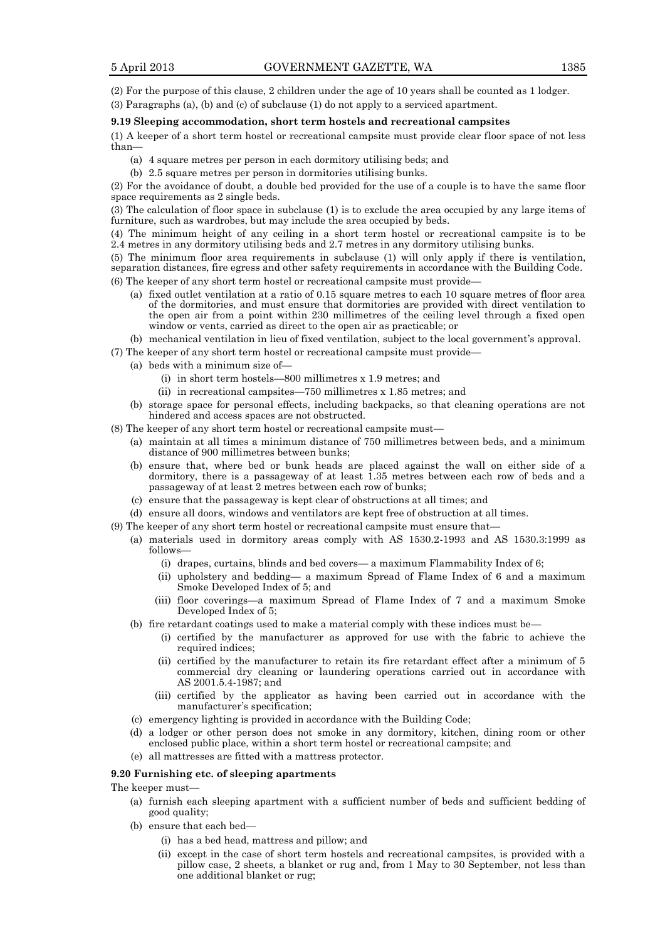(2) For the purpose of this clause, 2 children under the age of 10 years shall be counted as 1 lodger.

(3) Paragraphs (a), (b) and (c) of subclause (1) do not apply to a serviced apartment.

# **9.19 Sleeping accommodation, short term hostels and recreational campsites**

(1) A keeper of a short term hostel or recreational campsite must provide clear floor space of not less than—

- (a) 4 square metres per person in each dormitory utilising beds; and
- (b) 2.5 square metres per person in dormitories utilising bunks.

(2) For the avoidance of doubt, a double bed provided for the use of a couple is to have the same floor space requirements as 2 single beds.

(3) The calculation of floor space in subclause (1) is to exclude the area occupied by any large items of furniture, such as wardrobes, but may include the area occupied by beds.

(4) The minimum height of any ceiling in a short term hostel or recreational campsite is to be 2.4 metres in any dormitory utilising beds and 2.7 metres in any dormitory utilising bunks.

(5) The minimum floor area requirements in subclause (1) will only apply if there is ventilation, separation distances, fire egress and other safety requirements in accordance with the Building Code.

- (6) The keeper of any short term hostel or recreational campsite must provide—
	- (a) fixed outlet ventilation at a ratio of 0.15 square metres to each 10 square metres of floor area of the dormitories, and must ensure that dormitories are provided with direct ventilation to the open air from a point within 230 millimetres of the ceiling level through a fixed open window or vents, carried as direct to the open air as practicable; or
	- (b) mechanical ventilation in lieu of fixed ventilation, subject to the local government's approval.
- (7) The keeper of any short term hostel or recreational campsite must provide—
	- (a) beds with a minimum size of—
		- (i) in short term hostels—800 millimetres x 1.9 metres; and
		- (ii) in recreational campsites—750 millimetres x 1.85 metres; and
		- (b) storage space for personal effects, including backpacks, so that cleaning operations are not hindered and access spaces are not obstructed.
- (8) The keeper of any short term hostel or recreational campsite must—
	- (a) maintain at all times a minimum distance of 750 millimetres between beds, and a minimum distance of 900 millimetres between bunks;
	- (b) ensure that, where bed or bunk heads are placed against the wall on either side of a dormitory, there is a passageway of at least 1.35 metres between each row of beds and a passageway of at least 2 metres between each row of bunks;
	- (c) ensure that the passageway is kept clear of obstructions at all times; and
	- (d) ensure all doors, windows and ventilators are kept free of obstruction at all times.
- (9) The keeper of any short term hostel or recreational campsite must ensure that—
	- (a) materials used in dormitory areas comply with AS 1530.2-1993 and AS 1530.3:1999 as follows—
		- (i) drapes, curtains, blinds and bed covers— a maximum Flammability Index of 6;
		- (ii) upholstery and bedding— a maximum Spread of Flame Index of 6 and a maximum Smoke Developed Index of 5; and
		- (iii) floor coverings—a maximum Spread of Flame Index of 7 and a maximum Smoke Developed Index of 5;
		- (b) fire retardant coatings used to make a material comply with these indices must be—
			- (i) certified by the manufacturer as approved for use with the fabric to achieve the required indices;
			- (ii) certified by the manufacturer to retain its fire retardant effect after a minimum of 5 commercial dry cleaning or laundering operations carried out in accordance with AS 2001.5.4-1987; and
			- (iii) certified by the applicator as having been carried out in accordance with the manufacturer's specification;
		- (c) emergency lighting is provided in accordance with the Building Code;
		- (d) a lodger or other person does not smoke in any dormitory, kitchen, dining room or other enclosed public place, within a short term hostel or recreational campsite; and
		- (e) all mattresses are fitted with a mattress protector.

# **9.20 Furnishing etc. of sleeping apartments**

The keeper must—

- (a) furnish each sleeping apartment with a sufficient number of beds and sufficient bedding of good quality;
- (b) ensure that each bed—
	- (i) has a bed head, mattress and pillow; and
	- (ii) except in the case of short term hostels and recreational campsites, is provided with a pillow case, 2 sheets, a blanket or rug and, from 1 May to 30 September, not less than one additional blanket or rug;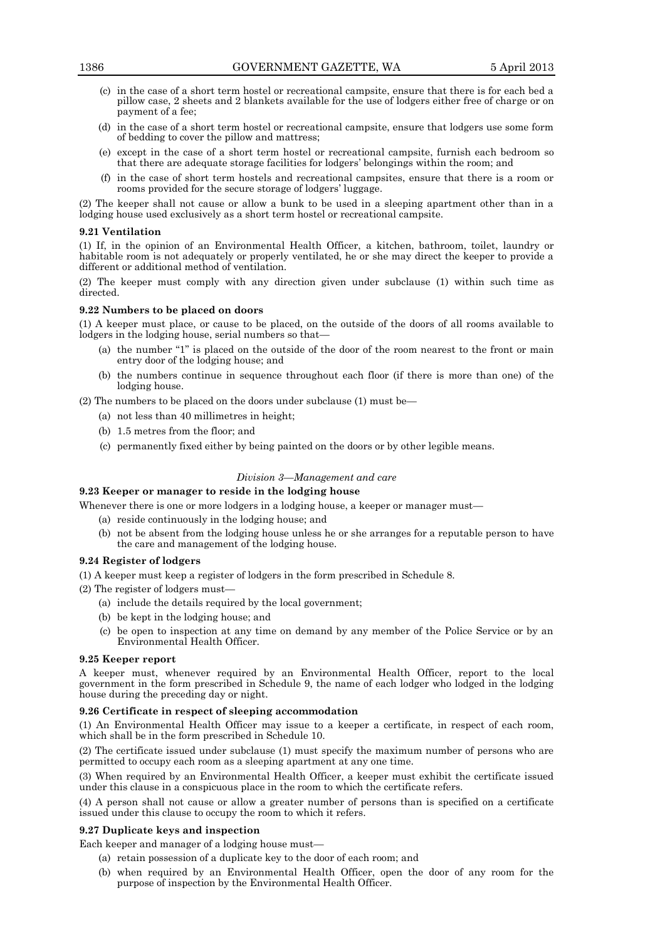- (c) in the case of a short term hostel or recreational campsite, ensure that there is for each bed a pillow case, 2 sheets and 2 blankets available for the use of lodgers either free of charge or on payment of a fee;
- (d) in the case of a short term hostel or recreational campsite, ensure that lodgers use some form of bedding to cover the pillow and mattress;
- (e) except in the case of a short term hostel or recreational campsite, furnish each bedroom so that there are adequate storage facilities for lodgers' belongings within the room; and
- (f) in the case of short term hostels and recreational campsites, ensure that there is a room or rooms provided for the secure storage of lodgers' luggage.

(2) The keeper shall not cause or allow a bunk to be used in a sleeping apartment other than in a lodging house used exclusively as a short term hostel or recreational campsite.

#### **9.21 Ventilation**

(1) If, in the opinion of an Environmental Health Officer, a kitchen, bathroom, toilet, laundry or habitable room is not adequately or properly ventilated, he or she may direct the keeper to provide a different or additional method of ventilation.

(2) The keeper must comply with any direction given under subclause (1) within such time as directed.

# **9.22 Numbers to be placed on doors**

(1) A keeper must place, or cause to be placed, on the outside of the doors of all rooms available to lodgers in the lodging house, serial numbers so that—

- (a) the number "1" is placed on the outside of the door of the room nearest to the front or main entry door of the lodging house; and
- (b) the numbers continue in sequence throughout each floor (if there is more than one) of the lodging house.

(2) The numbers to be placed on the doors under subclause (1) must be—

- (a) not less than 40 millimetres in height;
- (b) 1.5 metres from the floor; and
- (c) permanently fixed either by being painted on the doors or by other legible means.

# *Division 3—Management and care*

# **9.23 Keeper or manager to reside in the lodging house**

Whenever there is one or more lodgers in a lodging house, a keeper or manager must—

- (a) reside continuously in the lodging house; and
- (b) not be absent from the lodging house unless he or she arranges for a reputable person to have the care and management of the lodging house.

#### **9.24 Register of lodgers**

(1) A keeper must keep a register of lodgers in the form prescribed in Schedule 8.

(2) The register of lodgers must—

- (a) include the details required by the local government;
- (b) be kept in the lodging house; and
- (c) be open to inspection at any time on demand by any member of the Police Service or by an Environmental Health Officer.

#### **9.25 Keeper report**

A keeper must, whenever required by an Environmental Health Officer, report to the local government in the form prescribed in Schedule 9, the name of each lodger who lodged in the lodging house during the preceding day or night.

# **9.26 Certificate in respect of sleeping accommodation**

(1) An Environmental Health Officer may issue to a keeper a certificate, in respect of each room, which shall be in the form prescribed in Schedule 10.

(2) The certificate issued under subclause (1) must specify the maximum number of persons who are permitted to occupy each room as a sleeping apartment at any one time.

(3) When required by an Environmental Health Officer, a keeper must exhibit the certificate issued under this clause in a conspicuous place in the room to which the certificate refers.

(4) A person shall not cause or allow a greater number of persons than is specified on a certificate issued under this clause to occupy the room to which it refers.

# **9.27 Duplicate keys and inspection**

Each keeper and manager of a lodging house must—

(a) retain possession of a duplicate key to the door of each room; and

(b) when required by an Environmental Health Officer, open the door of any room for the purpose of inspection by the Environmental Health Officer.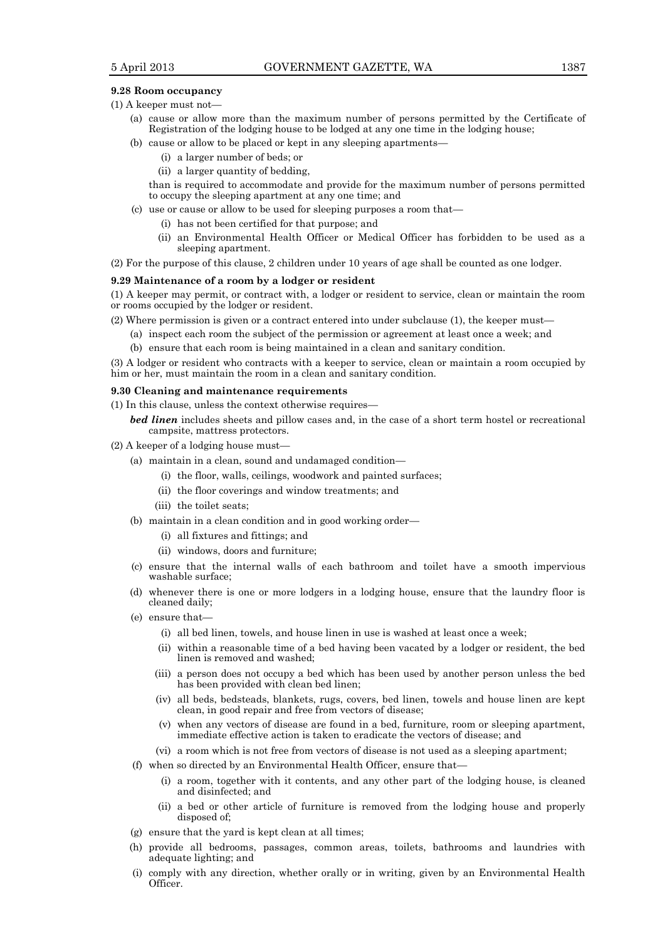#### **9.28 Room occupancy**

(1) A keeper must not—

- (a) cause or allow more than the maximum number of persons permitted by the Certificate of Registration of the lodging house to be lodged at any one time in the lodging house;
- (b) cause or allow to be placed or kept in any sleeping apartments—
	- (i) a larger number of beds; or
	- (ii) a larger quantity of bedding,

than is required to accommodate and provide for the maximum number of persons permitted to occupy the sleeping apartment at any one time; and

- (c) use or cause or allow to be used for sleeping purposes a room that—
	- (i) has not been certified for that purpose; and
	- (ii) an Environmental Health Officer or Medical Officer has forbidden to be used as a sleeping apartment.

(2) For the purpose of this clause, 2 children under 10 years of age shall be counted as one lodger.

#### **9.29 Maintenance of a room by a lodger or resident**

(1) A keeper may permit, or contract with, a lodger or resident to service, clean or maintain the room or rooms occupied by the lodger or resident.

(2) Where permission is given or a contract entered into under subclause (1), the keeper must—

- (a) inspect each room the subject of the permission or agreement at least once a week; and
- (b) ensure that each room is being maintained in a clean and sanitary condition.

(3) A lodger or resident who contracts with a keeper to service, clean or maintain a room occupied by him or her, must maintain the room in a clean and sanitary condition.

# **9.30 Cleaning and maintenance requirements**

(1) In this clause, unless the context otherwise requires—

*bed linen* includes sheets and pillow cases and, in the case of a short term hostel or recreational campsite, mattress protectors.

- (2) A keeper of a lodging house must—
	- (a) maintain in a clean, sound and undamaged condition—
		- (i) the floor, walls, ceilings, woodwork and painted surfaces;
		- (ii) the floor coverings and window treatments; and
		- (iii) the toilet seats;
	- (b) maintain in a clean condition and in good working order—
		- (i) all fixtures and fittings; and
		- (ii) windows, doors and furniture;
	- (c) ensure that the internal walls of each bathroom and toilet have a smooth impervious washable surface;
	- (d) whenever there is one or more lodgers in a lodging house, ensure that the laundry floor is cleaned daily;
	- (e) ensure that—
		- (i) all bed linen, towels, and house linen in use is washed at least once a week;
		- (ii) within a reasonable time of a bed having been vacated by a lodger or resident, the bed linen is removed and washed;
		- (iii) a person does not occupy a bed which has been used by another person unless the bed has been provided with clean bed linen;
		- (iv) all beds, bedsteads, blankets, rugs, covers, bed linen, towels and house linen are kept clean, in good repair and free from vectors of disease;
		- (v) when any vectors of disease are found in a bed, furniture, room or sleeping apartment, immediate effective action is taken to eradicate the vectors of disease; and
		- (vi) a room which is not free from vectors of disease is not used as a sleeping apartment;
	- (f) when so directed by an Environmental Health Officer, ensure that—
		- (i) a room, together with it contents, and any other part of the lodging house, is cleaned and disinfected; and
		- (ii) a bed or other article of furniture is removed from the lodging house and properly disposed of;
	- (g) ensure that the yard is kept clean at all times;
	- (h) provide all bedrooms, passages, common areas, toilets, bathrooms and laundries with adequate lighting; and
	- (i) comply with any direction, whether orally or in writing, given by an Environmental Health Officer.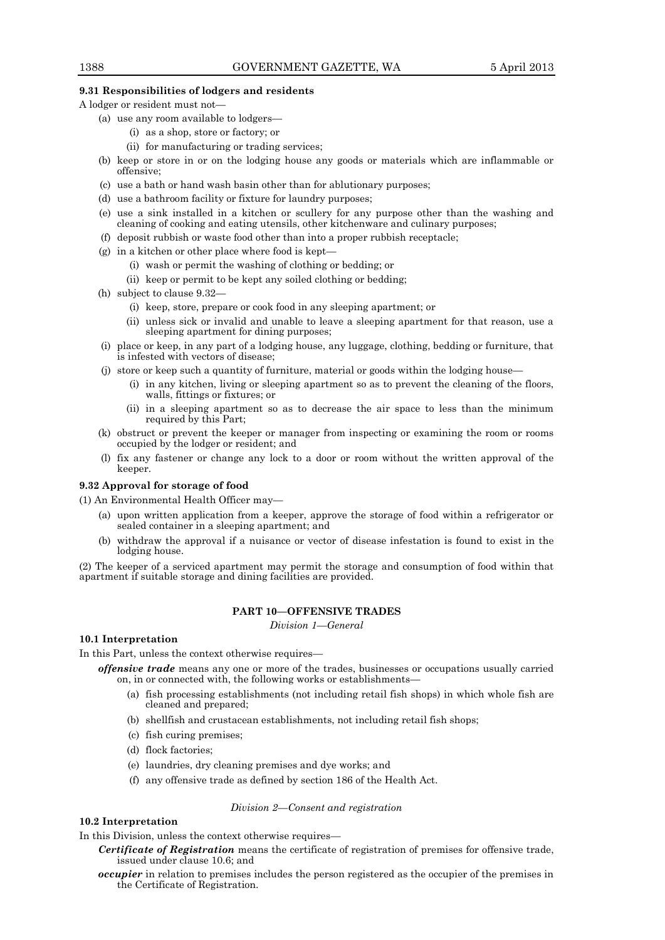# **9.31 Responsibilities of lodgers and residents**

A lodger or resident must not—

- (a) use any room available to lodgers—
	- (i) as a shop, store or factory; or
	- (ii) for manufacturing or trading services;
- (b) keep or store in or on the lodging house any goods or materials which are inflammable or offensive;
- (c) use a bath or hand wash basin other than for ablutionary purposes;
- (d) use a bathroom facility or fixture for laundry purposes;
- (e) use a sink installed in a kitchen or scullery for any purpose other than the washing and cleaning of cooking and eating utensils, other kitchenware and culinary purposes;
- (f) deposit rubbish or waste food other than into a proper rubbish receptacle;
- (g) in a kitchen or other place where food is kept—
	- (i) wash or permit the washing of clothing or bedding; or
	- (ii) keep or permit to be kept any soiled clothing or bedding;
- (h) subject to clause 9.32—
	- (i) keep, store, prepare or cook food in any sleeping apartment; or
	- (ii) unless sick or invalid and unable to leave a sleeping apartment for that reason, use a sleeping apartment for dining purposes;
- (i) place or keep, in any part of a lodging house, any luggage, clothing, bedding or furniture, that is infested with vectors of disease;
- (j) store or keep such a quantity of furniture, material or goods within the lodging house—
	- (i) in any kitchen, living or sleeping apartment so as to prevent the cleaning of the floors, walls, fittings or fixtures; or
	- (ii) in a sleeping apartment so as to decrease the air space to less than the minimum required by this Part;
- (k) obstruct or prevent the keeper or manager from inspecting or examining the room or rooms occupied by the lodger or resident; and
- (l) fix any fastener or change any lock to a door or room without the written approval of the keeper.

# **9.32 Approval for storage of food**

(1) An Environmental Health Officer may—

- (a) upon written application from a keeper, approve the storage of food within a refrigerator or sealed container in a sleeping apartment; and
- (b) withdraw the approval if a nuisance or vector of disease infestation is found to exist in the lodging house.

(2) The keeper of a serviced apartment may permit the storage and consumption of food within that apartment if suitable storage and dining facilities are provided.

# **PART 10—OFFENSIVE TRADES**

*Division 1—General*

# **10.1 Interpretation**

In this Part, unless the context otherwise requires—

*offensive trade* means any one or more of the trades, businesses or occupations usually carried on, in or connected with, the following works or establishments—

- (a) fish processing establishments (not including retail fish shops) in which whole fish are cleaned and prepared;
- (b) shellfish and crustacean establishments, not including retail fish shops;
- (c) fish curing premises;
- (d) flock factories;
- (e) laundries, dry cleaning premises and dye works; and
- (f) any offensive trade as defined by section 186 of the Health Act.

#### *Division 2—Consent and registration*

# **10.2 Interpretation**

In this Division, unless the context otherwise requires—

- *Certificate of Registration* means the certificate of registration of premises for offensive trade, issued under clause 10.6; and
- *occupier* in relation to premises includes the person registered as the occupier of the premises in the Certificate of Registration.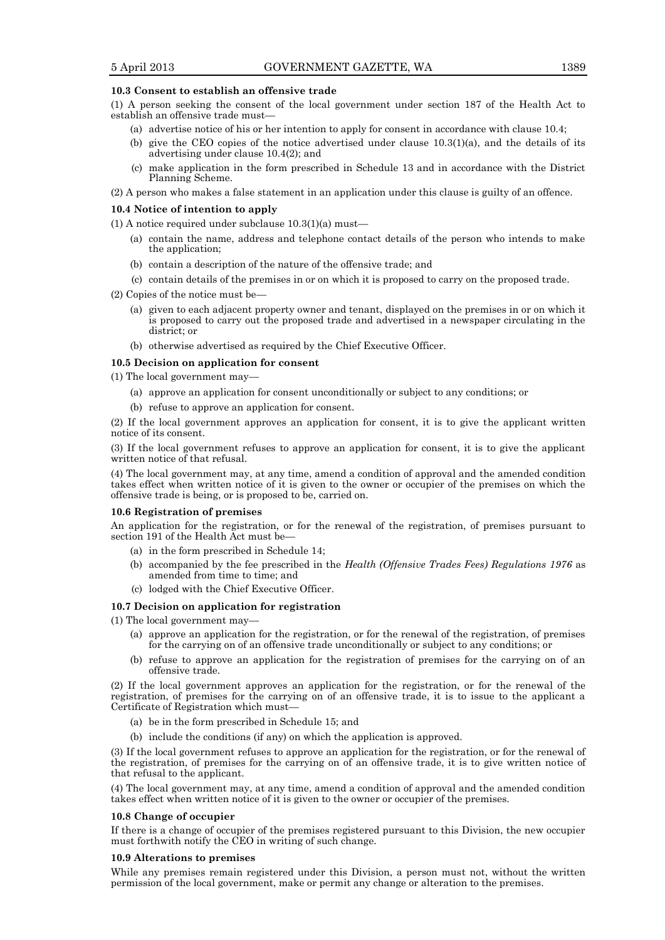## **10.3 Consent to establish an offensive trade**

(1) A person seeking the consent of the local government under section 187 of the Health Act to establish an offensive trade must—

- (a) advertise notice of his or her intention to apply for consent in accordance with clause 10.4;
- (b) give the CEO copies of the notice advertised under clause  $10.3(1)(a)$ , and the details of its advertising under clause 10.4(2); and
- (c) make application in the form prescribed in Schedule 13 and in accordance with the District Planning Scheme.
- (2) A person who makes a false statement in an application under this clause is guilty of an offence.

#### **10.4 Notice of intention to apply**

(1) A notice required under subclause 10.3(1)(a) must—

- (a) contain the name, address and telephone contact details of the person who intends to make the application;
- (b) contain a description of the nature of the offensive trade; and
- (c) contain details of the premises in or on which it is proposed to carry on the proposed trade.
- (2) Copies of the notice must be—
	- (a) given to each adjacent property owner and tenant, displayed on the premises in or on which it is proposed to carry out the proposed trade and advertised in a newspaper circulating in the district; or
	- (b) otherwise advertised as required by the Chief Executive Officer.

#### **10.5 Decision on application for consent**

(1) The local government may—

- (a) approve an application for consent unconditionally or subject to any conditions; or
- (b) refuse to approve an application for consent.

(2) If the local government approves an application for consent, it is to give the applicant written notice of its consent.

(3) If the local government refuses to approve an application for consent, it is to give the applicant written notice of that refusal.

(4) The local government may, at any time, amend a condition of approval and the amended condition takes effect when written notice of it is given to the owner or occupier of the premises on which the offensive trade is being, or is proposed to be, carried on.

#### **10.6 Registration of premises**

An application for the registration, or for the renewal of the registration, of premises pursuant to section 191 of the Health Act must be—

- (a) in the form prescribed in Schedule 14;
- (b) accompanied by the fee prescribed in the *Health (Offensive Trades Fees) Regulations 1976* as amended from time to time; and
- (c) lodged with the Chief Executive Officer.

## **10.7 Decision on application for registration**

(1) The local government may—

- (a) approve an application for the registration, or for the renewal of the registration, of premises for the carrying on of an offensive trade unconditionally or subject to any conditions; or
- (b) refuse to approve an application for the registration of premises for the carrying on of an offensive trade.

(2) If the local government approves an application for the registration, or for the renewal of the registration, of premises for the carrying on of an offensive trade, it is to issue to the applicant a Certificate of Registration which must—

- (a) be in the form prescribed in Schedule 15; and
- (b) include the conditions (if any) on which the application is approved.

(3) If the local government refuses to approve an application for the registration, or for the renewal of the registration, of premises for the carrying on of an offensive trade, it is to give written notice of that refusal to the applicant.

(4) The local government may, at any time, amend a condition of approval and the amended condition takes effect when written notice of it is given to the owner or occupier of the premises.

#### **10.8 Change of occupier**

If there is a change of occupier of the premises registered pursuant to this Division, the new occupier must forthwith notify the CEO in writing of such change.

#### **10.9 Alterations to premises**

While any premises remain registered under this Division, a person must not, without the written permission of the local government, make or permit any change or alteration to the premises.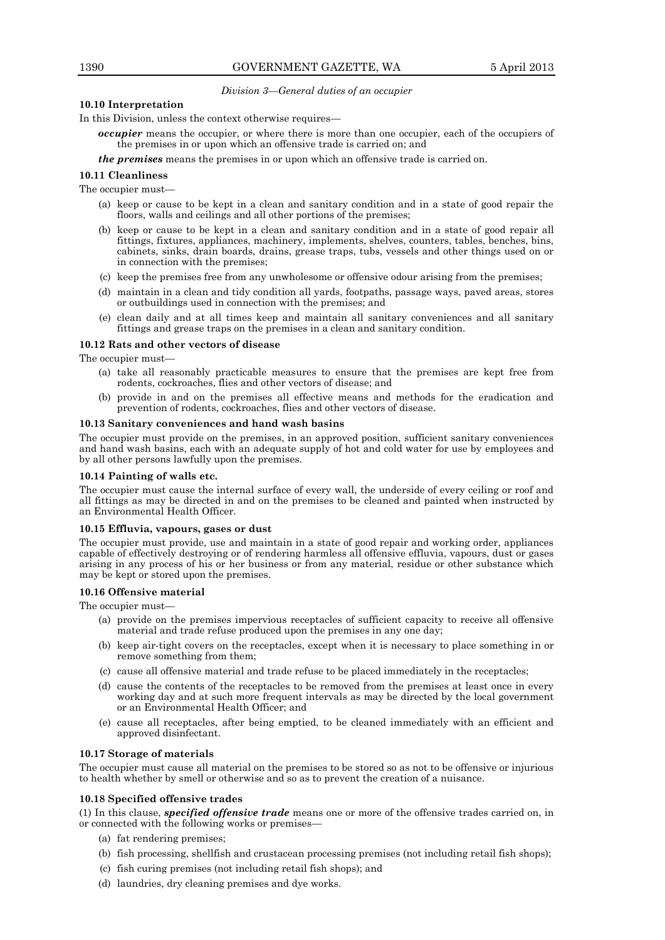# *Division 3—General duties of an occupier*

# **10.10 Interpretation**

In this Division, unless the context otherwise requires—

- *occupier* means the occupier, or where there is more than one occupier, each of the occupiers of the premises in or upon which an offensive trade is carried on; and
- *the premises* means the premises in or upon which an offensive trade is carried on.

# **10.11 Cleanliness**

The occupier must—

- (a) keep or cause to be kept in a clean and sanitary condition and in a state of good repair the floors, walls and ceilings and all other portions of the premises;
- (b) keep or cause to be kept in a clean and sanitary condition and in a state of good repair all fittings, fixtures, appliances, machinery, implements, shelves, counters, tables, benches, bins, cabinets, sinks, drain boards, drains, grease traps, tubs, vessels and other things used on or in connection with the premises;
- (c) keep the premises free from any unwholesome or offensive odour arising from the premises;
- (d) maintain in a clean and tidy condition all yards, footpaths, passage ways, paved areas, stores or outbuildings used in connection with the premises; and
- (e) clean daily and at all times keep and maintain all sanitary conveniences and all sanitary fittings and grease traps on the premises in a clean and sanitary condition.

# **10.12 Rats and other vectors of disease**

The occupier must—

- (a) take all reasonably practicable measures to ensure that the premises are kept free from rodents, cockroaches, flies and other vectors of disease; and
- (b) provide in and on the premises all effective means and methods for the eradication and prevention of rodents, cockroaches, flies and other vectors of disease.

# **10.13 Sanitary conveniences and hand wash basins**

The occupier must provide on the premises, in an approved position, sufficient sanitary conveniences and hand wash basins, each with an adequate supply of hot and cold water for use by employees and by all other persons lawfully upon the premises.

# **10.14 Painting of walls etc.**

The occupier must cause the internal surface of every wall, the underside of every ceiling or roof and all fittings as may be directed in and on the premises to be cleaned and painted when instructed by an Environmental Health Officer.

# **10.15 Effluvia, vapours, gases or dust**

The occupier must provide, use and maintain in a state of good repair and working order, appliances capable of effectively destroying or of rendering harmless all offensive effluvia, vapours, dust or gases arising in any process of his or her business or from any material, residue or other substance which may be kept or stored upon the premises.

# **10.16 Offensive material**

The occupier must-

- (a) provide on the premises impervious receptacles of sufficient capacity to receive all offensive material and trade refuse produced upon the premises in any one day;
- (b) keep air-tight covers on the receptacles, except when it is necessary to place something in or remove something from them;
- (c) cause all offensive material and trade refuse to be placed immediately in the receptacles;
- (d) cause the contents of the receptacles to be removed from the premises at least once in every working day and at such more frequent intervals as may be directed by the local government or an Environmental Health Officer; and
- (e) cause all receptacles, after being emptied, to be cleaned immediately with an efficient and approved disinfectant.

# **10.17 Storage of materials**

The occupier must cause all material on the premises to be stored so as not to be offensive or injurious to health whether by smell or otherwise and so as to prevent the creation of a nuisance.

# **10.18 Specified offensive trades**

(1) In this clause, *specified offensive trade* means one or more of the offensive trades carried on, in or connected with the following works or premises—

- (a) fat rendering premises;
- (b) fish processing, shellfish and crustacean processing premises (not including retail fish shops);
- (c) fish curing premises (not including retail fish shops); and
- (d) laundries, dry cleaning premises and dye works.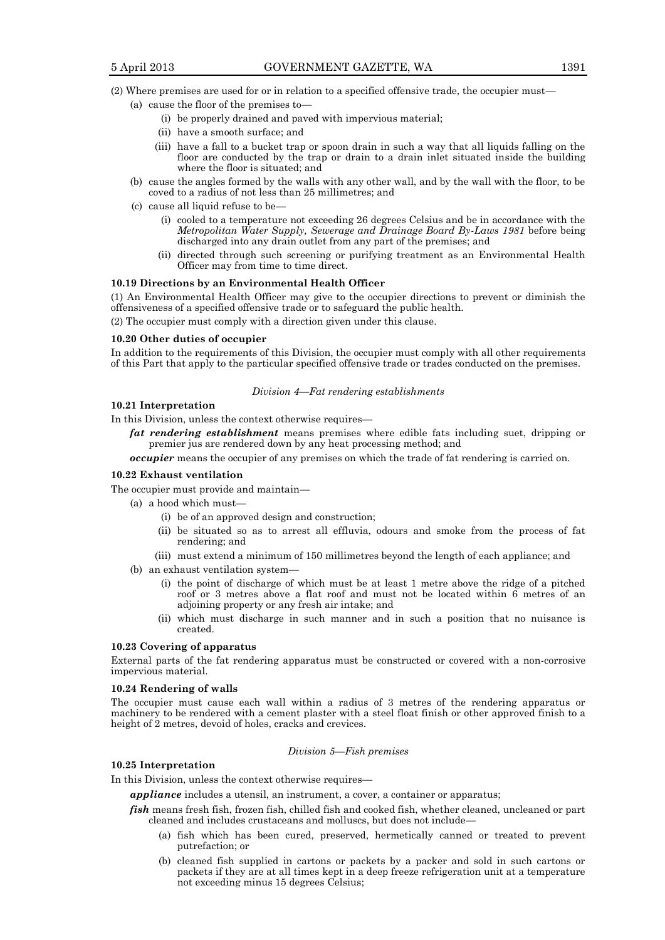# (2) Where premises are used for or in relation to a specified offensive trade, the occupier must—

- (a) cause the floor of the premises to—
	- (i) be properly drained and paved with impervious material;
	- (ii) have a smooth surface; and
	- (iii) have a fall to a bucket trap or spoon drain in such a way that all liquids falling on the floor are conducted by the trap or drain to a drain inlet situated inside the building where the floor is situated; and
- (b) cause the angles formed by the walls with any other wall, and by the wall with the floor, to be coved to a radius of not less than 25 millimetres; and
- (c) cause all liquid refuse to be—
	- (i) cooled to a temperature not exceeding 26 degrees Celsius and be in accordance with the *Metropolitan Water Supply, Sewerage and Drainage Board By-Laws 1981* before being discharged into any drain outlet from any part of the premises; and
	- (ii) directed through such screening or purifying treatment as an Environmental Health Officer may from time to time direct.

#### **10.19 Directions by an Environmental Health Officer**

(1) An Environmental Health Officer may give to the occupier directions to prevent or diminish the offensiveness of a specified offensive trade or to safeguard the public health.

(2) The occupier must comply with a direction given under this clause.

# **10.20 Other duties of occupier**

In addition to the requirements of this Division, the occupier must comply with all other requirements of this Part that apply to the particular specified offensive trade or trades conducted on the premises.

#### *Division 4—Fat rendering establishments*

#### **10.21 Interpretation**

In this Division, unless the context otherwise requires—

*fat rendering establishment* means premises where edible fats including suet, dripping or premier jus are rendered down by any heat processing method; and

*occupier* means the occupier of any premises on which the trade of fat rendering is carried on.

# **10.22 Exhaust ventilation**

The occupier must provide and maintain—

- (a) a hood which must—
	- (i) be of an approved design and construction;
	- (ii) be situated so as to arrest all effluvia, odours and smoke from the process of fat rendering; and
	- (iii) must extend a minimum of 150 millimetres beyond the length of each appliance; and
- (b) an exhaust ventilation system—
	- (i) the point of discharge of which must be at least 1 metre above the ridge of a pitched roof or 3 metres above a flat roof and must not be located within 6 metres of an adjoining property or any fresh air intake; and
	- (ii) which must discharge in such manner and in such a position that no nuisance is created.

#### **10.23 Covering of apparatus**

External parts of the fat rendering apparatus must be constructed or covered with a non-corrosive impervious material.

# **10.24 Rendering of walls**

The occupier must cause each wall within a radius of 3 metres of the rendering apparatus or machinery to be rendered with a cement plaster with a steel float finish or other approved finish to a height of 2 metres, devoid of holes, cracks and crevices.

# *Division 5—Fish premises*

# **10.25 Interpretation**

In this Division, unless the context otherwise requires—

*appliance* includes a utensil, an instrument, a cover, a container or apparatus;

- *fish* means fresh fish, frozen fish, chilled fish and cooked fish, whether cleaned, uncleaned or part cleaned and includes crustaceans and molluscs, but does not include—
	- (a) fish which has been cured, preserved, hermetically canned or treated to prevent putrefaction; or
	- (b) cleaned fish supplied in cartons or packets by a packer and sold in such cartons or packets if they are at all times kept in a deep freeze refrigeration unit at a temperature not exceeding minus 15 degrees Celsius;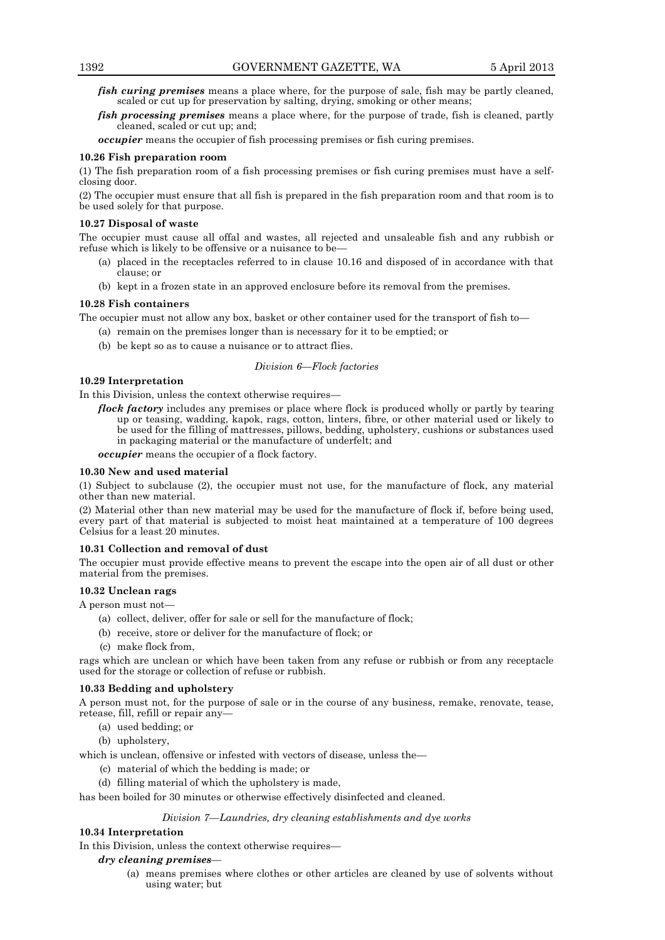- *fish curing premises* means a place where, for the purpose of sale, fish may be partly cleaned, scaled or cut up for preservation by salting, drying, smoking or other means;
- *fish processing premises* means a place where, for the purpose of trade, fish is cleaned, partly cleaned, scaled or cut up; and;

*occupier* means the occupier of fish processing premises or fish curing premises.

# **10.26 Fish preparation room**

(1) The fish preparation room of a fish processing premises or fish curing premises must have a selfclosing door.

(2) The occupier must ensure that all fish is prepared in the fish preparation room and that room is to be used solely for that purpose.

#### **10.27 Disposal of waste**

The occupier must cause all offal and wastes, all rejected and unsaleable fish and any rubbish or refuse which is likely to be offensive or a nuisance to be—

- (a) placed in the receptacles referred to in clause 10.16 and disposed of in accordance with that clause; or
- (b) kept in a frozen state in an approved enclosure before its removal from the premises.

#### **10.28 Fish containers**

The occupier must not allow any box, basket or other container used for the transport of fish to—

(a) remain on the premises longer than is necessary for it to be emptied; or

(b) be kept so as to cause a nuisance or to attract flies.

# *Division 6—Flock factories*

# **10.29 Interpretation**

In this Division, unless the context otherwise requires—

*flock factory* includes any premises or place where flock is produced wholly or partly by tearing up or teasing, wadding, kapok, rags, cotton, linters, fibre, or other material used or likely to be used for the filling of mattresses, pillows, bedding, upholstery, cushions or substances used in packaging material or the manufacture of underfelt; and

*occupier* means the occupier of a flock factory.

# **10.30 New and used material**

(1) Subject to subclause (2), the occupier must not use, for the manufacture of flock, any material other than new material.

(2) Material other than new material may be used for the manufacture of flock if, before being used, every part of that material is subjected to moist heat maintained at a temperature of 100 degrees Celsius for a least 20 minutes.

# **10.31 Collection and removal of dust**

The occupier must provide effective means to prevent the escape into the open air of all dust or other material from the premises.

# **10.32 Unclean rags**

A person must not—

- (a) collect, deliver, offer for sale or sell for the manufacture of flock;
- (b) receive, store or deliver for the manufacture of flock; or
- (c) make flock from,

rags which are unclean or which have been taken from any refuse or rubbish or from any receptacle used for the storage or collection of refuse or rubbish.

# **10.33 Bedding and upholstery**

A person must not, for the purpose of sale or in the course of any business, remake, renovate, tease, retease, fill, refill or repair any—

- (a) used bedding; or
- (b) upholstery,

which is unclean, offensive or infested with vectors of disease, unless the—

- (c) material of which the bedding is made; or
- (d) filling material of which the upholstery is made,

# has been boiled for 30 minutes or otherwise effectively disinfected and cleaned.

# *Division 7—Laundries, dry cleaning establishments and dye works*

# **10.34 Interpretation**

In this Division, unless the context otherwise requires—

- *dry cleaning premises*
	- (a) means premises where clothes or other articles are cleaned by use of solvents without using water; but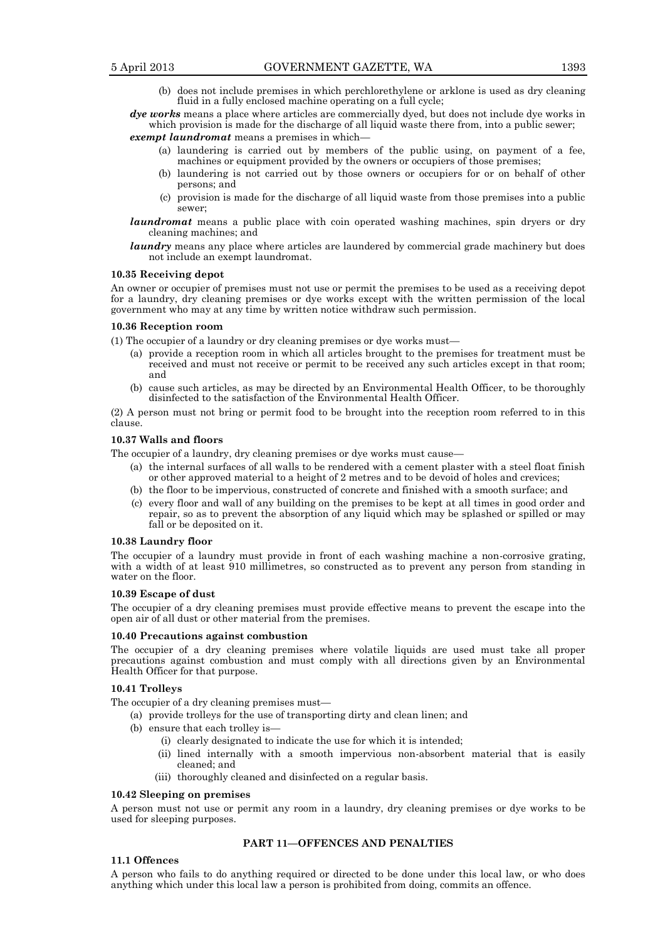(b) does not include premises in which perchlorethylene or arklone is used as dry cleaning fluid in a fully enclosed machine operating on a full cycle;

*dye works* means a place where articles are commercially dyed, but does not include dye works in which provision is made for the discharge of all liquid waste there from, into a public sewer;

- *exempt laundromat* means a premises in which—
	- (a) laundering is carried out by members of the public using, on payment of a fee, machines or equipment provided by the owners or occupiers of those premises;
	- (b) laundering is not carried out by those owners or occupiers for or on behalf of other persons; and
	- (c) provision is made for the discharge of all liquid waste from those premises into a public sewer;
- *laundromat* means a public place with coin operated washing machines, spin dryers or dry cleaning machines; and
- *laundry* means any place where articles are laundered by commercial grade machinery but does not include an exempt laundromat.

#### **10.35 Receiving depot**

An owner or occupier of premises must not use or permit the premises to be used as a receiving depot for a laundry, dry cleaning premises or dye works except with the written permission of the local government who may at any time by written notice withdraw such permission.

#### **10.36 Reception room**

(1) The occupier of a laundry or dry cleaning premises or dye works must—

- (a) provide a reception room in which all articles brought to the premises for treatment must be received and must not receive or permit to be received any such articles except in that room; and
- (b) cause such articles, as may be directed by an Environmental Health Officer, to be thoroughly disinfected to the satisfaction of the Environmental Health Officer.

(2) A person must not bring or permit food to be brought into the reception room referred to in this clause.

# **10.37 Walls and floors**

The occupier of a laundry, dry cleaning premises or dye works must cause—

- (a) the internal surfaces of all walls to be rendered with a cement plaster with a steel float finish or other approved material to a height of 2 metres and to be devoid of holes and crevices;
- (b) the floor to be impervious, constructed of concrete and finished with a smooth surface; and
- (c) every floor and wall of any building on the premises to be kept at all times in good order and repair, so as to prevent the absorption of any liquid which may be splashed or spilled or may fall or be deposited on it.

#### **10.38 Laundry floor**

The occupier of a laundry must provide in front of each washing machine a non-corrosive grating, with a width of at least 910 millimetres, so constructed as to prevent any person from standing in water on the floor.

#### **10.39 Escape of dust**

The occupier of a dry cleaning premises must provide effective means to prevent the escape into the open air of all dust or other material from the premises.

# **10.40 Precautions against combustion**

The occupier of a dry cleaning premises where volatile liquids are used must take all proper precautions against combustion and must comply with all directions given by an Environmental Health Officer for that purpose.

# **10.41 Trolleys**

The occupier of a dry cleaning premises must—

- (a) provide trolleys for the use of transporting dirty and clean linen; and
- (b) ensure that each trolley is—
	- (i) clearly designated to indicate the use for which it is intended;
	- (ii) lined internally with a smooth impervious non-absorbent material that is easily cleaned; and
	- (iii) thoroughly cleaned and disinfected on a regular basis.

#### **10.42 Sleeping on premises**

A person must not use or permit any room in a laundry, dry cleaning premises or dye works to be used for sleeping purposes.

# **PART 11—OFFENCES AND PENALTIES**

# **11.1 Offences**

A person who fails to do anything required or directed to be done under this local law, or who does anything which under this local law a person is prohibited from doing, commits an offence.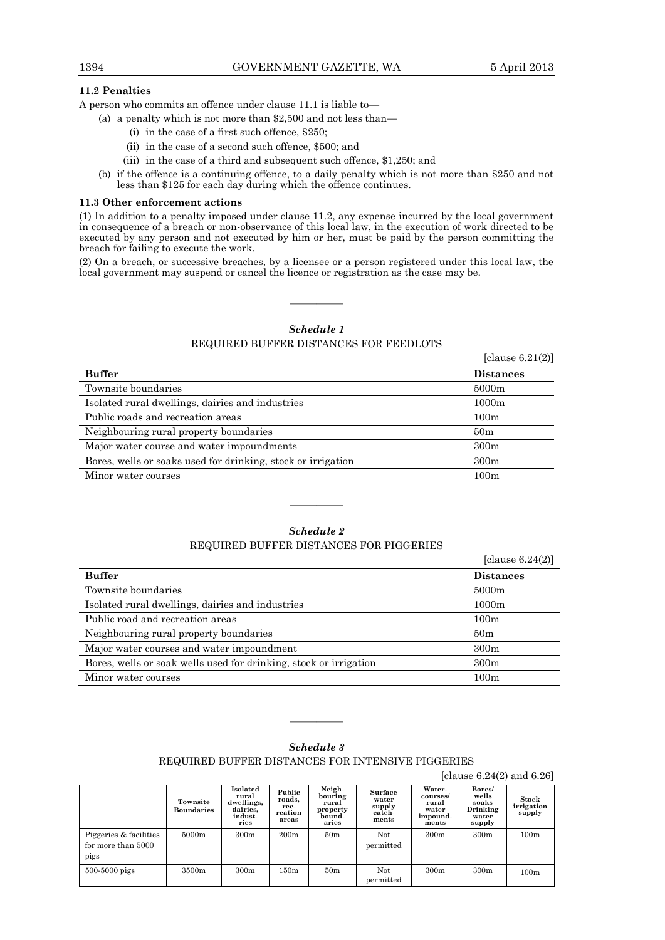# **11.2 Penalties**

A person who commits an offence under clause 11.1 is liable to—

- (a) a penalty which is not more than \$2,500 and not less than—
	- (i) in the case of a first such offence, \$250;
	- (ii) in the case of a second such offence, \$500; and
	- (iii) in the case of a third and subsequent such offence, \$1,250; and
- (b) if the offence is a continuing offence, to a daily penalty which is not more than \$250 and not less than \$125 for each day during which the offence continues.

#### **11.3 Other enforcement actions**

(1) In addition to a penalty imposed under clause 11.2, any expense incurred by the local government in consequence of a breach or non-observance of this local law, in the execution of work directed to be executed by any person and not executed by him or her, must be paid by the person committing the breach for failing to execute the work.

(2) On a breach, or successive breaches, by a licensee or a person registered under this local law, the local government may suspend or cancel the licence or registration as the case may be.

# *Schedule 1*

————

# REQUIRED BUFFER DISTANCES FOR FEEDLOTS

[clause 6.21(2)]

| <b>Buffer</b>                                                | <b>Distances</b> |
|--------------------------------------------------------------|------------------|
| Townsite boundaries                                          | 5000m            |
| Isolated rural dwellings, dairies and industries             | 1000m            |
| Public roads and recreation areas                            | 100m             |
| Neighbouring rural property boundaries                       | 50 <sub>m</sub>  |
| Major water course and water impoundments                    | 300m             |
| Bores, wells or soaks used for drinking, stock or irrigation | 300m             |
| Minor water courses                                          | 100m             |

# *Schedule 2*

# REQUIRED BUFFER DISTANCES FOR PIGGERIES

————

|                                                                   | [clause $6.24(2)$ ] |
|-------------------------------------------------------------------|---------------------|
| <b>Buffer</b>                                                     | <b>Distances</b>    |
| Townsite boundaries                                               | 5000m               |
| Isolated rural dwellings, dairies and industries                  | 1000m               |
| Public road and recreation areas                                  | 100m                |
| Neighbouring rural property boundaries                            | 50 <sub>m</sub>     |
| Major water courses and water impoundment                         | 300m                |
| Bores, wells or soak wells used for drinking, stock or irrigation | 300m                |
| Minor water courses                                               | 100m                |

# *Schedule 3*

REQUIRED BUFFER DISTANCES FOR INTENSIVE PIGGERIES

————

[clause 6.24(2) and 6.26]

|                                                      | Townsite<br><b>Boundaries</b> | Isolated<br>rural<br>dwellings,<br>dairies,<br>indust-<br>ries | Public<br>roads,<br>rec-<br>reation<br>areas | Neigh-<br>bouring<br>rural<br>property<br>bound-<br>aries | Surface<br>water<br>supply<br>catch-<br>ments | Water-<br>courses/<br>rural<br>water<br>impound-<br>ments | Bores/<br>wells<br>soaks<br>Drinking<br>water<br>supply | Stock<br>irrigation<br>supply |
|------------------------------------------------------|-------------------------------|----------------------------------------------------------------|----------------------------------------------|-----------------------------------------------------------|-----------------------------------------------|-----------------------------------------------------------|---------------------------------------------------------|-------------------------------|
| Piggeries & facilities<br>for more than 5000<br>pigs | 5000m                         | 300m                                                           | 200m                                         | 50 <sub>m</sub>                                           | Not<br>permitted                              | 300 <sub>m</sub>                                          | 300m                                                    | 100m                          |
| $500-5000$ pigs                                      | 3500m                         | 300m                                                           | 150m                                         | 50 <sub>m</sub>                                           | Not<br>permitted                              | 300 <sub>m</sub>                                          | 300m                                                    | 100m                          |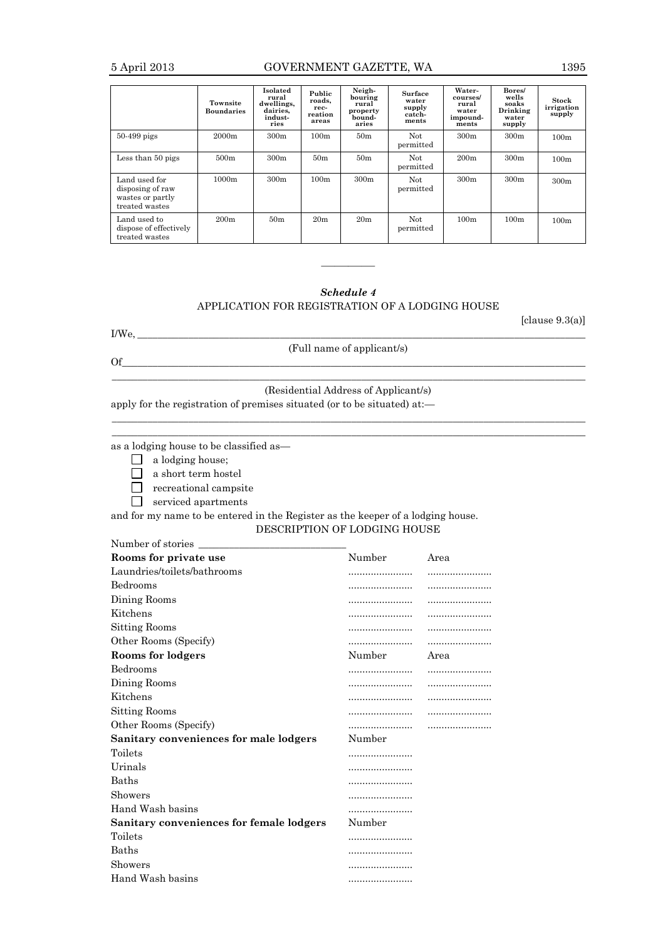# 5 April 2013 GOVERNMENT GAZETTE, WA 1395

|                                                                         | Townsite<br><b>Boundaries</b> | Isolated<br>rural<br>dwellings,<br>dairies.<br>indust-<br>ries | Public<br>roads,<br>rec-<br>reation<br>areas | Neigh-<br>bouring<br>rural<br>property<br>bound-<br>aries | <b>Surface</b><br>water<br>supply<br>catch-<br>ments | Water-<br>courses/<br>rural<br>water<br>impound-<br>ments | Bores/<br>wells<br>soaks<br>Drinking<br>water<br>supply | Stock<br>irrigation<br>supply |
|-------------------------------------------------------------------------|-------------------------------|----------------------------------------------------------------|----------------------------------------------|-----------------------------------------------------------|------------------------------------------------------|-----------------------------------------------------------|---------------------------------------------------------|-------------------------------|
| 50-499 pigs                                                             | 2000m                         | 300 <sub>m</sub>                                               | 100m                                         | 50 <sub>m</sub>                                           | Not<br>permitted                                     | 300m                                                      | 300 <sub>m</sub>                                        | 100m                          |
| Less than 50 pigs                                                       | 500m                          | 300 <sub>m</sub>                                               | 50 <sub>m</sub>                              | 50 <sub>m</sub>                                           | Not<br>permitted                                     | 200m                                                      | 300 <sub>m</sub>                                        | 100m                          |
| Land used for<br>disposing of raw<br>wastes or partly<br>treated wastes | 1000m                         | 300 <sub>m</sub>                                               | 100m                                         | 300m                                                      | Not<br>permitted                                     | 300m                                                      | 300 <sub>m</sub>                                        | 300 <sub>m</sub>              |
| Land used to<br>dispose of effectively<br>treated wastes                | 200m                          | 50 <sub>m</sub>                                                | 20 <sub>m</sub>                              | 20 <sub>m</sub>                                           | Not.<br>permitted                                    | 100m                                                      | 100m                                                    | 100m                          |

# *Schedule 4*

————

# APPLICATION FOR REGISTRATION OF A LODGING HOUSE

[clause 9.3(a)]

I/We, \_\_\_\_\_\_\_\_\_\_\_\_\_\_\_\_\_\_\_\_\_\_\_\_\_\_\_\_\_\_\_\_\_\_\_\_\_\_\_\_\_\_\_\_\_\_\_\_\_\_\_\_\_\_\_\_\_\_\_\_\_\_\_\_\_\_\_\_\_\_\_\_\_\_\_\_\_\_\_\_\_\_\_\_\_\_\_\_

(Full name of applicant/s)

Of\_\_\_\_\_\_\_\_\_\_\_\_\_\_\_\_\_\_\_\_\_\_\_\_\_\_\_\_\_\_\_\_\_\_\_\_\_\_\_\_\_\_\_\_\_\_\_\_\_\_\_\_\_\_\_\_\_\_\_\_\_\_\_\_\_\_\_\_\_\_\_\_\_\_\_\_\_\_\_\_\_\_\_\_\_\_\_\_\_\_\_

# $\Box$ (Residential Address of Applicant/s)

 $\Box$  $\Box$ 

apply for the registration of premises situated (or to be situated) at:—

as a lodging house to be classified as—

- $\Box$  a lodging house;
- a short term hostel
- $\Box$  recreational campsite

serviced apartments

and for my name to be entered in the Register as the keeper of a lodging house.

# DESCRIPTION OF LODGING HOUSE

| Number of stories                        |        |      |
|------------------------------------------|--------|------|
| Rooms for private use                    | Number | Area |
| Laundries/toilets/bathrooms              |        |      |
| <b>Bedrooms</b>                          |        |      |
| Dining Rooms                             |        |      |
| Kitchens                                 | .      |      |
| Sitting Rooms                            |        |      |
| Other Rooms (Specify)                    |        |      |
| Rooms for lodgers                        | Number | Area |
| <b>Bedrooms</b>                          | .      |      |
| Dining Rooms                             | .      |      |
| Kitchens                                 | .      |      |
| Sitting Rooms                            | .      |      |
| Other Rooms (Specify)                    |        |      |
| Sanitary conveniences for male lodgers   | Number |      |
| Toilets                                  | .      |      |
| Urinals                                  | .      |      |
| Baths                                    | .      |      |
| Showers                                  |        |      |
| Hand Wash basins                         |        |      |
| Sanitary conveniences for female lodgers | Number |      |
| Toilets                                  | .      |      |
| <b>Baths</b>                             | .      |      |
| Showers                                  |        |      |
| Hand Wash basins                         |        |      |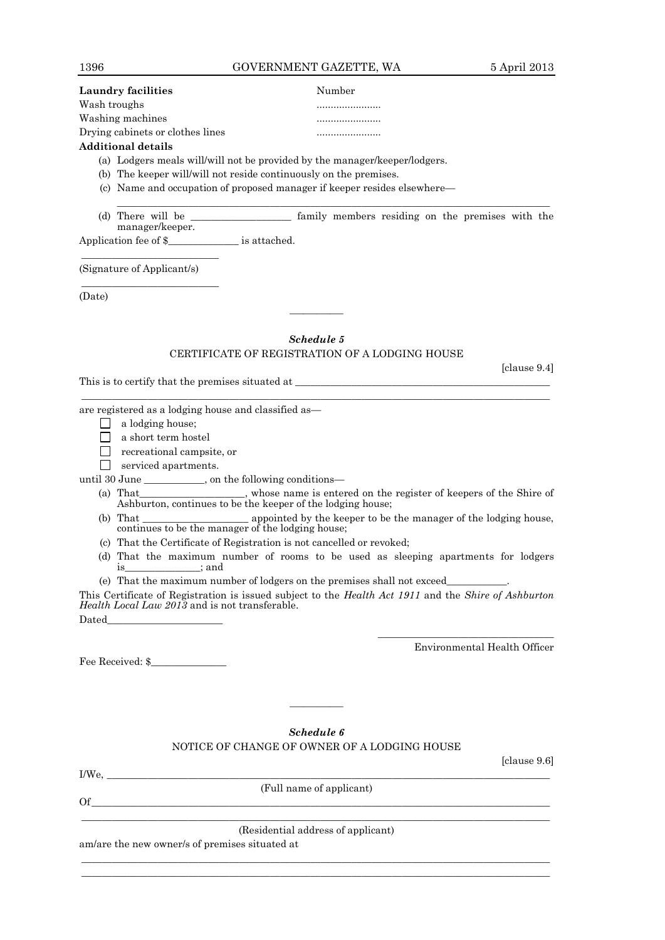[clause 9.4]

# **Laundry facilities** Number

| Wash troughs                     |  |
|----------------------------------|--|
| Washing machines                 |  |
| Drying cabinets or clothes lines |  |

# **Additional details**

- (a) Lodgers meals will/will not be provided by the manager/keeper/lodgers.
- (b) The keeper will/will not reside continuously on the premises.
- (c) Name and occupation of proposed manager if keeper resides elsewhere—

(d) There will be  $\qquad \qquad$  family members residing on the premises with the manager/keeper.

 $\_$  ,  $\_$  ,  $\_$  ,  $\_$  ,  $\_$  ,  $\_$  ,  $\_$  ,  $\_$  ,  $\_$  ,  $\_$  ,  $\_$  ,  $\_$  ,  $\_$  ,  $\_$  ,  $\_$  ,  $\_$  ,  $\_$  ,  $\_$  ,  $\_$  ,  $\_$  ,  $\_$  ,  $\_$  ,  $\_$  ,  $\_$  ,  $\_$  ,  $\_$  ,  $\_$  ,  $\_$  ,  $\_$  ,  $\_$  ,  $\_$  ,  $\_$  ,  $\_$  ,  $\_$  ,  $\_$  ,  $\_$  ,  $\_$  ,

Application fee of \$\_\_\_\_\_\_\_\_\_\_\_\_\_\_ is attached.

\_\_\_\_\_\_\_\_\_\_\_\_\_\_\_\_\_\_\_\_\_\_\_\_\_\_\_ (Signature of Applicant/s) \_\_\_\_\_\_\_\_\_\_\_\_\_\_\_\_\_\_\_\_\_\_\_\_\_\_\_

(Date)

# *Schedule 5* CERTIFICATE OF REGISTRATION OF A LODGING HOUSE

————

This is to certify that the premises situated at \_\_\_\_\_\_\_\_\_\_\_\_\_\_\_\_\_\_\_\_\_\_\_\_\_\_\_\_\_\_\_\_\_\_\_\_\_\_\_\_\_\_\_\_\_\_\_\_\_\_

 $\_$  ,  $\_$  ,  $\_$  ,  $\_$  ,  $\_$  ,  $\_$  ,  $\_$  ,  $\_$  ,  $\_$  ,  $\_$  ,  $\_$  ,  $\_$  ,  $\_$  ,  $\_$  ,  $\_$  ,  $\_$  ,  $\_$  ,  $\_$  ,  $\_$  ,  $\_$  ,  $\_$  ,  $\_$  ,  $\_$  ,  $\_$  ,  $\_$  ,  $\_$  ,  $\_$  ,  $\_$  ,  $\_$  ,  $\_$  ,  $\_$  ,  $\_$  ,  $\_$  ,  $\_$  ,  $\_$  ,  $\_$  ,  $\_$  , are registered as a lodging house and classified as—

- $\Box$  a lodging house;
- a short term hostel
- recreational campsite, or
- serviced apartments.

until 30 June \_\_\_\_\_\_\_\_\_, on the following conditions—<br>(a) That\_\_\_\_\_\_\_\_\_\_\_\_\_\_\_\_\_\_\_\_\_\_\_\_\_, whose name is enter

- (a) whose name is entered on the register of keepers of the Shire of Ashburton, continues to be the keeper of the lodging house;
- (b) That \_\_\_\_\_\_\_\_\_\_\_\_\_\_\_\_\_\_\_\_\_ appointed by the keeper to be the manager of the lodging house, continues to be the manager of the lodging house;
- (c) That the Certificate of Registration is not cancelled or revoked;
- (d) That the maximum number of rooms to be used as sleeping apartments for lodgers is\_\_\_\_\_\_\_\_\_\_\_\_\_\_\_; and
- (e) That the maximum number of lodgers on the premises shall not exceed\_\_\_\_\_\_\_\_\_\_\_\_.

This Certificate of Registration is issued subject to the *Health Act 1911* and the *Shire of Ashburton Health Local Law 2013* and is not transferable. Dated

Environmental Health Officer

\_\_\_\_\_\_\_\_\_\_\_\_\_\_\_\_\_\_\_\_\_\_\_\_\_\_\_\_\_\_\_\_\_\_\_

Fee Received: \$

*Schedule 6*

————

NOTICE OF CHANGE OF OWNER OF A LODGING HOUSE

| $T(X)$ .<br>-11 |    |
|-----------------|----|
|                 | т. |

(Full name of applicant)

[clause 9.6]

 $\overline{\text{Of}}$  $\_$  ,  $\_$  ,  $\_$  ,  $\_$  ,  $\_$  ,  $\_$  ,  $\_$  ,  $\_$  ,  $\_$  ,  $\_$  ,  $\_$  ,  $\_$  ,  $\_$  ,  $\_$  ,  $\_$  ,  $\_$  ,  $\_$  ,  $\_$  ,  $\_$  ,  $\_$  ,  $\_$  ,  $\_$  ,  $\_$  ,  $\_$  ,  $\_$  ,  $\_$  ,  $\_$  ,  $\_$  ,  $\_$  ,  $\_$  ,  $\_$  ,  $\_$  ,  $\_$  ,  $\_$  ,  $\_$  ,  $\_$  ,  $\_$  ,

(Residential address of applicant)

 $\_$  ,  $\_$  ,  $\_$  ,  $\_$  ,  $\_$  ,  $\_$  ,  $\_$  ,  $\_$  ,  $\_$  ,  $\_$  ,  $\_$  ,  $\_$  ,  $\_$  ,  $\_$  ,  $\_$  ,  $\_$  ,  $\_$  ,  $\_$  ,  $\_$  ,  $\_$  ,  $\_$  ,  $\_$  ,  $\_$  ,  $\_$  ,  $\_$  ,  $\_$  ,  $\_$  ,  $\_$  ,  $\_$  ,  $\_$  ,  $\_$  ,  $\_$  ,  $\_$  ,  $\_$  ,  $\_$  ,  $\_$  ,  $\_$  ,  $\_$  ,  $\_$  ,  $\_$  ,  $\_$  ,  $\_$  ,  $\_$  ,  $\_$  ,  $\_$  ,  $\_$  ,  $\_$  ,  $\_$  ,  $\_$  ,  $\_$  ,  $\_$  ,  $\_$  ,  $\_$  ,  $\_$  ,  $\_$  ,  $\_$  ,  $\_$  ,  $\_$  ,  $\_$  ,  $\_$  ,  $\_$  ,  $\_$  ,  $\_$  ,  $\_$  ,  $\_$  ,  $\_$  ,  $\_$  ,  $\_$  ,  $\_$  ,  $\_$  ,  $\_$  ,  $\_$  ,  $\_$  ,  $\_$  ,

am/are the new owner/s of premises situated at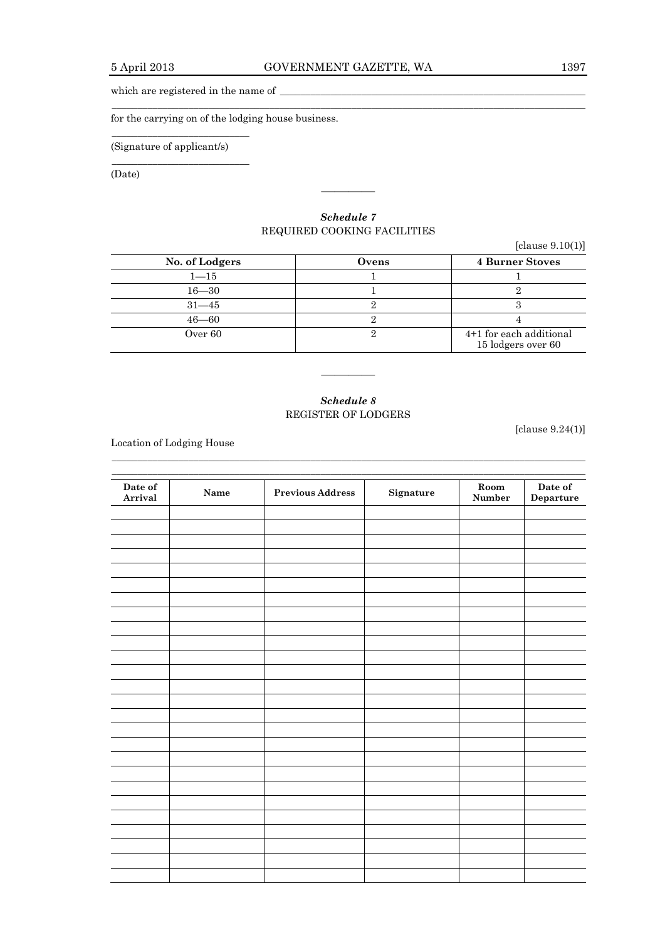$\_$  ,  $\_$  ,  $\_$  ,  $\_$  ,  $\_$  ,  $\_$  ,  $\_$  ,  $\_$  ,  $\_$  ,  $\_$  ,  $\_$  ,  $\_$  ,  $\_$  ,  $\_$  ,  $\_$  ,  $\_$  ,  $\_$  ,  $\_$  ,  $\_$  ,  $\_$  ,  $\_$  ,  $\_$  ,  $\_$  ,  $\_$  ,  $\_$  ,  $\_$  ,  $\_$  ,  $\_$  ,  $\_$  ,  $\_$  ,  $\_$  ,  $\_$  ,  $\_$  ,  $\_$  ,  $\_$  ,  $\_$  ,  $\_$  ,

which are registered in the name of  $\_\_$ 

for the carrying on of the lodging house business.

(Signature of applicant/s)

\_\_\_\_\_\_\_\_\_\_\_\_\_\_\_\_\_\_\_\_\_\_\_\_\_\_\_

\_\_\_\_\_\_\_\_\_\_\_\_\_\_\_\_\_\_\_\_\_\_\_\_\_\_\_

(Date)

# *Schedule 7* REQUIRED COOKING FACILITIES

————

|                |       | [clause $9.10(1)$ ]                           |
|----------------|-------|-----------------------------------------------|
| No. of Lodgers | Ovens | <b>4 Burner Stoves</b>                        |
| $1 - 15$       |       |                                               |
| $16 - 30$      |       |                                               |
| $31 - 45$      |       |                                               |
| $46 - 60$      |       |                                               |
| Over 60        |       | 4+1 for each additional<br>15 lodgers over 60 |

# *Schedule 8* REGISTER OF LODGERS

 $\Box$ 

————

Location of Lodging House

 $\Box$ **Date of Arrival Room Previous Address Signature Room Number Date of Departure**

[clause 9.24(1)]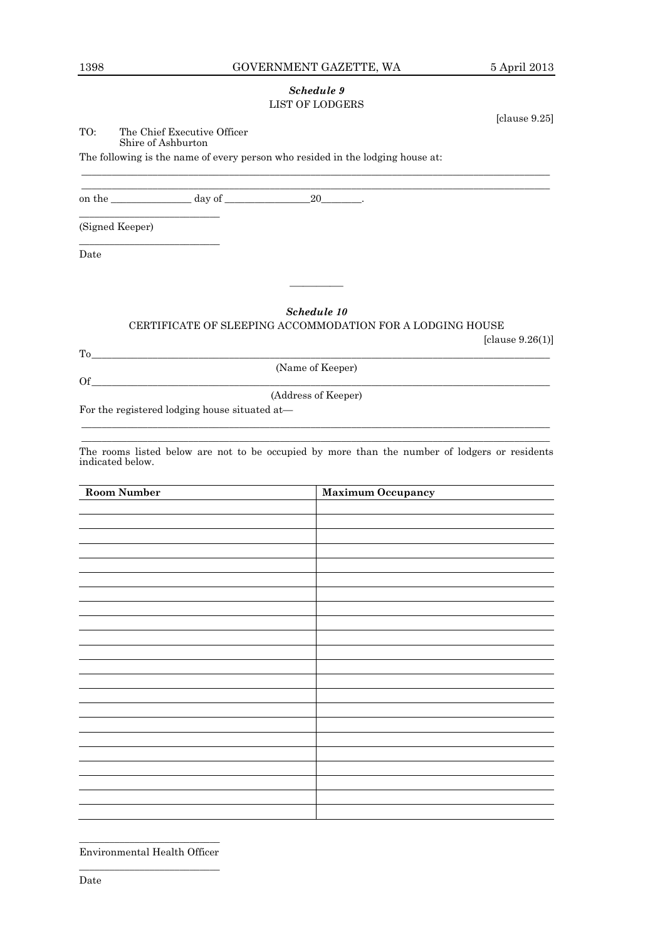# 1398 GOVERNMENT GAZETTE, WA 5 April 2013

[clause 9.25]

# *Schedule 9* LIST OF LODGERS

 $\_$  ,  $\_$  ,  $\_$  ,  $\_$  ,  $\_$  ,  $\_$  ,  $\_$  ,  $\_$  ,  $\_$  ,  $\_$  ,  $\_$  ,  $\_$  ,  $\_$  ,  $\_$  ,  $\_$  ,  $\_$  ,  $\_$  ,  $\_$  ,  $\_$  ,  $\_$  ,  $\_$  ,  $\_$  ,  $\_$  ,  $\_$  ,  $\_$  ,  $\_$  ,  $\_$  ,  $\_$  ,  $\_$  ,  $\_$  ,  $\_$  ,  $\_$  ,  $\_$  ,  $\_$  ,  $\_$  ,  $\_$  ,  $\_$  ,  $\_$  ,  $\_$  ,  $\_$  ,  $\_$  ,  $\_$  ,  $\_$  ,  $\_$  ,  $\_$  ,  $\_$  ,  $\_$  ,  $\_$  ,  $\_$  ,  $\_$  ,  $\_$  ,  $\_$  ,  $\_$  ,  $\_$  ,  $\_$  ,  $\_$  ,  $\_$  ,  $\_$  ,  $\_$  ,  $\_$  ,  $\_$  ,  $\_$  ,  $\_$  ,  $\_$  ,  $\_$  ,  $\_$  ,  $\_$  ,  $\_$  ,  $\_$  ,  $\_$  ,  $\_$  ,  $\_$  ,  $\_$  ,  $\_$  ,

TO: The Chief Executive Officer Shire of Ashburton

The following is the name of every person who resided in the lodging house at:

on the \_\_\_\_\_\_\_\_\_\_\_\_\_\_\_\_ day of \_\_\_\_\_\_\_\_\_\_\_\_\_\_\_\_\_\_\_\_\_\_\_\_\_\_\_\_\_\_\_\_\_\_.

(Signed Keeper)

\_\_\_\_\_\_\_\_\_\_\_\_\_\_\_\_\_\_\_\_\_\_\_\_\_\_\_\_

\_\_\_\_\_\_\_\_\_\_\_\_\_\_\_\_\_\_\_\_\_\_\_\_\_\_\_\_

Date

# *Schedule 10*

————

# CERTIFICATE OF SLEEPING ACCOMMODATION FOR A LODGING HOUSE [clause 9.26(1)]

To\_\_\_\_\_\_\_\_\_\_\_\_\_\_\_\_\_\_\_\_\_\_\_\_\_\_\_\_\_\_\_\_\_\_\_\_\_\_\_\_\_\_\_\_\_\_\_\_\_\_\_\_\_\_\_\_\_\_\_\_\_\_\_\_\_\_\_\_\_\_\_\_\_\_\_\_\_\_\_\_\_\_\_\_\_\_\_\_\_\_

(Name of Keeper)

 $\chi_{\rm{off}}$ 

(Address of Keeper)

For the registered lodging house situated at—

 $\_$  ,  $\_$  ,  $\_$  ,  $\_$  ,  $\_$  ,  $\_$  ,  $\_$  ,  $\_$  ,  $\_$  ,  $\_$  ,  $\_$  ,  $\_$  ,  $\_$  ,  $\_$  ,  $\_$  ,  $\_$  ,  $\_$  ,  $\_$  ,  $\_$  ,  $\_$  ,  $\_$  ,  $\_$  ,  $\_$  ,  $\_$  ,  $\_$  ,  $\_$  ,  $\_$  ,  $\_$  ,  $\_$  ,  $\_$  ,  $\_$  ,  $\_$  ,  $\_$  ,  $\_$  ,  $\_$  ,  $\_$  ,  $\_$  , The rooms listed below are not to be occupied by more than the number of lodgers or residents indicated below.

 $\_$  ,  $\_$  ,  $\_$  ,  $\_$  ,  $\_$  ,  $\_$  ,  $\_$  ,  $\_$  ,  $\_$  ,  $\_$  ,  $\_$  ,  $\_$  ,  $\_$  ,  $\_$  ,  $\_$  ,  $\_$  ,  $\_$  ,  $\_$  ,  $\_$  ,  $\_$  ,  $\_$  ,  $\_$  ,  $\_$  ,  $\_$  ,  $\_$  ,  $\_$  ,  $\_$  ,  $\_$  ,  $\_$  ,  $\_$  ,  $\_$  ,  $\_$  ,  $\_$  ,  $\_$  ,  $\_$  ,  $\_$  ,  $\_$  ,

| <b>Room Number</b> | <b>Maximum Occupancy</b> |
|--------------------|--------------------------|
|                    |                          |
|                    |                          |
|                    |                          |
|                    |                          |
|                    |                          |
|                    |                          |
|                    |                          |
|                    |                          |
|                    |                          |
|                    |                          |
|                    |                          |
|                    |                          |
|                    |                          |
|                    |                          |
|                    |                          |
|                    |                          |
|                    |                          |
|                    |                          |
|                    |                          |
|                    |                          |
|                    |                          |
|                    |                          |
|                    |                          |

 $\overline{\phantom{a}}$  , which is a set of the set of the set of the set of the set of the set of the set of the set of the set of the set of the set of the set of the set of the set of the set of the set of the set of the set of th Environmental Health Officer \_\_\_\_\_\_\_\_\_\_\_\_\_\_\_\_\_\_\_\_\_\_\_\_\_\_\_\_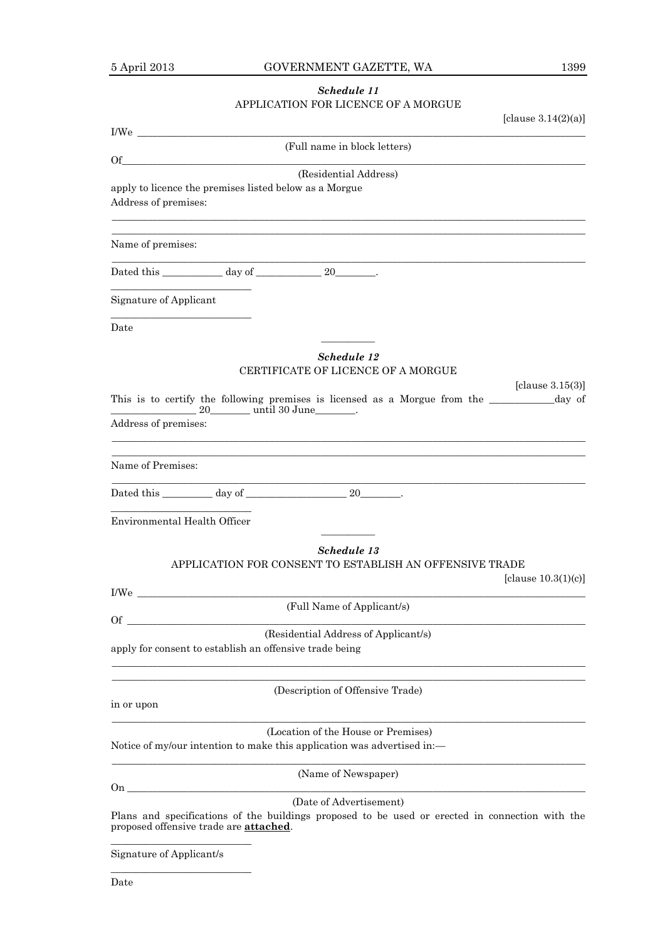# *Schedule 11* APPLICATION FOR LICENCE OF A MORGUE

| [clause $3.14(2)(a)$ ]                                                                                                                                                                         |                     |
|------------------------------------------------------------------------------------------------------------------------------------------------------------------------------------------------|---------------------|
| (Full name in block letters)<br>Of                                                                                                                                                             |                     |
| (Residential Address)<br>apply to licence the premises listed below as a Morgue<br>Address of premises:                                                                                        |                     |
| Name of premises:                                                                                                                                                                              |                     |
| Dated this ____________ day of ______________ 20________.                                                                                                                                      |                     |
| Signature of Applicant                                                                                                                                                                         |                     |
| Date                                                                                                                                                                                           |                     |
| Schedule 12<br>CERTIFICATE OF LICENCE OF A MORGUE                                                                                                                                              |                     |
| This is to certify the following premises is licensed as a Morgue from the ____________ day of<br>20 until 30 June _______.<br>Address of premises:                                            | [clause $3.15(3)$ ] |
| Name of Premises:                                                                                                                                                                              |                     |
| the control of the control of the control of the control of the control of the control of                                                                                                      |                     |
| Environmental Health Officer                                                                                                                                                                   |                     |
| Schedule 13<br>APPLICATION FOR CONSENT TO ESTABLISH AN OFFENSIVE TRADE<br>[clause $10.3(1)(c)$ ]                                                                                               |                     |
| I/We<br>(Full Name of Applicant/s)                                                                                                                                                             |                     |
| <b>Of</b><br>(Residential Address of Applicant/s)<br>apply for consent to establish an offensive trade being                                                                                   |                     |
| (Description of Offensive Trade)<br>in or upon                                                                                                                                                 |                     |
| (Location of the House or Premises)<br>Notice of my/our intention to make this application was advertised in:—                                                                                 |                     |
| (Name of Newspaper)                                                                                                                                                                            |                     |
| 0 <sub>n</sub><br>(Date of Advertisement)<br>Plans and specifications of the buildings proposed to be used or erected in connection with the<br>proposed offensive trade are <b>attached</b> . |                     |

Signature of Applicant/s

\_\_\_\_\_\_\_\_\_\_\_\_\_\_\_\_\_\_\_\_\_\_\_\_\_\_\_\_

Date